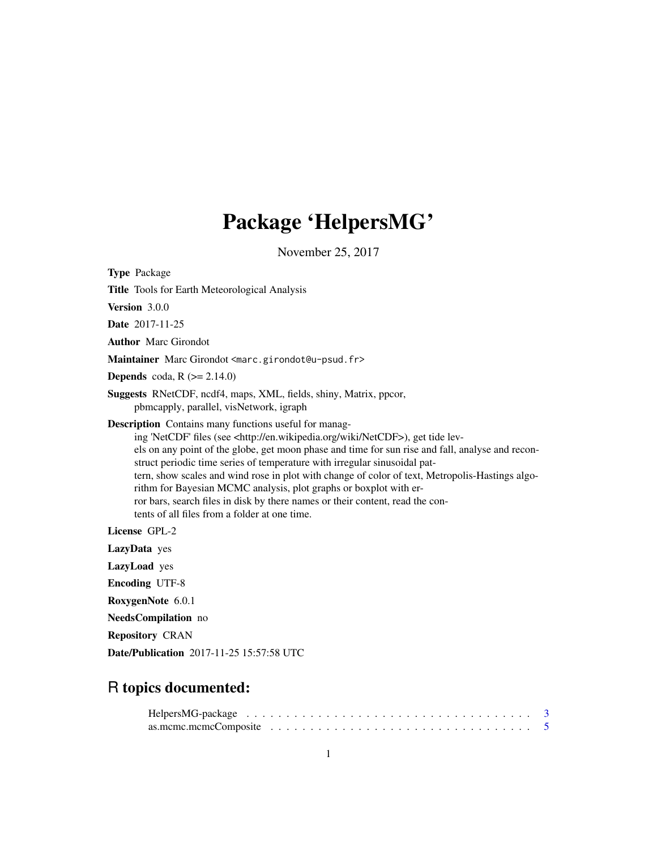# Package 'HelpersMG'

November 25, 2017

Type Package Title Tools for Earth Meteorological Analysis Version 3.0.0 Date 2017-11-25 Author Marc Girondot Maintainer Marc Girondot <marc.girondot@u-psud.fr> **Depends** coda,  $R$  ( $>= 2.14.0$ ) Suggests RNetCDF, ncdf4, maps, XML, fields, shiny, Matrix, ppcor, pbmcapply, parallel, visNetwork, igraph Description Contains many functions useful for managing 'NetCDF' files (see <http://en.wikipedia.org/wiki/NetCDF>), get tide levels on any point of the globe, get moon phase and time for sun rise and fall, analyse and reconstruct periodic time series of temperature with irregular sinusoidal pattern, show scales and wind rose in plot with change of color of text, Metropolis-Hastings algorithm for Bayesian MCMC analysis, plot graphs or boxplot with error bars, search files in disk by there names or their content, read the contents of all files from a folder at one time. License GPL-2 LazyData yes LazyLoad yes Encoding UTF-8 RoxygenNote 6.0.1 NeedsCompilation no Repository CRAN Date/Publication 2017-11-25 15:57:58 UTC

# R topics documented:

| as.mcmc.mcmcComposite $\ldots \ldots \ldots \ldots \ldots \ldots \ldots \ldots \ldots \ldots \ldots \ldots 5$ |  |  |  |  |  |  |  |  |  |  |  |  |  |  |  |  |  |
|---------------------------------------------------------------------------------------------------------------|--|--|--|--|--|--|--|--|--|--|--|--|--|--|--|--|--|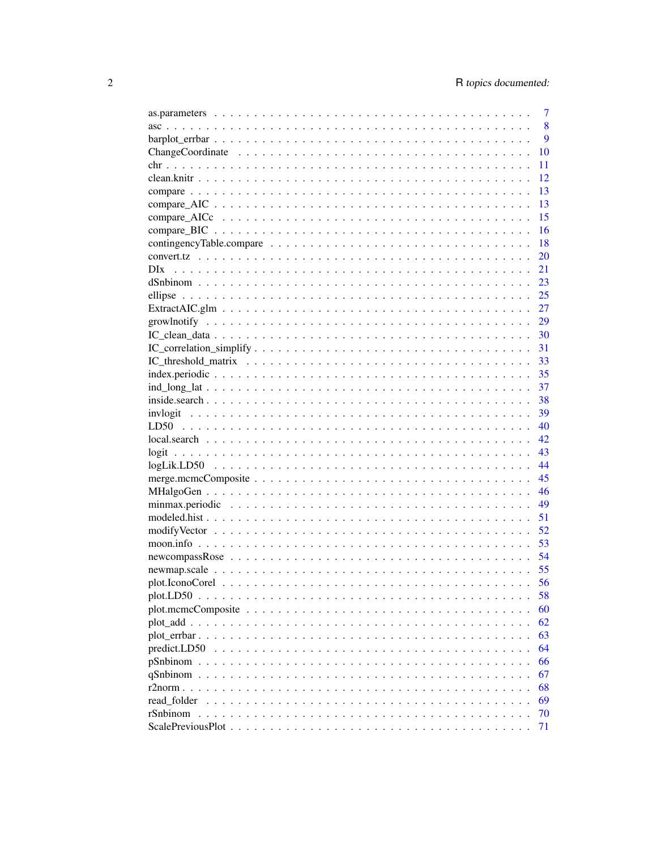|                 | 7        |
|-----------------|----------|
|                 | 8        |
|                 | 9        |
|                 | 10       |
|                 | 11       |
|                 | 12       |
|                 | 13       |
|                 | 13       |
|                 | 15       |
|                 | 16       |
|                 | 18       |
|                 | 20       |
| DI <sub>x</sub> | 21       |
|                 | 23       |
|                 | 25       |
|                 | 27       |
|                 |          |
|                 |          |
|                 | 31       |
|                 | 33       |
|                 |          |
|                 | 37       |
|                 | - 38     |
|                 | 39       |
|                 | 40       |
|                 | 42       |
|                 | 43       |
|                 | 44       |
|                 | 45       |
|                 | 46       |
|                 | 49       |
|                 | 51       |
|                 | 52       |
|                 | 53       |
|                 | 54       |
|                 | 55       |
|                 | 56       |
|                 | 58       |
|                 | 60       |
|                 | 62       |
|                 | 63       |
| predict.LD50    | 64       |
|                 |          |
|                 | 66<br>67 |
|                 |          |
|                 | 68       |
| read folder     | 69       |
| rSnbinom        | 70       |
|                 | 71       |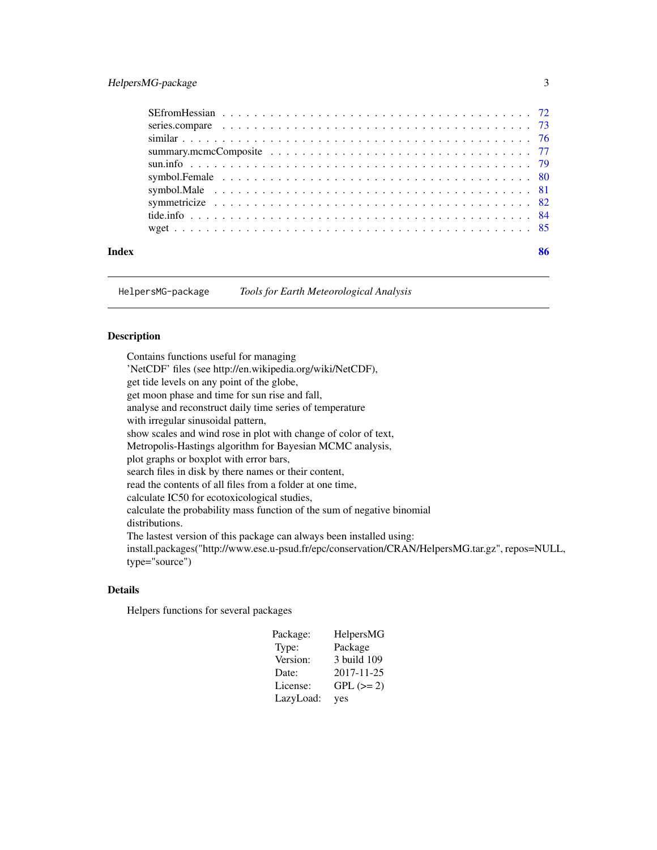# <span id="page-2-0"></span>HelpersMG-package 3

|       | symbol.Male $\ldots \ldots \ldots \ldots \ldots \ldots \ldots \ldots \ldots \ldots \ldots \ldots \ldots$ |  |
|-------|----------------------------------------------------------------------------------------------------------|--|
|       |                                                                                                          |  |
|       |                                                                                                          |  |
|       |                                                                                                          |  |
| Index | 86                                                                                                       |  |

HelpersMG-package *Tools for Earth Meteorological Analysis*

# Description

Contains functions useful for managing 'NetCDF' files (see http://en.wikipedia.org/wiki/NetCDF), get tide levels on any point of the globe, get moon phase and time for sun rise and fall, analyse and reconstruct daily time series of temperature with irregular sinusoidal pattern, show scales and wind rose in plot with change of color of text, Metropolis-Hastings algorithm for Bayesian MCMC analysis, plot graphs or boxplot with error bars, search files in disk by there names or their content, read the contents of all files from a folder at one time, calculate IC50 for ecotoxicological studies, calculate the probability mass function of the sum of negative binomial distributions. The lastest version of this package can always been installed using: install.packages("http://www.ese.u-psud.fr/epc/conservation/CRAN/HelpersMG.tar.gz", repos=NULL, type="source")

# Details

Helpers functions for several packages

| Package:  | HelpersMG   |
|-----------|-------------|
| Type:     | Package     |
| Version:  | 3 build 109 |
| Date:     | 2017-11-25  |
| License:  | $GPL (= 2)$ |
| LazyLoad: | yes         |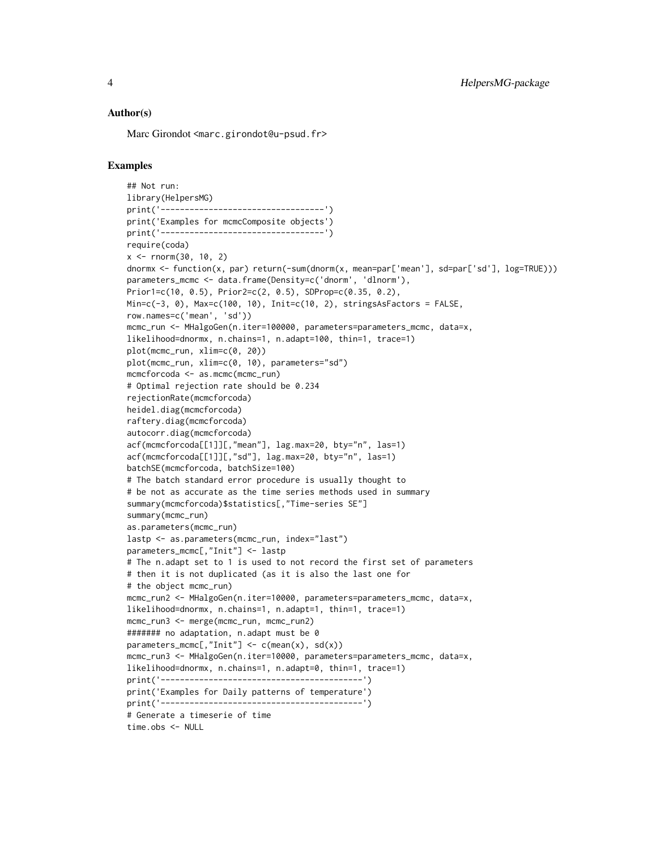#### Author(s)

Marc Girondot <marc.girondot@u-psud.fr>

#### Examples

## Not run: library(HelpersMG) print('----------------------------------') print('Examples for mcmcComposite objects') print('----------------------------------') require(coda)  $x < -$  rnorm $(30, 10, 2)$ dnormx <- function(x, par) return(-sum(dnorm(x, mean=par['mean'], sd=par['sd'], log=TRUE))) parameters\_mcmc <- data.frame(Density=c('dnorm', 'dlnorm'), Prior1=c(10, 0.5), Prior2=c(2, 0.5), SDProp=c(0.35, 0.2), Min=c(-3, 0), Max=c(100, 10), Init=c(10, 2), stringsAsFactors = FALSE, row.names=c('mean', 'sd')) mcmc\_run <- MHalgoGen(n.iter=100000, parameters=parameters\_mcmc, data=x, likelihood=dnormx, n.chains=1, n.adapt=100, thin=1, trace=1) plot(mcmc\_run, xlim=c(0, 20)) plot(mcmc\_run, xlim=c(0, 10), parameters="sd") mcmcforcoda <- as.mcmc(mcmc\_run) # Optimal rejection rate should be 0.234 rejectionRate(mcmcforcoda) heidel.diag(mcmcforcoda) raftery.diag(mcmcforcoda) autocorr.diag(mcmcforcoda) acf(mcmcforcoda[[1]][,"mean"], lag.max=20, bty="n", las=1) acf(mcmcforcoda[[1]][,"sd"], lag.max=20, bty="n", las=1) batchSE(mcmcforcoda, batchSize=100) # The batch standard error procedure is usually thought to # be not as accurate as the time series methods used in summary summary(mcmcforcoda)\$statistics[,"Time-series SE"] summary(mcmc\_run) as.parameters(mcmc\_run) lastp <- as.parameters(mcmc\_run, index="last") parameters\_mcmc[,"Init"] <- lastp # The n.adapt set to 1 is used to not record the first set of parameters # then it is not duplicated (as it is also the last one for # the object mcmc\_run) mcmc\_run2 <- MHalgoGen(n.iter=10000, parameters=parameters\_mcmc, data=x, likelihood=dnormx, n.chains=1, n.adapt=1, thin=1, trace=1) mcmc\_run3 <- merge(mcmc\_run, mcmc\_run2) ####### no adaptation, n.adapt must be 0 parameters\_mcmc[,"Init"]  $\leq$  c(mean(x), sd(x)) mcmc\_run3 <- MHalgoGen(n.iter=10000, parameters=parameters\_mcmc, data=x, likelihood=dnormx, n.chains=1, n.adapt=0, thin=1, trace=1) print('------------------------------------------') print('Examples for Daily patterns of temperature') print('------------------------------------------') # Generate a timeserie of time time.obs <- NULL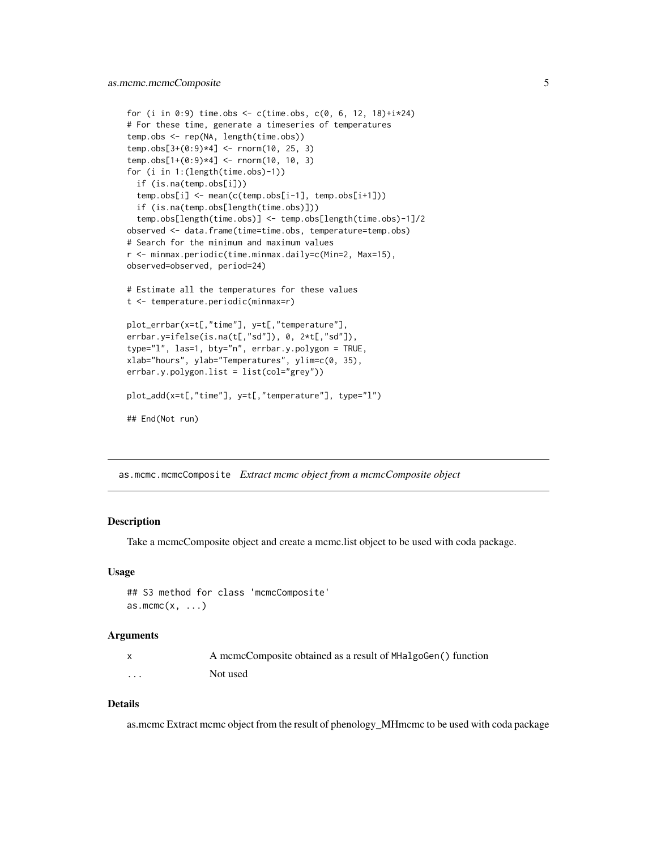```
for (i in 0:9) time.obs <- c(time.obs, c(0, 6, 12, 18)+i*24)
# For these time, generate a timeseries of temperatures
temp.obs <- rep(NA, length(time.obs))
temp.obs[3+(0:9)*4] <- rnorm(10, 25, 3)
temp.obs[1+(0:9)*4] <- rnorm(10, 10, 3)for (i in 1:(length(time.obs)-1))
 if (is.na(temp.obs[i]))
 temp.obs[i] <- mean(c(temp.obs[i-1], temp.obs[i+1]))
 if (is.na(temp.obs[length(time.obs)]))
 temp.obs[length(time.obs)] <- temp.obs[length(time.obs)-1]/2
observed <- data.frame(time=time.obs, temperature=temp.obs)
# Search for the minimum and maximum values
r <- minmax.periodic(time.minmax.daily=c(Min=2, Max=15),
observed=observed, period=24)
# Estimate all the temperatures for these values
t <- temperature.periodic(minmax=r)
plot_errbar(x=t[,"time"], y=t[,"temperature"],
errbar.y=ifelse(is.na(t[,"sd"]), 0, 2*t[,"sd"]),
type="l", las=1, bty="n", errbar.y.polygon = TRUE,
xlab="hours", ylab="Temperatures", ylim=c(0, 35),
errbar.y.polygon.list = list(col="grey"))
plot_add(x=t[,"time"], y=t[,"temperature"], type="l")
## End(Not run)
```
<span id="page-4-1"></span>as.mcmc.mcmcComposite *Extract mcmc object from a mcmcComposite object*

#### **Description**

Take a mcmcComposite object and create a mcmc.list object to be used with coda package.

#### Usage

```
## S3 method for class 'mcmcComposite'
as.mcmc(x, \ldots)
```
#### Arguments

|   | A mcmcComposite obtained as a result of MHalgoGen() function |
|---|--------------------------------------------------------------|
| . | Not used                                                     |

# Details

as.mcmc Extract mcmc object from the result of phenology\_MHmcmc to be used with coda package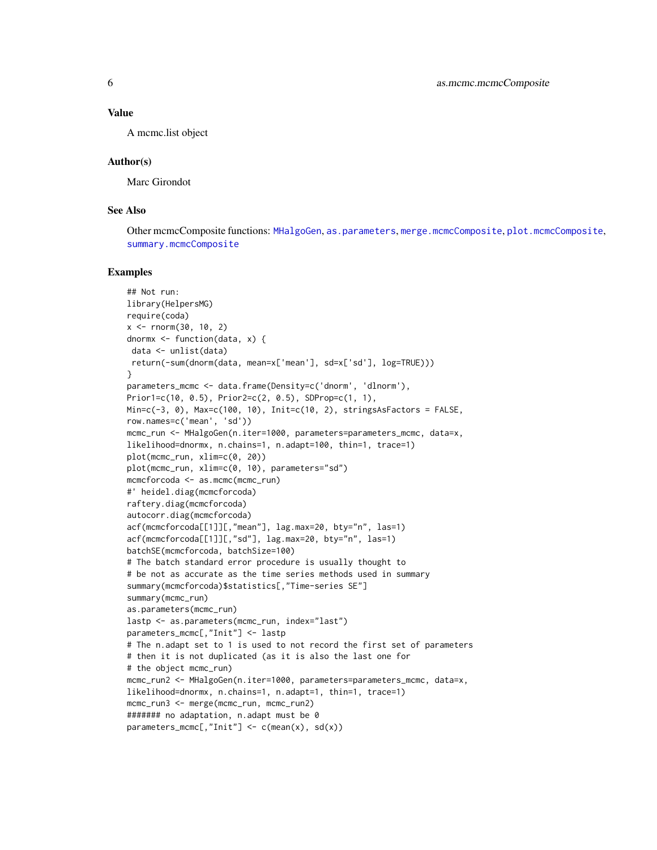#### Value

A mcmc.list object

#### Author(s)

Marc Girondot

# See Also

Other mcmcComposite functions: [MHalgoGen](#page-45-1), [as.parameters](#page-6-1), [merge.mcmcComposite](#page-44-1), [plot.mcmcComposite](#page-59-1), [summary.mcmcComposite](#page-76-1)

```
## Not run:
library(HelpersMG)
require(coda)
x < - rnorm(30, 10, 2)dnormx \leq function(data, x) {
 data <- unlist(data)
return(-sum(dnorm(data, mean=x['mean'], sd=x['sd'], log=TRUE)))
}
parameters_mcmc <- data.frame(Density=c('dnorm', 'dlnorm'),
Prior1=c(10, 0.5), Prior2=c(2, 0.5), SDProp=c(1, 1),
Min=c(-3, 0), Max=c(100, 10), Init=c(10, 2), stringsAsFactors = FALSE,
row.names=c('mean', 'sd'))
mcmc_run <- MHalgoGen(n.iter=1000, parameters=parameters_mcmc, data=x,
likelihood=dnormx, n.chains=1, n.adapt=100, thin=1, trace=1)
plot(mcmc_run, xlim=c(0, 20))
plot(mcmc_run, xlim=c(0, 10), parameters="sd")
mcmcforcoda <- as.mcmc(mcmc_run)
#' heidel.diag(mcmcforcoda)
raftery.diag(mcmcforcoda)
autocorr.diag(mcmcforcoda)
acf(mcmcforcoda[[1]][,"mean"], lag.max=20, bty="n", las=1)
acf(mcmcforcoda[[1]][,"sd"], lag.max=20, bty="n", las=1)
batchSE(mcmcforcoda, batchSize=100)
# The batch standard error procedure is usually thought to
# be not as accurate as the time series methods used in summary
summary(mcmcforcoda)$statistics[,"Time-series SE"]
summary(mcmc_run)
as.parameters(mcmc_run)
lastp <- as.parameters(mcmc_run, index="last")
parameters_mcmc[,"Init"] <- lastp
# The n.adapt set to 1 is used to not record the first set of parameters
# then it is not duplicated (as it is also the last one for
# the object mcmc_run)
mcmc_run2 <- MHalgoGen(n.iter=1000, parameters=parameters_mcmc, data=x,
likelihood=dnormx, n.chains=1, n.adapt=1, thin=1, trace=1)
mcmc_run3 <- merge(mcmc_run, mcmc_run2)
####### no adaptation, n.adapt must be 0
parameters_mcmc[,"Init"] \leq c(mean(x), sd(x))
```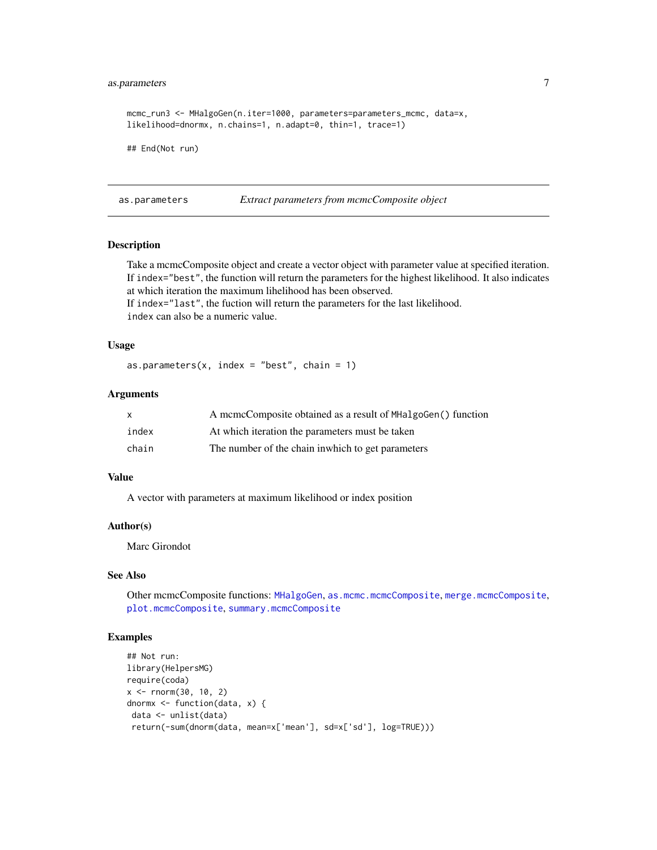# <span id="page-6-0"></span>as.parameters 7

```
mcmc_run3 <- MHalgoGen(n.iter=1000, parameters=parameters_mcmc, data=x,
likelihood=dnormx, n.chains=1, n.adapt=0, thin=1, trace=1)
## End(Not run)
```
<span id="page-6-1"></span>as.parameters *Extract parameters from mcmcComposite object*

# Description

Take a mcmcComposite object and create a vector object with parameter value at specified iteration. If index="best", the function will return the parameters for the highest likelihood. It also indicates at which iteration the maximum lihelihood has been observed.

If index="last", the fuction will return the parameters for the last likelihood. index can also be a numeric value.

#### Usage

as.parameters(x, index = "best", chain =  $1$ )

#### Arguments

| $\mathsf{x}$ | A mcmcComposite obtained as a result of MHalgoGen() function |
|--------------|--------------------------------------------------------------|
| index        | At which iteration the parameters must be taken              |
| chain        | The number of the chain in which to get parameters           |

# Value

A vector with parameters at maximum likelihood or index position

#### Author(s)

Marc Girondot

# See Also

Other mcmcComposite functions: [MHalgoGen](#page-45-1), [as.mcmc.mcmcComposite](#page-4-1), [merge.mcmcComposite](#page-44-1), [plot.mcmcComposite](#page-59-1), [summary.mcmcComposite](#page-76-1)

```
## Not run:
library(HelpersMG)
require(coda)
x < - rnorm(30, 10, 2)
dnormx <- function(data, x) {
data <- unlist(data)
return(-sum(dnorm(data, mean=x['mean'], sd=x['sd'], log=TRUE)))
```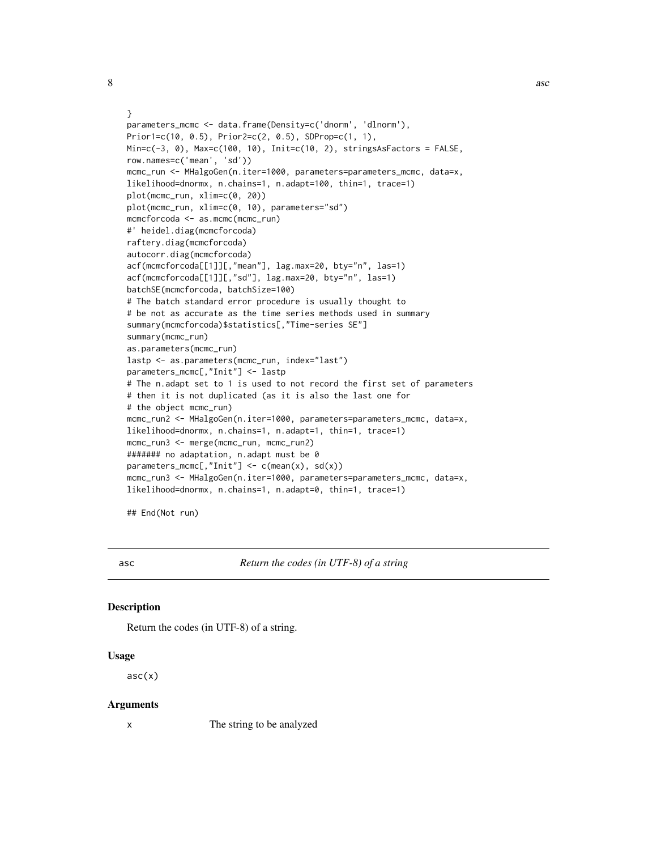```
}
parameters_mcmc <- data.frame(Density=c('dnorm', 'dlnorm'),
Prior1=c(10, 0.5), Prior2=c(2, 0.5), SDProp=c(1, 1),
Min=c(-3, 0), Max=c(100, 10), Init=c(10, 2), stringsAsFactors = FALSE,
row.names=c('mean', 'sd'))
mcmc_run <- MHalgoGen(n.iter=1000, parameters=parameters_mcmc, data=x,
likelihood=dnormx, n.chains=1, n.adapt=100, thin=1, trace=1)
plot(mcmc_run, xlim=c(0, 20))
plot(mcmc_run, xlim=c(0, 10), parameters="sd")
mcmcforcoda <- as.mcmc(mcmc_run)
#' heidel.diag(mcmcforcoda)
raftery.diag(mcmcforcoda)
autocorr.diag(mcmcforcoda)
acf(mcmcforcoda[[1]][,"mean"], lag.max=20, bty="n", las=1)
acf(mcmcforcoda[[1]][,"sd"], lag.max=20, bty="n", las=1)
batchSE(mcmcforcoda, batchSize=100)
# The batch standard error procedure is usually thought to
# be not as accurate as the time series methods used in summary
summary(mcmcforcoda)$statistics[,"Time-series SE"]
summary(mcmc_run)
as.parameters(mcmc_run)
lastp <- as.parameters(mcmc_run, index="last")
parameters_mcmc[,"Init"] <- lastp
# The n.adapt set to 1 is used to not record the first set of parameters
# then it is not duplicated (as it is also the last one for
# the object mcmc_run)
mcmc_run2 <- MHalgoGen(n.iter=1000, parameters=parameters_mcmc, data=x,
likelihood=dnormx, n.chains=1, n.adapt=1, thin=1, trace=1)
mcmc_run3 <- merge(mcmc_run, mcmc_run2)
####### no adaptation, n.adapt must be 0
parameters_mcmc[,"Init"] <- c(mean(x), sd(x))
mcmc_run3 <- MHalgoGen(n.iter=1000, parameters=parameters_mcmc, data=x,
likelihood=dnormx, n.chains=1, n.adapt=0, thin=1, trace=1)
```
## End(Not run)

<span id="page-7-1"></span>

asc *Return the codes (in UTF-8) of a string*

# Description

Return the codes (in UTF-8) of a string.

#### Usage

 $asc(x)$ 

#### Arguments

x The string to be analyzed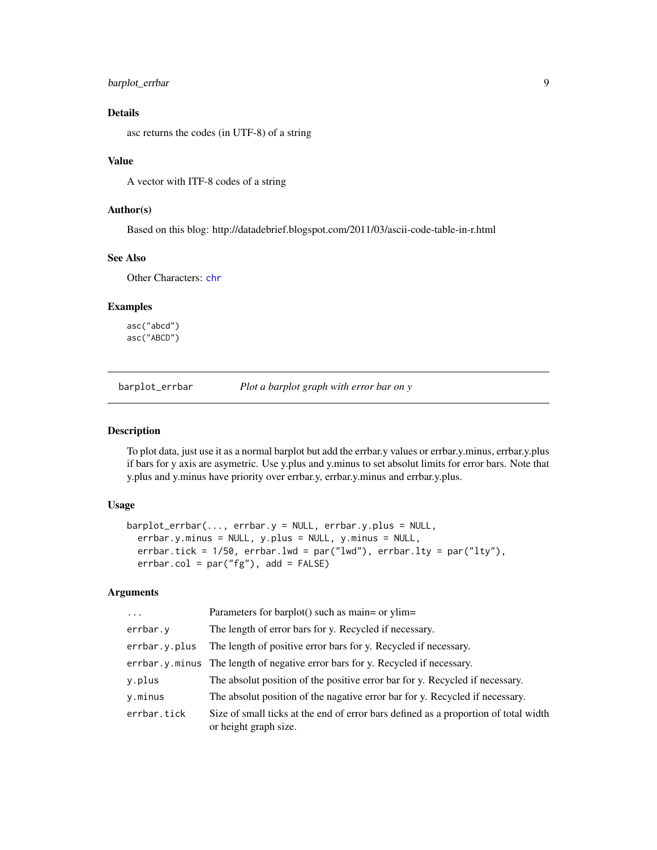# <span id="page-8-0"></span>barplot\_errbar 9

# Details

asc returns the codes (in UTF-8) of a string

#### Value

A vector with ITF-8 codes of a string

# Author(s)

Based on this blog: http://datadebrief.blogspot.com/2011/03/ascii-code-table-in-r.html

#### See Also

Other Characters: [chr](#page-10-1)

# Examples

asc("abcd") asc("ABCD")

barplot\_errbar *Plot a barplot graph with error bar on y*

# Description

To plot data, just use it as a normal barplot but add the errbar.y values or errbar.y.minus, errbar.y.plus if bars for y axis are asymetric. Use y.plus and y.minus to set absolut limits for error bars. Note that y.plus and y.minus have priority over errbar.y, errbar.y.minus and errbar.y.plus.

#### Usage

```
barplot_errbar(..., errbar.y = NULL, errbar.y.plus = NULL,
  errbar.y.minus = NULL, y.plus = NULL, y.minus = NULL,
  errbar.tick = 1/50, errbar.lwd = par("lwd"), errbar.lty = par("lty"),
  erbar.col = par("fg"), add = FALSE)
```
#### Arguments

| $\ddotsc$     | Parameters for barplot() such as main= or ylim=                                                              |
|---------------|--------------------------------------------------------------------------------------------------------------|
| errbar.y      | The length of error bars for y. Recycled if necessary.                                                       |
| errbar.y.plus | The length of positive error bars for y. Recycled if necessary.                                              |
|               | errbar. y. minus The length of negative error bars for y. Recycled if necessary.                             |
| y.plus        | The absolut position of the positive error bar for y. Recycled if necessary.                                 |
| y.minus       | The absolut position of the nagative error bar for y. Recycled if necessary.                                 |
| errbar.tick   | Size of small ticks at the end of error bars defined as a proportion of total width<br>or height graph size. |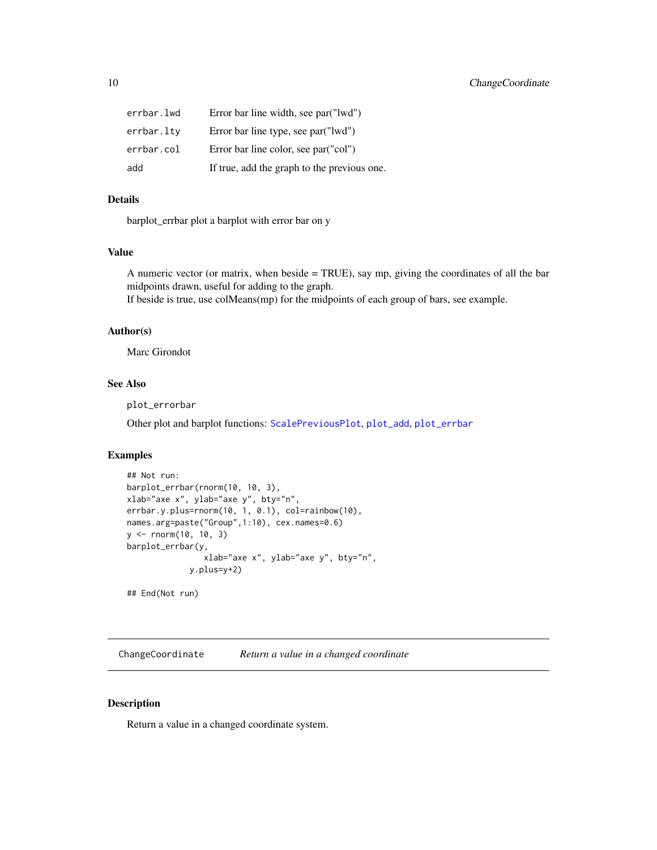<span id="page-9-0"></span>

| errbar.lwd | Error bar line width, see par ("lwd")       |
|------------|---------------------------------------------|
| errbar.ltv | Error bar line type, see par ("lwd")        |
| errbar.col | Error bar line color, see par ("col")       |
| add        | If true, add the graph to the previous one. |

# Details

barplot\_errbar plot a barplot with error bar on y

# Value

A numeric vector (or matrix, when beside = TRUE), say mp, giving the coordinates of all the bar midpoints drawn, useful for adding to the graph.

If beside is true, use colMeans(mp) for the midpoints of each group of bars, see example.

# Author(s)

Marc Girondot

# See Also

plot\_errorbar

Other plot and barplot functions: [ScalePreviousPlot](#page-70-1), [plot\\_add](#page-61-1), [plot\\_errbar](#page-62-1)

#### Examples

```
## Not run:
barplot_errbar(rnorm(10, 10, 3),
xlab="axe x", ylab="axe y", bty="n",
errbar.y.plus=rnorm(10, 1, 0.1), col=rainbow(10),
names.arg=paste("Group",1:10), cex.names=0.6)
y <- rnorm(10, 10, 3)
barplot_errbar(y,
                xlab="axe x", ylab="axe y", bty="n",
             y.plus=y+2)
```
## End(Not run)

ChangeCoordinate *Return a value in a changed coordinate*

# Description

Return a value in a changed coordinate system.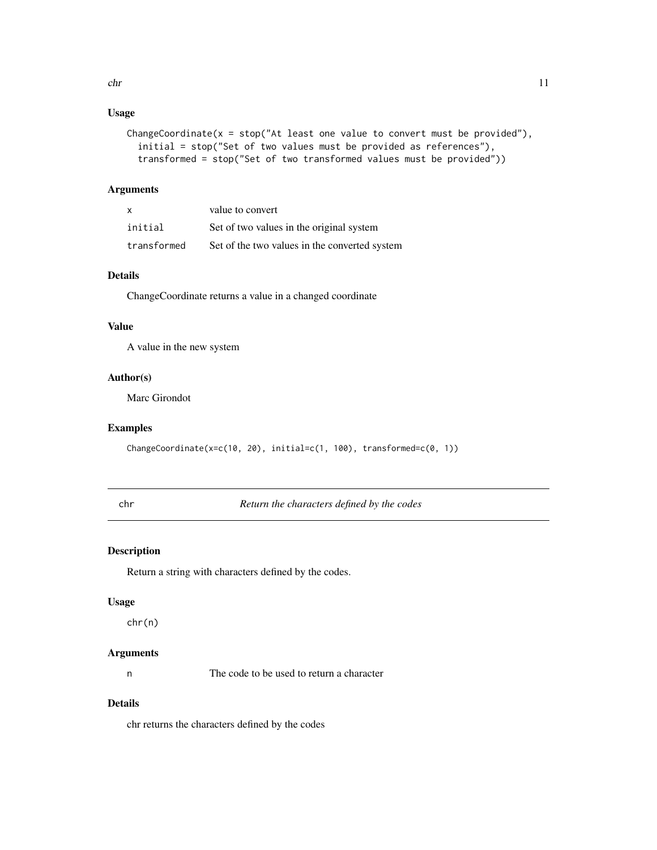# <span id="page-10-0"></span>Usage

```
ChangeCoordinate(x = stop("At least one value to convert must be provided"),initial = stop("Set of two values must be provided as references"),
  transformed = stop("Set of two transformed values must be provided"))
```
# Arguments

| X           | value to convert                              |
|-------------|-----------------------------------------------|
| initial     | Set of two values in the original system      |
| transformed | Set of the two values in the converted system |

# Details

ChangeCoordinate returns a value in a changed coordinate

# Value

A value in the new system

# Author(s)

Marc Girondot

#### Examples

ChangeCoordinate(x=c(10, 20), initial=c(1, 100), transformed=c(0, 1))

<span id="page-10-1"></span>chr *Return the characters defined by the codes*

# Description

Return a string with characters defined by the codes.

# Usage

chr(n)

# Arguments

n The code to be used to return a character

# Details

chr returns the characters defined by the codes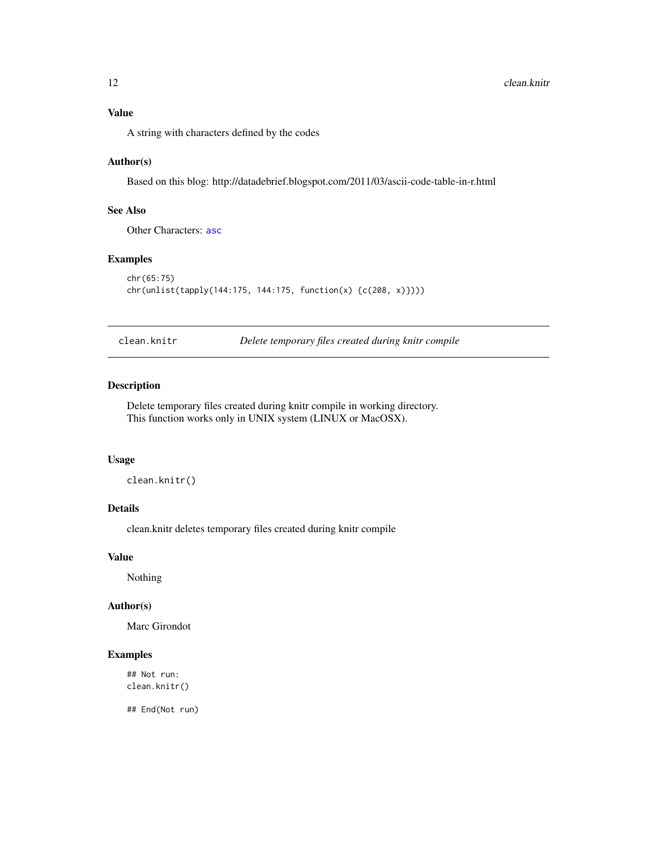<span id="page-11-0"></span>A string with characters defined by the codes

### Author(s)

Based on this blog: http://datadebrief.blogspot.com/2011/03/ascii-code-table-in-r.html

# See Also

Other Characters: [asc](#page-7-1)

# Examples

```
chr(65:75)
chr(unlist(tapply(144:175, 144:175, function(x) {c(208, x)})))
```
clean.knitr *Delete temporary files created during knitr compile*

# Description

Delete temporary files created during knitr compile in working directory. This function works only in UNIX system (LINUX or MacOSX).

# Usage

clean.knitr()

# Details

clean.knitr deletes temporary files created during knitr compile

#### Value

Nothing

#### Author(s)

Marc Girondot

# Examples

## Not run: clean.knitr()

## End(Not run)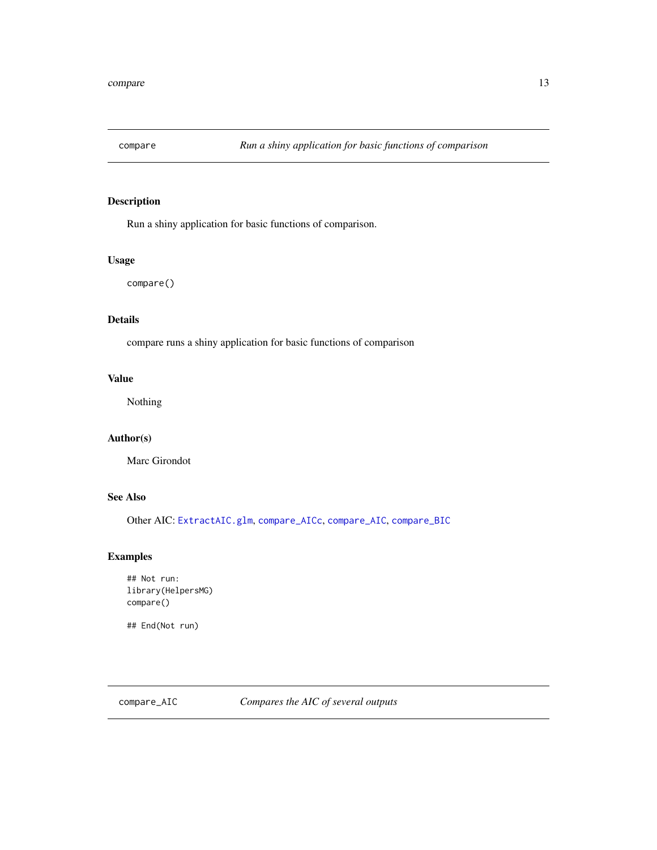<span id="page-12-2"></span><span id="page-12-0"></span>

# Description

Run a shiny application for basic functions of comparison.

# Usage

compare()

# Details

compare runs a shiny application for basic functions of comparison

# Value

Nothing

# Author(s)

Marc Girondot

# See Also

Other AIC: [ExtractAIC.glm](#page-26-1), [compare\\_AICc](#page-14-1), [compare\\_AIC](#page-12-1), [compare\\_BIC](#page-15-1)

# Examples

```
## Not run:
library(HelpersMG)
compare()
```
## End(Not run)

<span id="page-12-1"></span>compare\_AIC *Compares the AIC of several outputs*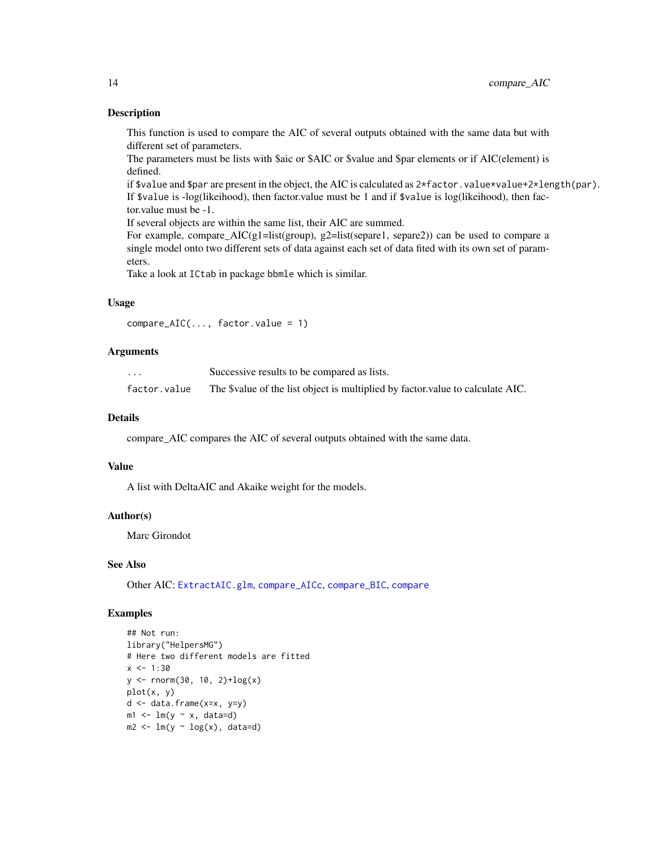#### Description

This function is used to compare the AIC of several outputs obtained with the same data but with different set of parameters.

The parameters must be lists with \$aic or \$AIC or \$value and \$par elements or if AIC(element) is defined.

if \$value and \$par are present in the object, the AIC is calculated as  $2*factor$ . value\*value+2\*length(par). If \$value is -log(likeihood), then factor.value must be 1 and if \$value is log(likeihood), then factor.value must be -1.

If several objects are within the same list, their AIC are summed.

For example, compare\_AIC(g1=list(group), g2=list(separe1, separe2)) can be used to compare a single model onto two different sets of data against each set of data fited with its own set of parameters.

Take a look at ICtab in package bbmle which is similar.

# Usage

compare\_AIC(..., factor.value = 1)

#### **Arguments**

| $\cdots$     | Successive results to be compared as lists.                                    |
|--------------|--------------------------------------------------------------------------------|
| factor.value | The \$value of the list object is multiplied by factor value to calculate AIC. |

# Details

compare\_AIC compares the AIC of several outputs obtained with the same data.

#### Value

A list with DeltaAIC and Akaike weight for the models.

#### Author(s)

Marc Girondot

#### See Also

Other AIC: [ExtractAIC.glm](#page-26-1), [compare\\_AICc](#page-14-1), [compare\\_BIC](#page-15-1), [compare](#page-12-2)

```
## Not run:
library("HelpersMG")
# Here two different models are fitted
x < -1:30y \le - rnorm(30, 10, 2)+\log(x)plot(x, y)
d <- data.frame(x=x, y=y)
m1 \leq -\ln(y \sim x, \text{data=d})m2 \leq Im(y \sim log(x), data=d)
```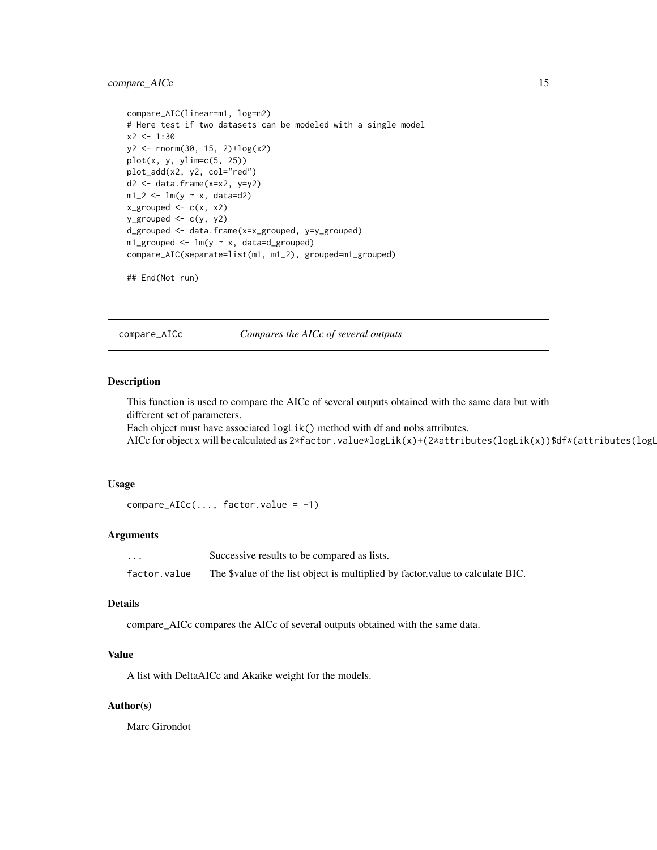# <span id="page-14-0"></span>compare\_AICc 15

```
compare_AIC(linear=m1, log=m2)
# Here test if two datasets can be modeled with a single model
x2 < -1:30y2 <- rnorm(30, 15, 2)+log(x2)
plot(x, y, y)im=c(5, 25)plot_add(x2, y2, col="red")
d2 \leq d data.frame(x=x2, y=y2)
m1_2 < -1m(y \sim x, \text{ data=d2})x_grouped <- c(x, x^2)y_grouped <- c(y, y^2)d_grouped <- data.frame(x=x_grouped, y=y_grouped)
m1_grouped <- lm(y \sim x, data=d\_grouped)compare_AIC(separate=list(m1, m1_2), grouped=m1_grouped)
```

```
## End(Not run)
```
<span id="page-14-1"></span>compare\_AICc *Compares the AICc of several outputs*

#### Description

This function is used to compare the AICc of several outputs obtained with the same data but with different set of parameters.

Each object must have associated logLik() method with df and nobs attributes.

AICc for object x will be calculated as 2\*factor.value\*logLik(x)+(2\*attributes(logLik(x))\$df\*(attributes(logL

#### Usage

```
compare_AICc(..., factor.value = -1)
```
#### Arguments

... Successive results to be compared as lists. factor.value The \$value of the list object is multiplied by factor.value to calculate BIC.

#### Details

compare\_AICc compares the AICc of several outputs obtained with the same data.

# Value

A list with DeltaAICc and Akaike weight for the models.

#### Author(s)

Marc Girondot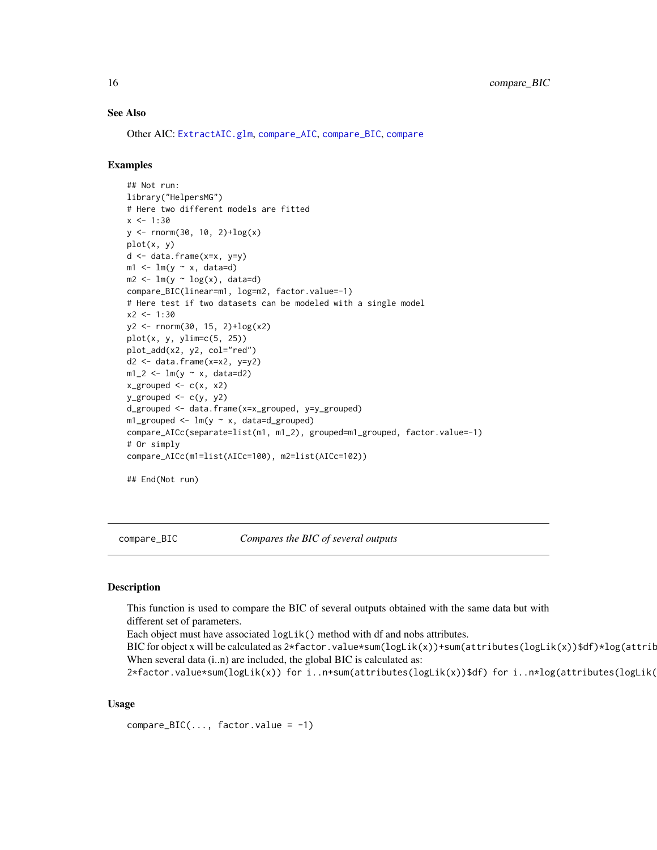#### <span id="page-15-0"></span>See Also

Other AIC: [ExtractAIC.glm](#page-26-1), [compare\\_AIC](#page-12-1), [compare\\_BIC](#page-15-1), [compare](#page-12-2)

# Examples

```
## Not run:
library("HelpersMG")
# Here two different models are fitted
x < -1:30y <- rnorm(30, 10, 2)+log(x)
plot(x, y)
d \leq data.frame(x=x, y=y)
m1 \leftarrow lm(y \sim x, data=d)m2 \leq Im(y \sim log(x), data=d)compare_BIC(linear=m1, log=m2, factor.value=-1)
# Here test if two datasets can be modeled with a single model
x2 < -1:30y2 <- rnorm(30, 15, 2)+log(x2)
plot(x, y, ylim=c(5, 25))
plot_add(x2, y2, col="red")
d2 \leq - data.frame(x=x2, y=y2)
m1_2 < - \ln(y \sim x, \text{ data=d2})x_grouped \leftarrow c(x, x2)
y_grouped <- c(y, y2)
d_grouped <- data.frame(x=x_grouped, y=y_grouped)
m1_grouped <- lm(y \sim x, data=d_grouped)compare_AICc(separate=list(m1, m1_2), grouped=m1_grouped, factor.value=-1)
# Or simply
compare_AICc(m1=list(AICc=100), m2=list(AICc=102))
```
## End(Not run)

<span id="page-15-1"></span>compare\_BIC *Compares the BIC of several outputs*

#### Description

This function is used to compare the BIC of several outputs obtained with the same data but with different set of parameters.

Each object must have associated logLik() method with df and nobs attributes.

BIC for object x will be calculated as  $2*f$  actor.value\*sum(logLik(x))+sum(attributes(logLik(x))\$df)\*log(attrib When several data (i..n) are included, the global BIC is calculated as:

2\*factor.value\*sum(logLik(x)) for i..n+sum(attributes(logLik(x))\$df) for i..n\*log(attributes(logLik(

# Usage

 $compare\_BIC(..., factor.value = -1)$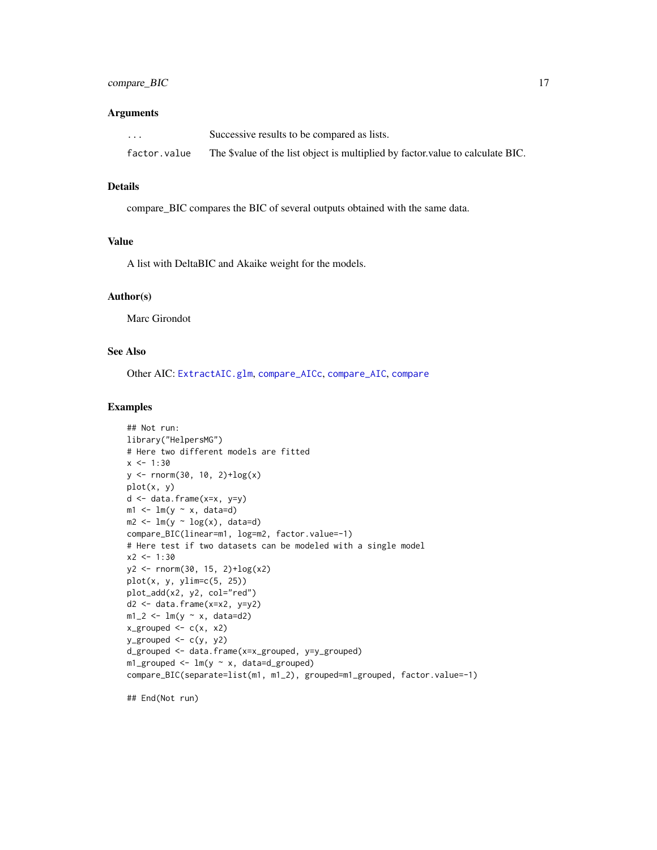# compare\_BIC 17

#### **Arguments**

| $\cdot$ $\cdot$ $\cdot$ | Successive results to be compared as lists.                                    |
|-------------------------|--------------------------------------------------------------------------------|
| factor.value            | The \$value of the list object is multiplied by factor value to calculate BIC. |

#### Details

compare\_BIC compares the BIC of several outputs obtained with the same data.

# Value

A list with DeltaBIC and Akaike weight for the models.

#### Author(s)

Marc Girondot

# See Also

Other AIC: [ExtractAIC.glm](#page-26-1), [compare\\_AICc](#page-14-1), [compare\\_AIC](#page-12-1), [compare](#page-12-2)

# Examples

```
## Not run:
library("HelpersMG")
# Here two different models are fitted
x < -1:30y \le - rnorm(30, 10, 2)+\log(x)plot(x, y)
d <- data.frame(x=x, y=y)
m1 \leftarrow lm(y \sim x, data=d)m2 < -\ln(y \sim \log(x)), data=d)
compare_BIC(linear=m1, log=m2, factor.value=-1)
# Here test if two datasets can be modeled with a single model
x2 < -1:30y2 \le rnorm(30, 15, 2)+\log(x2)plot(x, y, y)im=c(5, 25)plot_add(x2, y2, col="red")
d2 <- data.frame(x=x2, y=y2)
m1_2 < - \ln(y - x, \text{ data=d2})x_grouped \leq -c(x, x^2)y_grouped \leq c(y, y2)
d_grouped <- data.frame(x=x_grouped, y=y_grouped)
m1_grouped <- lm(y \sim x, data=d\_grouped)compare_BIC(separate=list(m1, m1_2), grouped=m1_grouped, factor.value=-1)
```
## End(Not run)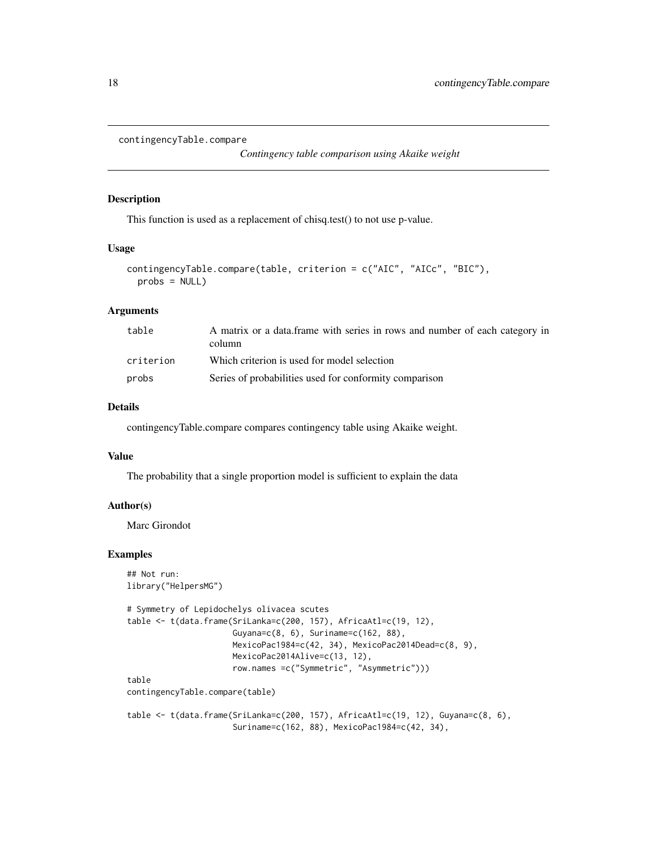```
contingencyTable.compare
```
*Contingency table comparison using Akaike weight*

#### Description

This function is used as a replacement of chisq.test() to not use p-value.

#### Usage

```
contingencyTable.compare(table, criterion = c("AIC", "AICc", "BIC"),
 probs = NULL)
```
# Arguments

| table     | A matrix or a data frame with series in rows and number of each category in<br>column |
|-----------|---------------------------------------------------------------------------------------|
| criterion | Which criterion is used for model selection                                           |
| probs     | Series of probabilities used for conformity comparison                                |

# Details

contingencyTable.compare compares contingency table using Akaike weight.

#### Value

The probability that a single proportion model is sufficient to explain the data

#### Author(s)

Marc Girondot

```
## Not run:
library("HelpersMG")
```

```
# Symmetry of Lepidochelys olivacea scutes
table <- t(data.frame(SriLanka=c(200, 157), AfricaAtl=c(19, 12),
                     Guyana=c(8, 6), Suriname=c(162, 88),
                     MexicoPac1984=c(42, 34), MexicoPac2014Dead=c(8, 9),
                     MexicoPac2014Alive=c(13, 12),
                     row.names =c("Symmetric", "Asymmetric")))
table
contingencyTable.compare(table)
table <- t(data.frame(SriLanka=c(200, 157), AfricaAtl=c(19, 12), Guyana=c(8, 6),
                     Suriname=c(162, 88), MexicoPac1984=c(42, 34),
```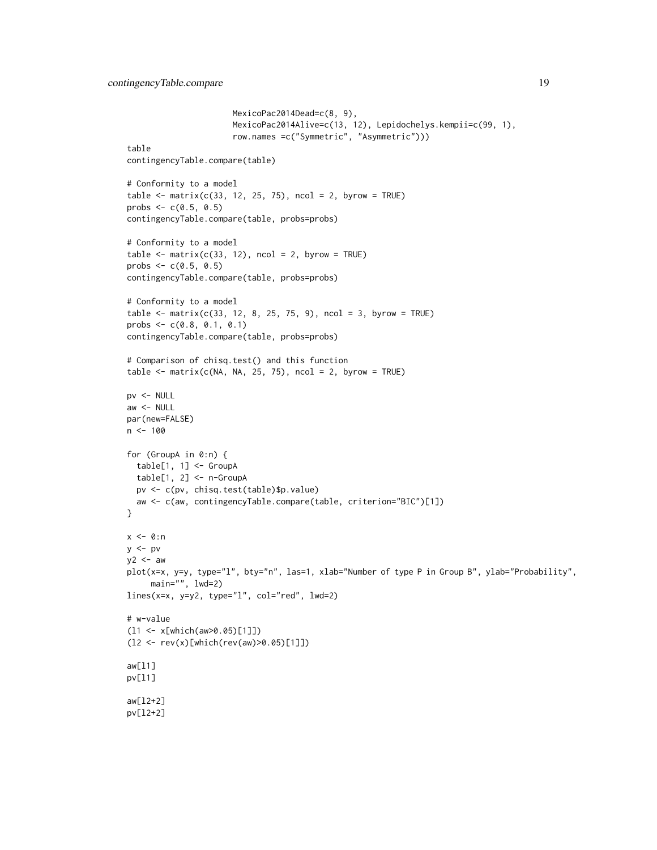```
MexicoPac2014Dead=c(8, 9),
                      MexicoPac2014Alive=c(13, 12), Lepidochelys.kempii=c(99, 1),
                      row.names =c("Symmetric", "Asymmetric")))
table
contingencyTable.compare(table)
# Conformity to a model
table \leq matrix(c(33, 12, 25, 75), ncol = 2, byrow = TRUE)
probs <-c(0.5, 0.5)contingencyTable.compare(table, probs=probs)
# Conformity to a model
table \leq matrix(c(33, 12), ncol = 2, byrow = TRUE)
probs \leq -c(0.5, 0.5)contingencyTable.compare(table, probs=probs)
# Conformity to a model
table \le matrix(c(33, 12, 8, 25, 75, 9), ncol = 3, byrow = TRUE)
probs <- c(0.8, 0.1, 0.1)
contingencyTable.compare(table, probs=probs)
# Comparison of chisq.test() and this function
table \leq matrix(c(NA, NA, 25, 75), ncol = 2, byrow = TRUE)
pv <- NULL
aw <- NULL
par(new=FALSE)
n < - 100for (GroupA in 0:n) {
 table[1, 1] <- GroupA
 table[1, 2] <- n-GroupA
  pv <- c(pv, chisq.test(table)$p.value)
  aw <- c(aw, contingencyTable.compare(table, criterion="BIC")[1])
}
x \le -0:ny \le -py2 < - aw
plot(x=x, y=y, type="l", bty="n", las=1, xlab="Number of type P in Group B", ylab="Probability",
     main="", lwd=2)
lines(x=x, y=y2, type="l", col="red", lwd=2)
# w-value
(l1 <- x[which(aw>0.05)[1]])
(l2 <- rev(x)[which(rev(aw)>0.05)[1]])
aw[l1]
pv[l1]
aw[l2+2]
pv[l2+2]
```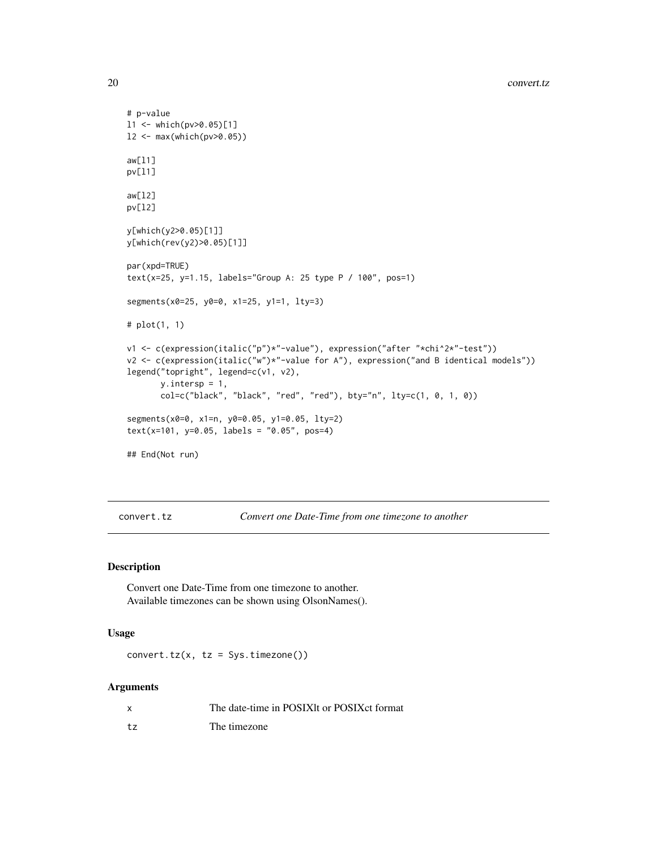```
# p-value
l1 <- which(pv>0.05)[1]
l2 <- max(which(pv>0.05))
aw[l1]
pv[l1]
aw[l2]
pv[l2]
y[which(y2>0.05)[1]]
y[which(rev(y2)>0.05)[1]]
par(xpd=TRUE)
text(x=25, y=1.15, labels="Group A: 25 type P / 100", pos=1)
segments(x0=25, y0=0, x1=25, y1=1, lty=3)
# plot(1, 1)
v1 <- c(expression(italic("p")*"-value"), expression("after "*chi^2*"-test"))
v2 <- c(expression(italic("w")*"-value for A"), expression("and B identical models"))
legend("topright", legend=c(v1, v2),
       y.intersp = 1,
       col=c("black", "black", "red", "red"), bty="n", lty=c(1, 0, 1, 0))
segments(x0=0, x1=n, y0=0.05, y1=0.05, lty=2)
text(x=101, y=0.05, labels = "0.05", pos=4)
## End(Not run)
```
convert.tz *Convert one Date-Time from one timezone to another*

# Description

Convert one Date-Time from one timezone to another. Available timezones can be shown using OlsonNames().

#### Usage

 $convert.tz(x, tz = Sys.timezone())$ 

# Arguments

|    | The date-time in POSIX t or POSIX ct format |
|----|---------------------------------------------|
| tz | The timezone                                |

<span id="page-19-0"></span>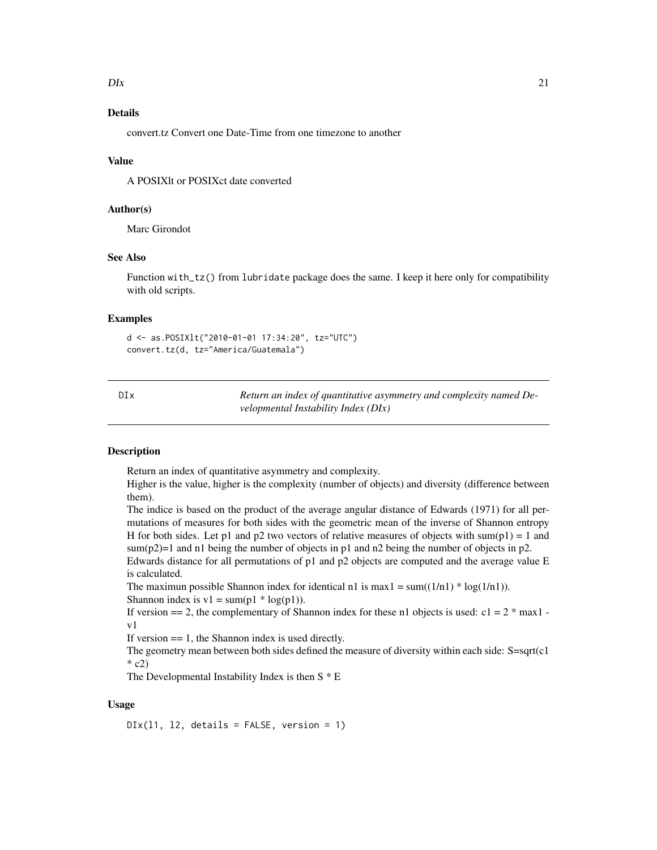#### <span id="page-20-0"></span> $D\text{I}x$  21

# Details

convert.tz Convert one Date-Time from one timezone to another

#### Value

A POSIXlt or POSIXct date converted

#### Author(s)

Marc Girondot

# See Also

Function with\_tz() from lubridate package does the same. I keep it here only for compatibility with old scripts.

#### Examples

```
d <- as.POSIXlt("2010-01-01 17:34:20", tz="UTC")
convert.tz(d, tz="America/Guatemala")
```

| DIx | Return an index of quantitative asymmetry and complexity named De- |
|-----|--------------------------------------------------------------------|
|     | velopmental Instability Index (DIx)                                |

# Description

Return an index of quantitative asymmetry and complexity.

Higher is the value, higher is the complexity (number of objects) and diversity (difference between them).

The indice is based on the product of the average angular distance of Edwards (1971) for all permutations of measures for both sides with the geometric mean of the inverse of Shannon entropy H for both sides. Let p1 and p2 two vectors of relative measures of objects with sum(p1) = 1 and sum(p2)=1 and n1 being the number of objects in p1 and n2 being the number of objects in p2.

Edwards distance for all permutations of p1 and p2 objects are computed and the average value E is calculated.

The maximun possible Shannon index for identical n1 is max1 = sum( $(1/n1)$  \* log( $1/n1$ )). Shannon index is  $v1 = \text{sum}(p1 * \log(p1)).$ 

If version  $=$  2, the complementary of Shannon index for these n1 objects is used: c1 =  $2$  \* max1 v1

If version  $== 1$ , the Shannon index is used directly.

The geometry mean between both sides defined the measure of diversity within each side:  $S = \sqrt{c1}$  $*$  c2)

The Developmental Instability Index is then  $S * E$ 

# Usage

 $\text{DIx}(11, 12, \text{ details} = \text{FALSE}, \text{version} = 1)$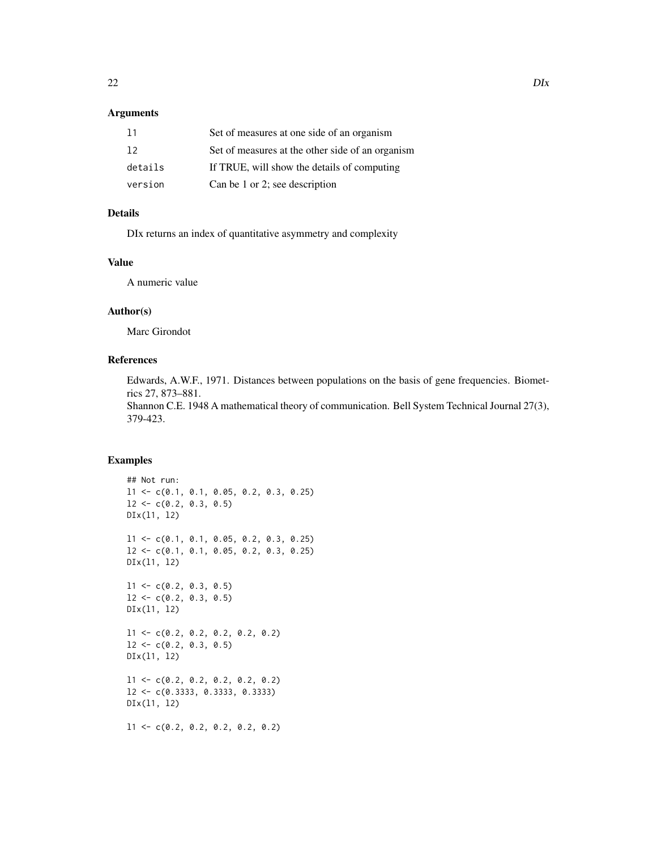# Arguments

| 11      | Set of measures at one side of an organism       |
|---------|--------------------------------------------------|
| 12      | Set of measures at the other side of an organism |
| details | If TRUE, will show the details of computing      |
| version | Can be 1 or 2; see description                   |

# Details

DIx returns an index of quantitative asymmetry and complexity

# Value

A numeric value

# Author(s)

Marc Girondot

# References

Edwards, A.W.F., 1971. Distances between populations on the basis of gene frequencies. Biometrics 27, 873–881.

Shannon C.E. 1948 A mathematical theory of communication. Bell System Technical Journal 27(3), 379-423.

```
## Not run:
l1 <- c(0.1, 0.1, 0.05, 0.2, 0.3, 0.25)
12 \leq -c(0.2, 0.3, 0.5)DIx(l1, l2)
l1 <- c(0.1, 0.1, 0.05, 0.2, 0.3, 0.25)
l2 <- c(0.1, 0.1, 0.05, 0.2, 0.3, 0.25)
DIx(l1, l2)
11 \leftarrow c(0.2, 0.3, 0.5)12 \leftarrow c(0.2, 0.3, 0.5)DIx(l1, l2)
l1 <- c(0.2, 0.2, 0.2, 0.2, 0.2)
12 \leftarrow c(0.2, 0.3, 0.5)DIx(l1, l2)
l1 <- c(0.2, 0.2, 0.2, 0.2, 0.2)
l2 <- c(0.3333, 0.3333, 0.3333)
DIx(l1, l2)
l1 <- c(0.2, 0.2, 0.2, 0.2, 0.2)
```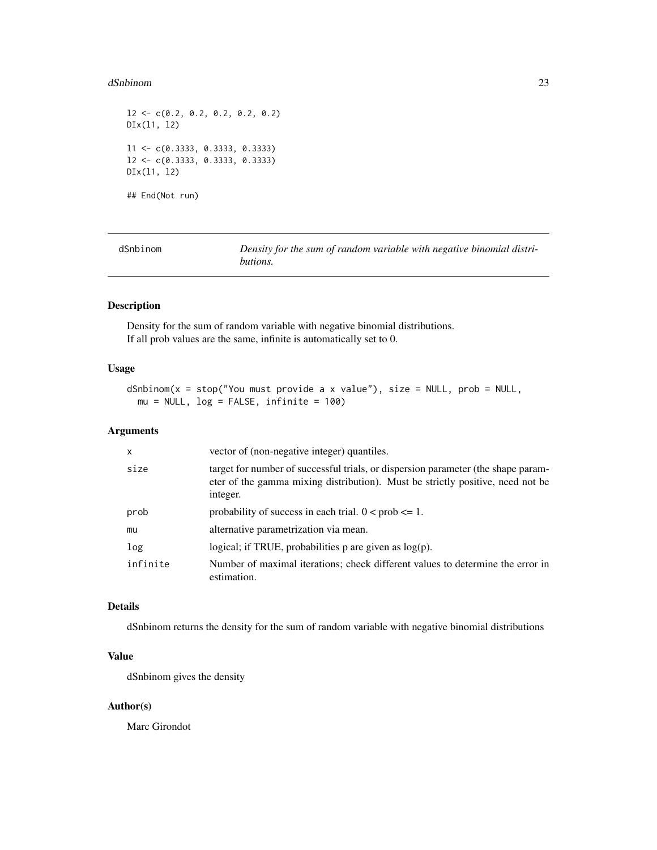#### <span id="page-22-0"></span>dSnbinom 23

```
12 \leftarrow c(0.2, 0.2, 0.2, 0.2, 0.2)DIx(l1, l2)
l1 <- c(0.3333, 0.3333, 0.3333)
l2 <- c(0.3333, 0.3333, 0.3333)
DIx(l1, l2)
## End(Not run)
```

| dSnbinom | Density for the sum of random variable with negative binomial distri- |
|----------|-----------------------------------------------------------------------|
|          | butions.                                                              |

# Description

Density for the sum of random variable with negative binomial distributions. If all prob values are the same, infinite is automatically set to 0.

#### Usage

```
dSnbinom(x = stop("You must provide a x value"), size = NULL, prob = NULL,mu = NULL, log = FALSE, infinite = 100)
```
# Arguments

| $\mathsf{x}$ | vector of (non-negative integer) quantiles.                                                                                                                                     |
|--------------|---------------------------------------------------------------------------------------------------------------------------------------------------------------------------------|
| size         | target for number of successful trials, or dispersion parameter (the shape param-<br>eter of the gamma mixing distribution). Must be strictly positive, need not be<br>integer. |
| prob         | probability of success in each trial. $0 < \text{prob} \leq 1$ .                                                                                                                |
| mu           | alternative parametrization via mean.                                                                                                                                           |
| log          | logical; if TRUE, probabilities $p$ are given as $log(p)$ .                                                                                                                     |
| infinite     | Number of maximal iterations; check different values to determine the error in<br>estimation.                                                                                   |

#### Details

dSnbinom returns the density for the sum of random variable with negative binomial distributions

# Value

dSnbinom gives the density

# Author(s)

Marc Girondot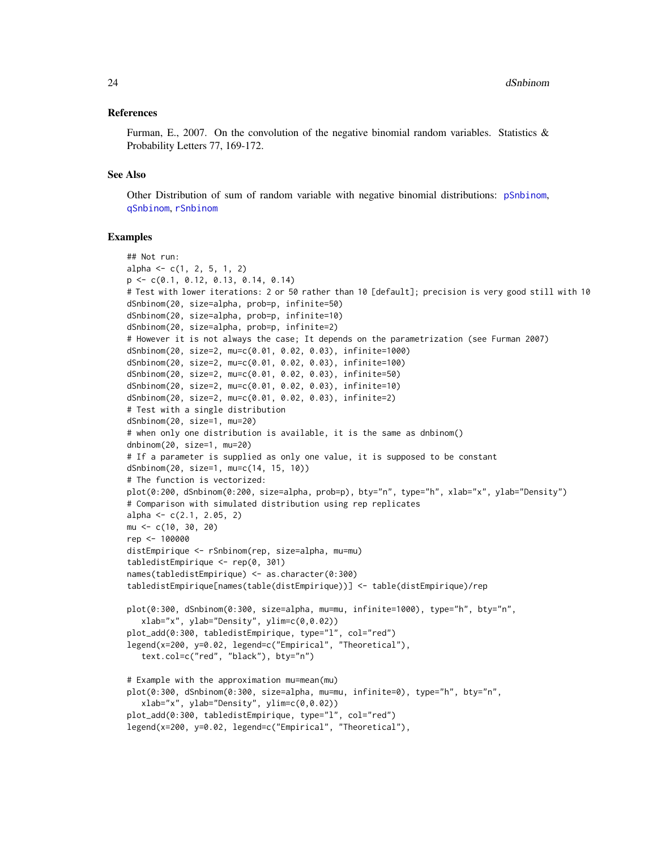#### References

Furman, E., 2007. On the convolution of the negative binomial random variables. Statistics  $\&$ Probability Letters 77, 169-172.

#### See Also

Other Distribution of sum of random variable with negative binomial distributions: [pSnbinom](#page-65-1), [qSnbinom](#page-66-1), [rSnbinom](#page-69-1)

```
## Not run:
alpha \leq c(1, 2, 5, 1, 2)p <- c(0.1, 0.12, 0.13, 0.14, 0.14)
# Test with lower iterations: 2 or 50 rather than 10 [default]; precision is very good still with 10
dSnbinom(20, size=alpha, prob=p, infinite=50)
dSnbinom(20, size=alpha, prob=p, infinite=10)
dSnbinom(20, size=alpha, prob=p, infinite=2)
# However it is not always the case; It depends on the parametrization (see Furman 2007)
dSnbinom(20, size=2, mu=c(0.01, 0.02, 0.03), infinite=1000)
dSnbinom(20, size=2, mu=c(0.01, 0.02, 0.03), infinite=100)
dSnbinom(20, size=2, mu=c(0.01, 0.02, 0.03), infinite=50)
dSnbinom(20, size=2, mu=c(0.01, 0.02, 0.03), infinite=10)
dSnbinom(20, size=2, mu=c(0.01, 0.02, 0.03), infinite=2)
# Test with a single distribution
dSnbinom(20, size=1, mu=20)
# when only one distribution is available, it is the same as dnbinom()
dnbinom(20, size=1, mu=20)
# If a parameter is supplied as only one value, it is supposed to be constant
dSnbinom(20, size=1, mu=c(14, 15, 10))
# The function is vectorized:
plot(0:200, dSnbinom(0:200, size=alpha, prob=p), bty="n", type="h", xlab="x", ylab="Density")
# Comparison with simulated distribution using rep replicates
alpha \leq -c(2.1, 2.05, 2)mu <- c(10, 30, 20)
rep <- 100000
distEmpirique <- rSnbinom(rep, size=alpha, mu=mu)
tabledistEmpirique <- rep(0, 301)
names(tabledistEmpirique) <- as.character(0:300)
tabledistEmpirique[names(table(distEmpirique))] <- table(distEmpirique)/rep
plot(0:300, dSnbinom(0:300, size=alpha, mu=mu, infinite=1000), type="h", bty="n",
  xlab="x", ylab="Density", ylim=c(0,0.02))
plot_add(0:300, tabledistEmpirique, type="l", col="red")
legend(x=200, y=0.02, legend=c("Empirical", "Theoretical"),
   text.col=c("red", "black"), bty="n")
# Example with the approximation mu=mean(mu)
plot(0:300, dSnbinom(0:300, size=alpha, mu=mu, infinite=0), type="h", bty="n",
  xlab="x", ylab="Density", ylim=c(0,0.02))
plot_add(0:300, tabledistEmpirique, type="l", col="red")
legend(x=200, y=0.02, legend=c("Empirical", "Theoretical"),
```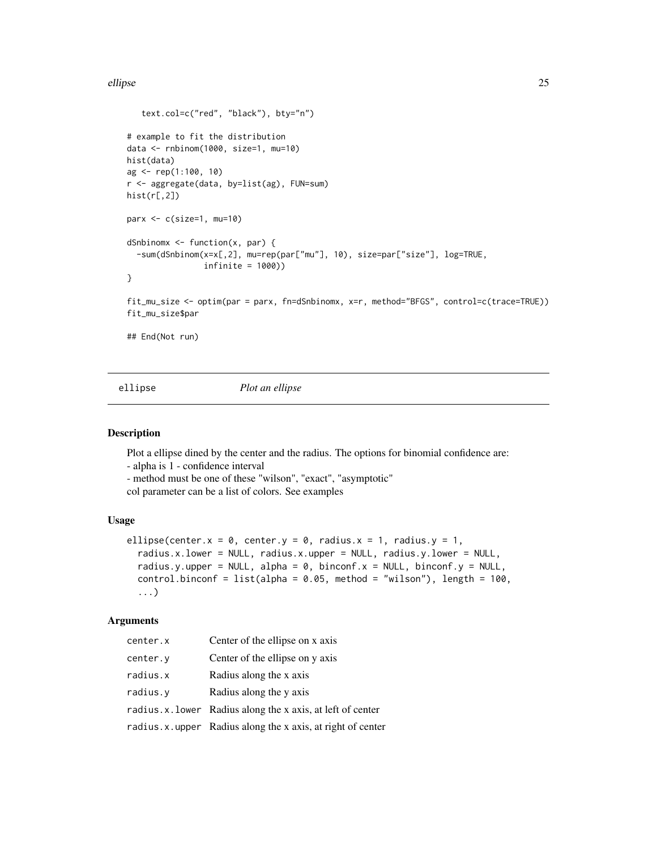#### <span id="page-24-0"></span>ellipse 25

```
text.col=c("red", "black"), bty="n")
# example to fit the distribution
data <- rnbinom(1000, size=1, mu=10)
hist(data)
ag <- rep(1:100, 10)
r <- aggregate(data, by=list(ag), FUN=sum)
hist(r[,2])
parx <- c(size=1, mu=10)
dSnbinomx <- function(x, par) {
  -sum(dSnbinom(x=x[,2], mu=rep(par["mu"], 10), size=par["size"], log=TRUE,
                infinite = 1000))
}
fit_mu_size <- optim(par = parx, fn=dSnbinomx, x=r, method="BFGS", control=c(trace=TRUE))
fit_mu_size$par
## End(Not run)
```
ellipse *Plot an ellipse*

#### Description

Plot a ellipse dined by the center and the radius. The options for binomial confidence are:

- alpha is 1 - confidence interval

- method must be one of these "wilson", "exact", "asymptotic"

```
col parameter can be a list of colors. See examples
```
#### Usage

```
ellipse(center.x = 0, center.y = 0, radius.x = 1, radius.y = 1,
  radius.x.lower = NULL, radius.x.upper = NULL, radius.y.lower = NULL,
  radius.y.upper = NULL, alpha = 0, binconf.x = NULL, binconf.y = NULL,
  control.binconf = list(alpha = 0.05, method = "wilson"), length = 100,
  ...)
```
# Arguments

| center.x | Center of the ellipse on x axis                              |
|----------|--------------------------------------------------------------|
| center.y | Center of the ellipse on y axis                              |
| radius.x | Radius along the x axis                                      |
| radius.v | Radius along the y axis                                      |
|          | radius.x.lower Radius along the x axis, at left of center    |
|          | radius. x. upper Radius along the x axis, at right of center |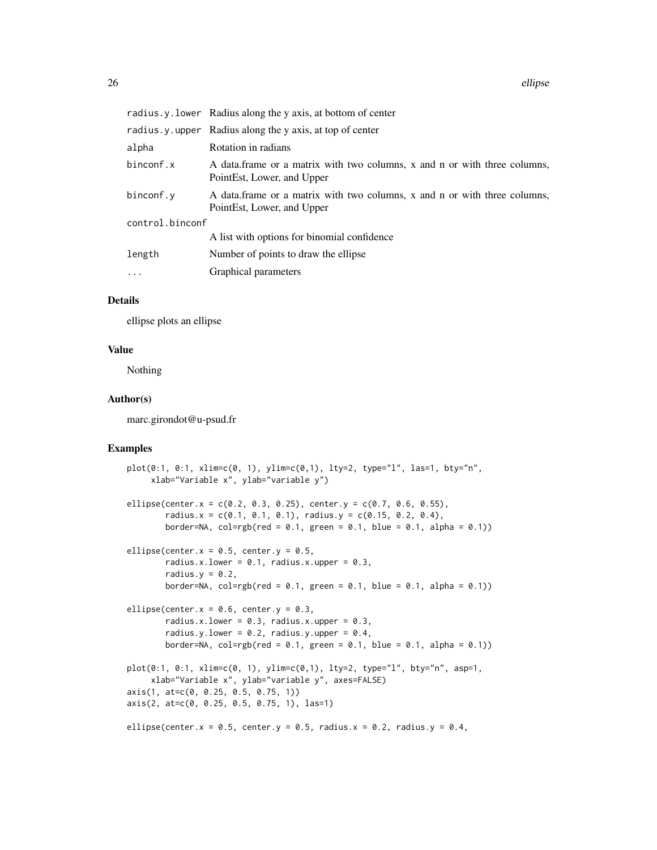|                 | radius.y.lower Radius along the y axis, at bottom of center                                             |  |
|-----------------|---------------------------------------------------------------------------------------------------------|--|
|                 | radius. y. upper Radius along the y axis, at top of center                                              |  |
| alpha           | Rotation in radians                                                                                     |  |
| binconf.x       | A data frame or a matrix with two columns, x and n or with three columns,<br>PointEst, Lower, and Upper |  |
| binconf.v       | A data frame or a matrix with two columns, x and n or with three columns,<br>PointEst, Lower, and Upper |  |
| control.binconf |                                                                                                         |  |
|                 | A list with options for binomial confidence                                                             |  |
| length          | Number of points to draw the ellipse.                                                                   |  |
| $\ddots$        | Graphical parameters                                                                                    |  |

# Details

ellipse plots an ellipse

# Value

Nothing

#### Author(s)

marc.girondot@u-psud.fr

```
plot(0:1, 0:1, xlim=c(0, 1), ylim=c(0,1), lty=2, type="l", las=1, bty="n",
     xlab="Variable x", ylab="variable y")
ellipse(center.x = c(0.2, 0.3, 0.25), center.y = c(0.7, 0.6, 0.55),
        radius.x = c(0.1, 0.1, 0.1), radius.y = c(0.15, 0.2, 0.4),
        border=NA, col=rgb(red = 0.1, green = 0.1, blue = 0.1, alpha = 0.1))
ellipse(center.x = 0.5, center.y = 0.5,
       radius.x.lower = 0.1, radius.x.upper = 0.3,
        radius.y = 0.2,
       border=NA, col=rgb(red = 0.1, green = 0.1, blue = 0.1, alpha = 0.1))ellipse(center.x = 0.6, center.y = 0.3,
       radius.x.lower = 0.3, radius.x.upper = 0.3,
        radius.y.lower = 0.2, radius.y.upper = 0.4,
        border=NA, col=rgb(\text{red} = 0.1, \text{green} = 0.1, \text{blue} = 0.1, \text{alpha} = 0.1)plot(0:1, 0:1, xlim=c(0, 1), ylim=c(0,1), lty=2, type="l", bty="n", asp=1,
     xlab="Variable x", ylab="variable y", axes=FALSE)
axis(1, at=c(0, 0.25, 0.5, 0.75, 1))
axis(2, at=c(0, 0.25, 0.5, 0.75, 1), las=1)
ellipse(center.x = 0.5, center.y = 0.5, radius.x = 0.2, radius.y = 0.4,
```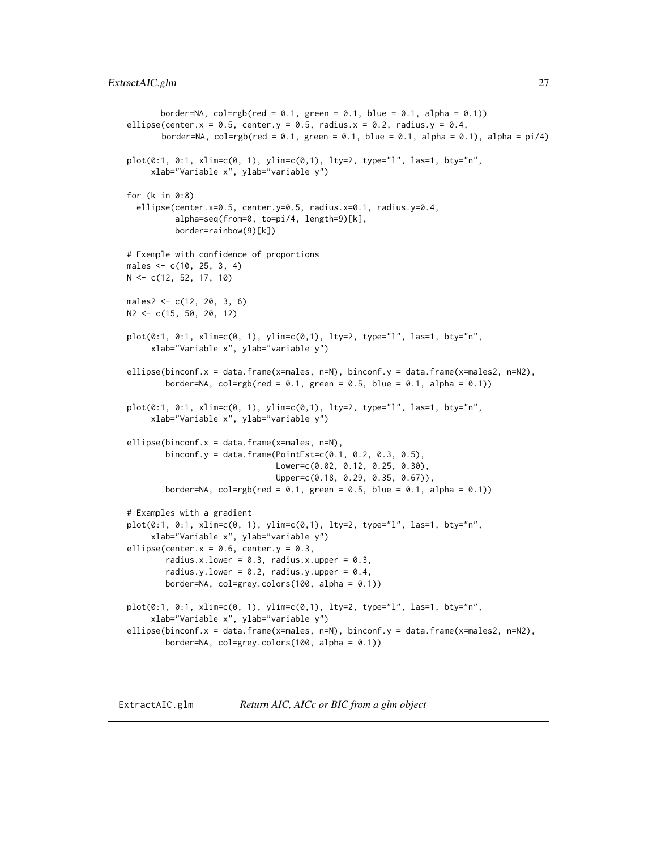```
border=NA, col=rgb(\text{red} = 0.1, \text{green} = 0.1, \text{blue} = 0.1, \text{alpha} = 0.1)ellipse(center.x = 0.5, center.y = 0.5, radius.x = 0.2, radius.y = 0.4,
       border=NA, col=rgb(red = 0.1, green = 0.1, blue = 0.1, alpha = 0.1), alpha = pi/4)plot(0:1, 0:1, xlim=c(0, 1), ylim=c(0,1), lty=2, type="l", las=1, bty="n",
     xlab="Variable x", ylab="variable y")
for (k in 0:8)
  ellipse(center.x=0.5, center.y=0.5, radius.x=0.1, radius.y=0.4,
          alpha=seq(from=0, to=pi/4, length=9)[k],
          border=rainbow(9)[k])
# Exemple with confidence of proportions
males <- c(10, 25, 3, 4)
N <- c(12, 52, 17, 10)
males2 <- c(12, 20, 3, 6)
N2 <- c(15, 50, 20, 12)
plot(0:1, 0:1, xlim=c(0, 1), ylim=c(0,1), lty=2, type="l", las=1, bty="n",
     xlab="Variable x", ylab="variable y")
ellipse(binconf.x = data.frame(x=males, n=N), binconf.y = data.frame(x=males2, n=N2),
        border=NA, col=rgb(\text{red} = 0.1, \text{green} = 0.5, \text{blue} = 0.1, \text{alpha} = 0.1))
plot(0:1, 0:1, xlim=c(0, 1), ylim=c(0,1), lty=2, type="l", las=1, bty="n",
     xlab="Variable x", ylab="variable y")
ellipse(binconf.x = data.frame(x=males, n=N),
        binconf.y = data.frame(PointEst=c(0.1, 0.2, 0.3, 0.5),
                                Lower=c(0.02, 0.12, 0.25, 0.30),
                                Upper=c(0.18, 0.29, 0.35, 0.67)),
        border=NA, col=rgb(\text{red} = 0.1, \text{green} = 0.5, \text{blue} = 0.1, \text{alpha} = 0.1)# Examples with a gradient
plot(0:1, 0:1, xlim=c(0, 1), ylim=c(0,1), lty=2, type="l", las=1, bty="n",
     xlab="Variable x", ylab="variable y")
ellipse(center.x = 0.6, center.y = 0.3,
        radius.x.lower = 0.3, radius.x.upper = 0.3,
        radius.y.lower = 0.2, radius.y.upper = 0.4,
        border=NA, col=grey.colors(100, alpha = 0.1))
plot(0:1, 0:1, xlim=c(0, 1), ylim=c(0,1), lty=2, type="l", las=1, bty="n",
     xlab="Variable x", ylab="variable y")
ellipse(binconf.x = data.frame(x=males, n=N), binconf.y = data.frame(x=males2, n=N2),
        border=NA, col=grey.colors(100, alpha = 0.1))
```
<span id="page-26-1"></span>ExtractAIC.glm *Return AIC, AICc or BIC from a glm object*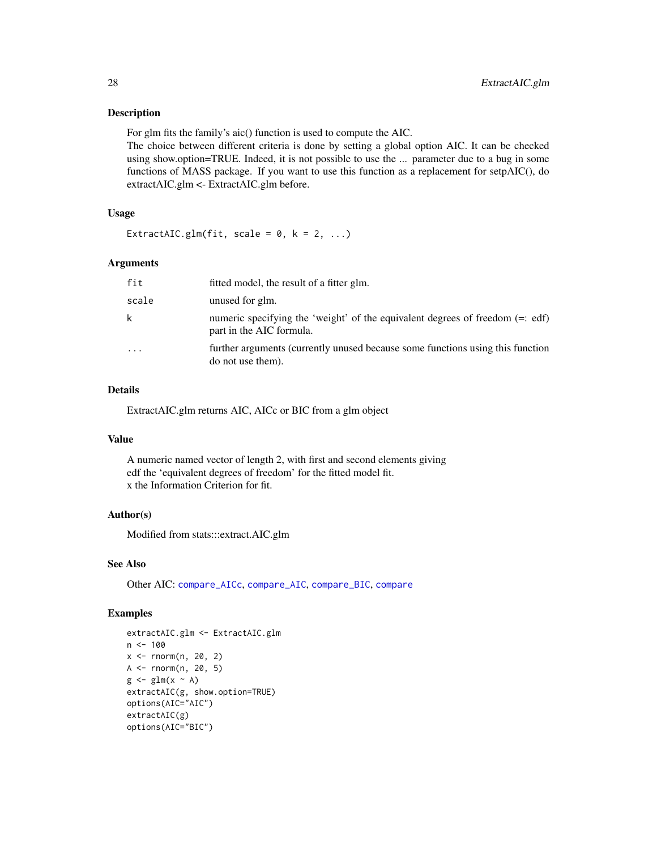#### Description

For glm fits the family's aic() function is used to compute the AIC.

The choice between different criteria is done by setting a global option AIC. It can be checked using show.option=TRUE. Indeed, it is not possible to use the ... parameter due to a bug in some functions of MASS package. If you want to use this function as a replacement for setpAIC(), do extractAIC.glm <- ExtractAIC.glm before.

# Usage

ExtractAIC.glm(fit, scale =  $0, k = 2, ...$ )

# Arguments

| fit   | fitted model, the result of a fitter glm.                                                                   |
|-------|-------------------------------------------------------------------------------------------------------------|
| scale | unused for glm.                                                                                             |
| k.    | numeric specifying the 'weight' of the equivalent degrees of freedom $(=:$ edf)<br>part in the AIC formula. |
| .     | further arguments (currently unused because some functions using this function<br>do not use them).         |

# Details

ExtractAIC.glm returns AIC, AICc or BIC from a glm object

#### Value

A numeric named vector of length 2, with first and second elements giving edf the 'equivalent degrees of freedom' for the fitted model fit. x the Information Criterion for fit.

# Author(s)

Modified from stats:::extract.AIC.glm

#### See Also

Other AIC: [compare\\_AICc](#page-14-1), [compare\\_AIC](#page-12-1), [compare\\_BIC](#page-15-1), [compare](#page-12-2)

```
extractAIC.glm <- ExtractAIC.glm
n < -100x \le rnorm(n, 20, 2)
A \leq rnorm(n, 20, 5)g \leftarrow glm(x \sim A)extractAIC(g, show.option=TRUE)
options(AIC="AIC")
extractAIC(g)
options(AIC="BIC")
```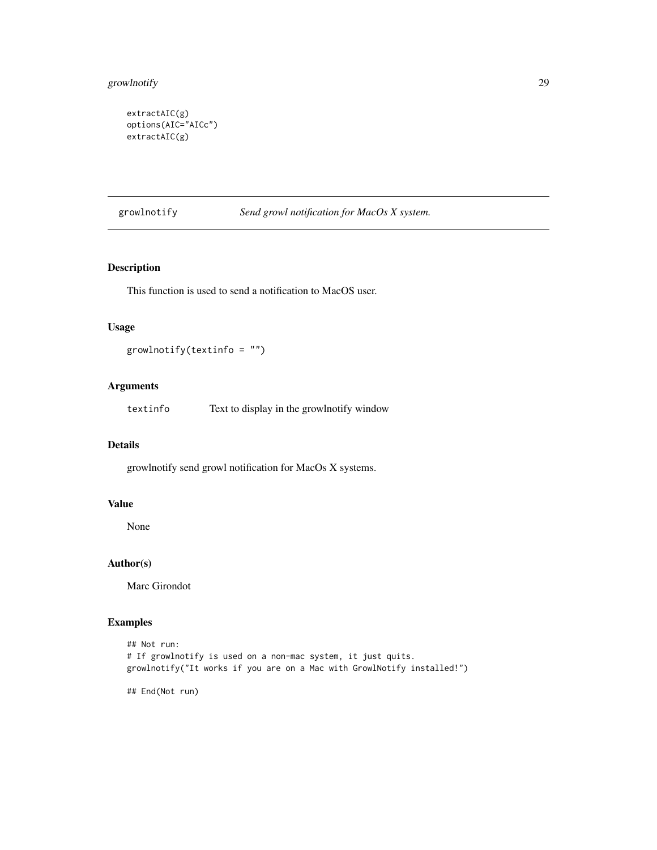# <span id="page-28-0"></span>growlnotify 29

```
extractAIC(g)
options(AIC="AICc")
extractAIC(g)
```
# growlnotify *Send growl notification for MacOs X system.*

# Description

This function is used to send a notification to MacOS user.

# Usage

```
growlnotify(textinfo = ")
```
# Arguments

textinfo Text to display in the growlnotify window

#### Details

growlnotify send growl notification for MacOs X systems.

# Value

None

# Author(s)

Marc Girondot

# Examples

```
## Not run:
# If growlnotify is used on a non-mac system, it just quits.
growlnotify("It works if you are on a Mac with GrowlNotify installed!")
```
## End(Not run)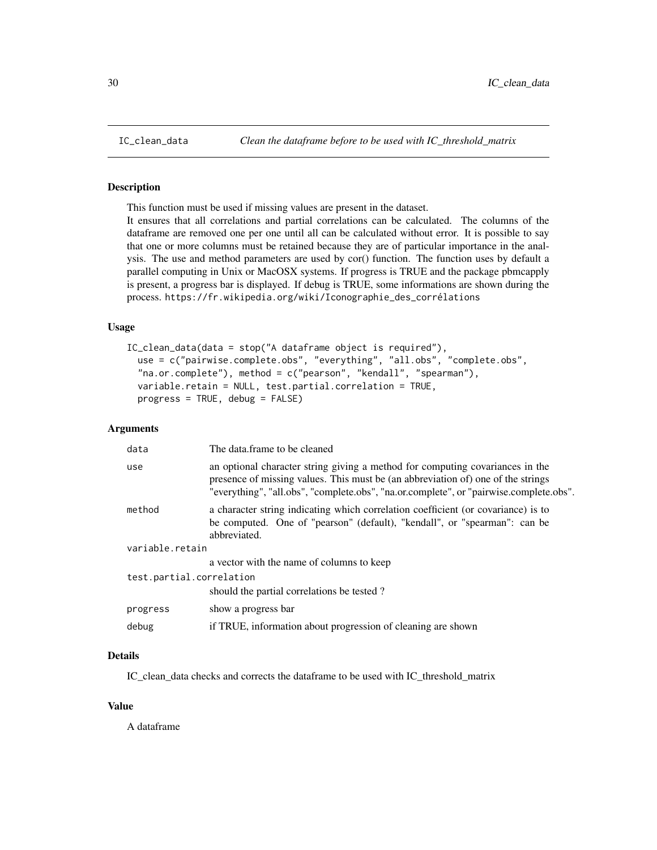#### Description

This function must be used if missing values are present in the dataset.

It ensures that all correlations and partial correlations can be calculated. The columns of the dataframe are removed one per one until all can be calculated without error. It is possible to say that one or more columns must be retained because they are of particular importance in the analysis. The use and method parameters are used by cor() function. The function uses by default a parallel computing in Unix or MacOSX systems. If progress is TRUE and the package pbmcapply is present, a progress bar is displayed. If debug is TRUE, some informations are shown during the process. https://fr.wikipedia.org/wiki/Iconographie\_des\_corrélations

# Usage

```
IC_clean_data(data = stop("A dataframe object is required"),
  use = c("pairwise.complete.obs", "everything", "all.obs", "complete.obs",
  "na.or.complete"), method = c("pearson", "kendall", "spearman"),
  variable.retain = NULL, test.partial.correlation = TRUE,
 progress = TRUE, debug = FALSE)
```
#### Arguments

| data                     | The data.frame to be cleaned                                                                                                                                                                                                                                |  |
|--------------------------|-------------------------------------------------------------------------------------------------------------------------------------------------------------------------------------------------------------------------------------------------------------|--|
| use                      | an optional character string giving a method for computing covariances in the<br>presence of missing values. This must be (an abbreviation of) one of the strings<br>"everything", "all.obs", "complete.obs", "na.or.complete", or "pairwise.complete.obs". |  |
| method                   | a character string indicating which correlation coefficient (or covariance) is to<br>be computed. One of "pearson" (default), "kendall", or "spearman": can be<br>abbreviated.                                                                              |  |
| variable.retain          |                                                                                                                                                                                                                                                             |  |
|                          | a vector with the name of columns to keep                                                                                                                                                                                                                   |  |
| test.partial.correlation |                                                                                                                                                                                                                                                             |  |
|                          | should the partial correlations be tested?                                                                                                                                                                                                                  |  |
| progress                 | show a progress bar                                                                                                                                                                                                                                         |  |
| debug                    | if TRUE, information about progression of cleaning are shown                                                                                                                                                                                                |  |

# Details

IC\_clean\_data checks and corrects the dataframe to be used with IC\_threshold\_matrix

#### Value

A dataframe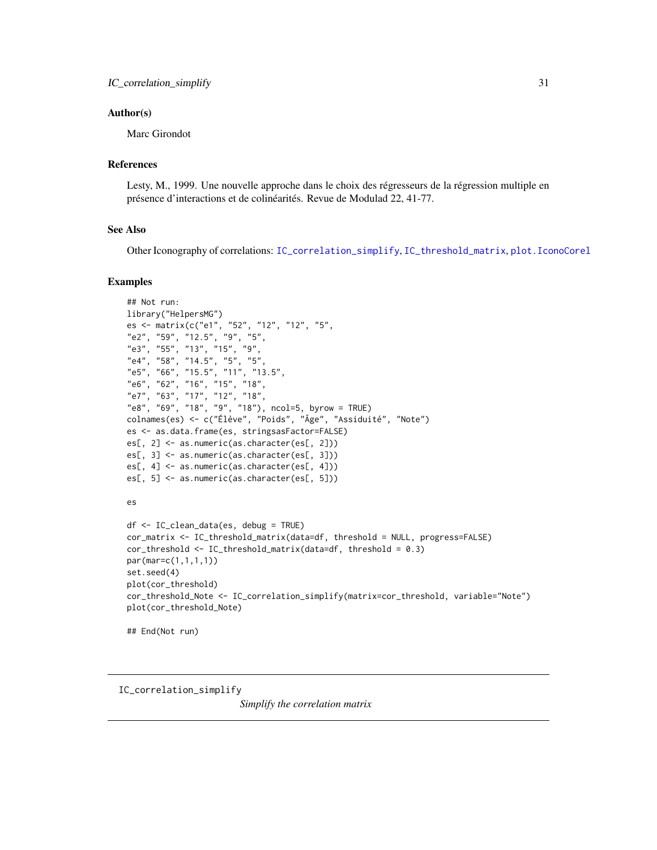#### <span id="page-30-0"></span>Author(s)

Marc Girondot

# References

Lesty, M., 1999. Une nouvelle approche dans le choix des régresseurs de la régression multiple en présence d'interactions et de colinéarités. Revue de Modulad 22, 41-77.

# See Also

Other Iconography of correlations: [IC\\_correlation\\_simplify](#page-30-1), [IC\\_threshold\\_matrix](#page-32-1), [plot.IconoCorel](#page-55-1)

#### Examples

```
## Not run:
library("HelpersMG")
es <- matrix(c("e1", "52", "12", "12", "5",
"e2", "59", "12.5", "9", "5",
"e3", "55", "13", "15", "9",
"e4", "58", "14.5", "5", "5",
"e5", "66", "15.5", "11", "13.5",
"e6", "62", "16", "15", "18",
"e7", "63", "17", "12", "18",
"e8", "69", "18", "9", "18"), ncol=5, byrow = TRUE)
colnames(es) <- c("Élève", "Poids", "Âge", "Assiduité", "Note")
es <- as.data.frame(es, stringsasFactor=FALSE)
es[, 2] <- as.numeric(as.character(es[, 2]))
es[, 3] <- as.numeric(as.character(es[, 3]))
es[, 4] <- as.numeric(as.character(es[, 4]))
es[, 5] <- as.numeric(as.character(es[, 5]))
es
df <- IC_clean_data(es, debug = TRUE)
cor_matrix <- IC_threshold_matrix(data=df, threshold = NULL, progress=FALSE)
cor_threshold <- IC_threshold_matrix(data=df, threshold = 0.3)
par(mar=c(1,1,1,1))
set.seed(4)
plot(cor_threshold)
cor_threshold_Note <- IC_correlation_simplify(matrix=cor_threshold, variable="Note")
plot(cor_threshold_Note)
```

```
## End(Not run)
```
<span id="page-30-1"></span>IC\_correlation\_simplify

*Simplify the correlation matrix*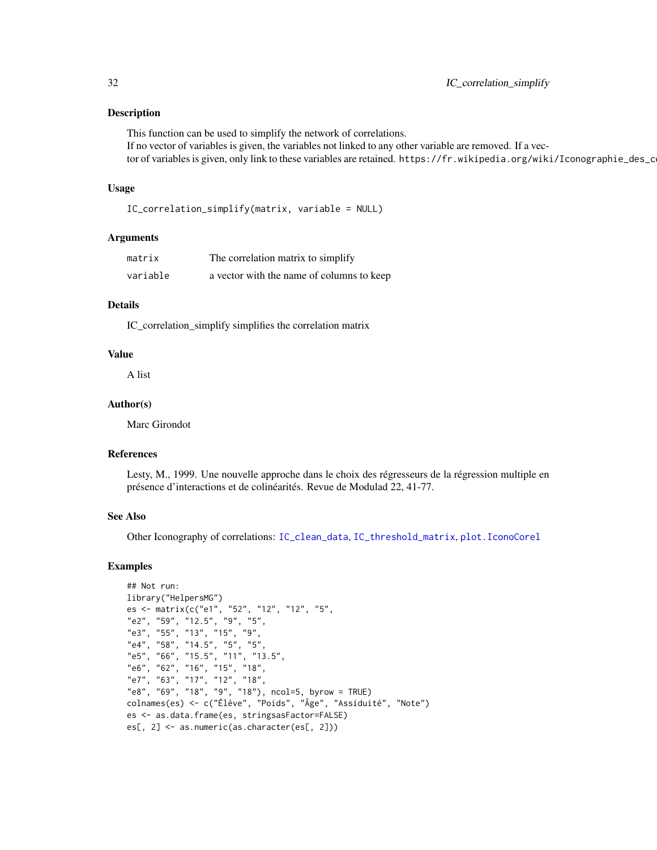#### Description

This function can be used to simplify the network of correlations. If no vector of variables is given, the variables not linked to any other variable are removed. If a vector of variables is given, only link to these variables are retained. https://fr.wikipedia.org/wiki/Iconographie\_des\_c

# Usage

```
IC_correlation_simplify(matrix, variable = NULL)
```
#### Arguments

| matrix   | The correlation matrix to simplify        |
|----------|-------------------------------------------|
| variable | a vector with the name of columns to keep |

# Details

IC\_correlation\_simplify simplifies the correlation matrix

# Value

A list

#### Author(s)

Marc Girondot

# References

Lesty, M., 1999. Une nouvelle approche dans le choix des régresseurs de la régression multiple en présence d'interactions et de colinéarités. Revue de Modulad 22, 41-77.

# See Also

Other Iconography of correlations: [IC\\_clean\\_data](#page-29-1), [IC\\_threshold\\_matrix](#page-32-1), [plot.IconoCorel](#page-55-1)

```
## Not run:
library("HelpersMG")
es <- matrix(c("e1", "52", "12", "12", "5",
"e2", "59", "12.5", "9", "5",
"e3", "55", "13", "15", "9",
"e4", "58", "14.5", "5", "5",
"e5", "66", "15.5", "11", "13.5",
"e6", "62", "16", "15", "18",
"e7", "63", "17", "12", "18",
"e8", "69", "18", "9", "18"), ncol=5, byrow = TRUE)
colnames(es) <- c("Élève", "Poids", "Âge", "Assiduité", "Note")
es <- as.data.frame(es, stringsasFactor=FALSE)
es[, 2] <- as.numeric(as.character(es[, 2]))
```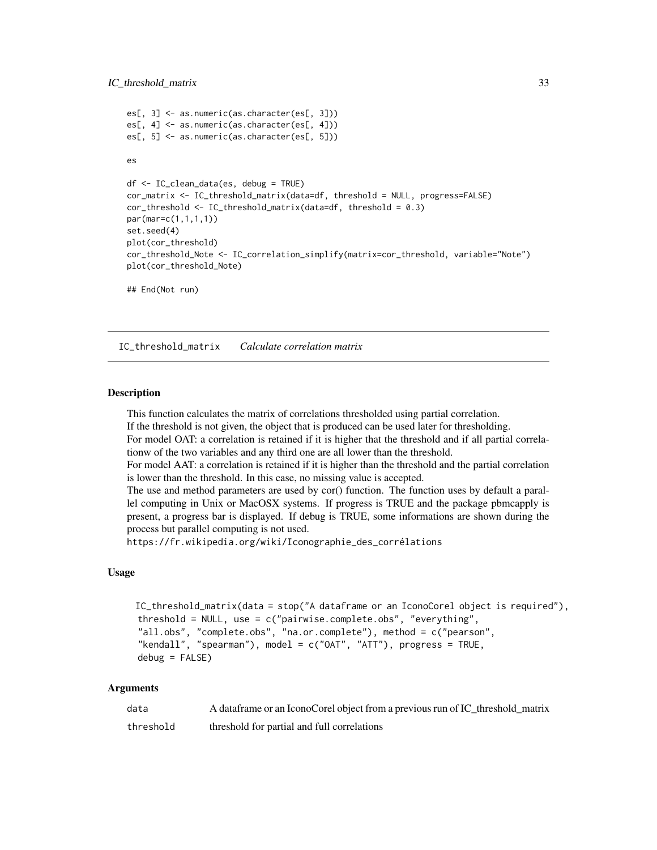#### <span id="page-32-0"></span>IC\_threshold\_matrix 33

```
es[, 3] <- as.numeric(as.character(es[, 3]))
es[, 4] <- as.numeric(as.character(es[, 4]))
es[, 5] <- as.numeric(as.character(es[, 5]))
es
df <- IC_clean_data(es, debug = TRUE)
cor_matrix <- IC_threshold_matrix(data=df, threshold = NULL, progress=FALSE)
cor_threshold <- IC_threshold_matrix(data=df, threshold = 0.3)
par(mar=c(1,1,1,1))
set.seed(4)
plot(cor_threshold)
cor_threshold_Note <- IC_correlation_simplify(matrix=cor_threshold, variable="Note")
plot(cor_threshold_Note)
## End(Not run)
```
<span id="page-32-1"></span>IC\_threshold\_matrix *Calculate correlation matrix*

#### Description

This function calculates the matrix of correlations thresholded using partial correlation.

If the threshold is not given, the object that is produced can be used later for thresholding.

For model OAT: a correlation is retained if it is higher that the threshold and if all partial correlationw of the two variables and any third one are all lower than the threshold.

For model AAT: a correlation is retained if it is higher than the threshold and the partial correlation is lower than the threshold. In this case, no missing value is accepted.

The use and method parameters are used by cor() function. The function uses by default a parallel computing in Unix or MacOSX systems. If progress is TRUE and the package pbmcapply is present, a progress bar is displayed. If debug is TRUE, some informations are shown during the process but parallel computing is not used.

https://fr.wikipedia.org/wiki/Iconographie\_des\_corrélations

# Usage

```
IC_threshold_matrix(data = stop("A dataframe or an IconoCorel object is required"),
threshold = NULL, use = c("pairwise.complete.obs", "everything",
"all.obs", "complete.obs", "na.or.complete"), method = c("pearson",
"kendall", "spearman"), model = c("OAT", "ATT"), progress = TRUE,
debug = FALSE)
```
#### Arguments

| data      | A dataframe or an IconoCorel object from a previous run of IC_threshold_matrix |
|-----------|--------------------------------------------------------------------------------|
| threshold | threshold for partial and full correlations                                    |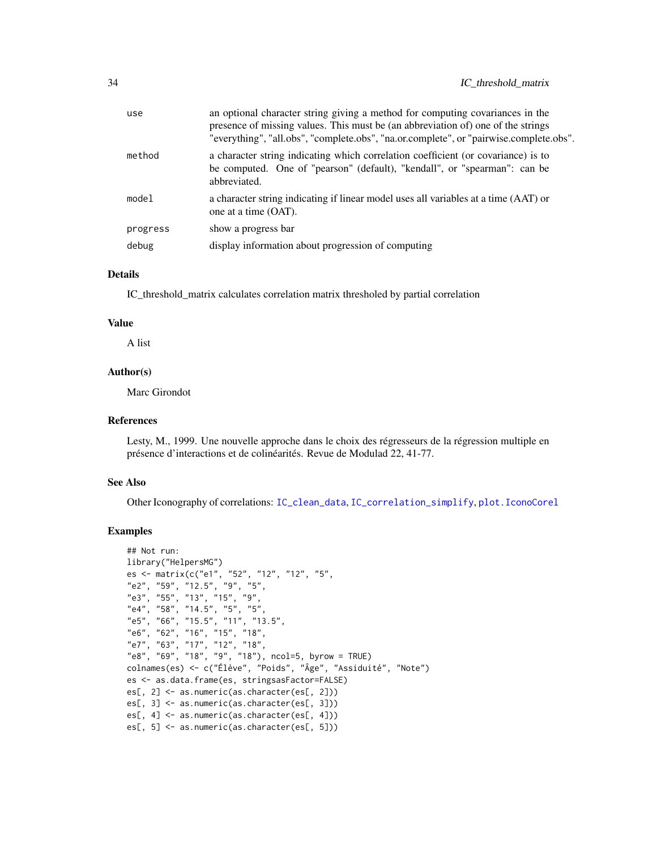| use      | an optional character string giving a method for computing covariances in the<br>presence of missing values. This must be (an abbreviation of) one of the strings<br>"everything", "all.obs", "complete.obs", "na.or.complete", or "pairwise.complete.obs". |
|----------|-------------------------------------------------------------------------------------------------------------------------------------------------------------------------------------------------------------------------------------------------------------|
| method   | a character string indicating which correlation coefficient (or covariance) is to<br>be computed. One of "pearson" (default), "kendall", or "spearman": can be<br>abbreviated.                                                                              |
| model    | a character string indicating if linear model uses all variables at a time (AAT) or<br>one at a time (OAT).                                                                                                                                                 |
| progress | show a progress bar                                                                                                                                                                                                                                         |
| debug    | display information about progression of computing                                                                                                                                                                                                          |
|          |                                                                                                                                                                                                                                                             |

#### Details

IC\_threshold\_matrix calculates correlation matrix thresholed by partial correlation

#### Value

A list

# Author(s)

Marc Girondot

#### References

Lesty, M., 1999. Une nouvelle approche dans le choix des régresseurs de la régression multiple en présence d'interactions et de colinéarités. Revue de Modulad 22, 41-77.

# See Also

Other Iconography of correlations: [IC\\_clean\\_data](#page-29-1), [IC\\_correlation\\_simplify](#page-30-1), [plot.IconoCorel](#page-55-1)

```
## Not run:
library("HelpersMG")
es <- matrix(c("e1", "52", "12", "12", "5",
"e2", "59", "12.5", "9", "5",
"e3", "55", "13", "15", "9",
"e4", "58", "14.5", "5", "5",
"e5", "66", "15.5", "11", "13.5",
"e6", "62", "16", "15", "18",
"e7", "63", "17", "12", "18",
"e8", "69", "18", "9", "18"), ncol=5, byrow = TRUE)
colnames(es) <- c("Élève", "Poids", "Âge", "Assiduité", "Note")
es <- as.data.frame(es, stringsasFactor=FALSE)
es[, 2] <- as.numeric(as.character(es[, 2]))
es[, 3] <- as.numeric(as.character(es[, 3]))
es[, 4] <- as.numeric(as.character(es[, 4]))
es[, 5] <- as.numeric(as.character(es[, 5]))
```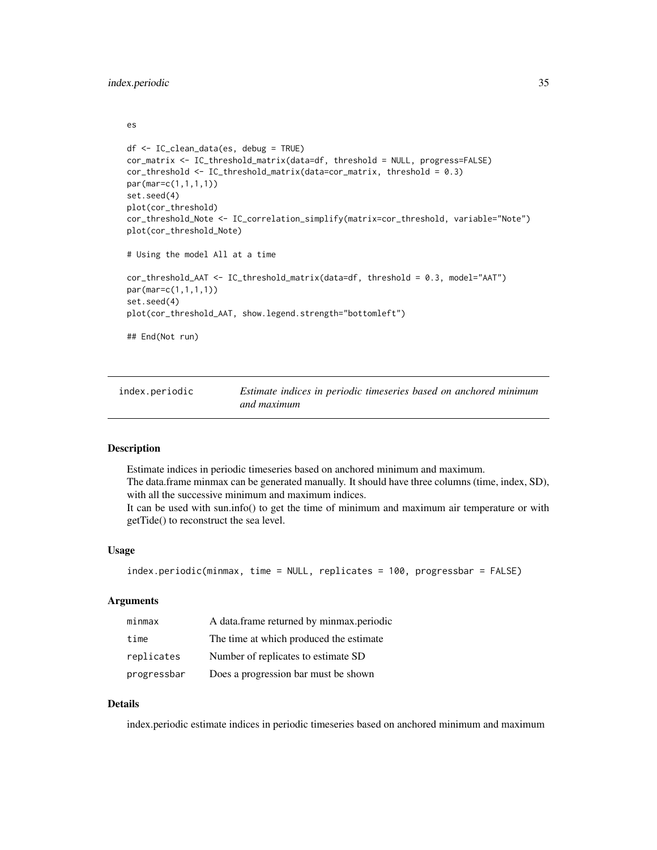<span id="page-34-0"></span>es

```
df <- IC_clean_data(es, debug = TRUE)
cor_matrix <- IC_threshold_matrix(data=df, threshold = NULL, progress=FALSE)
cor_threshold <- IC_threshold_matrix(data=cor_matrix, threshold = 0.3)
par(mar=c(1,1,1,1))
set.seed(4)
plot(cor_threshold)
cor_threshold_Note <- IC_correlation_simplify(matrix=cor_threshold, variable="Note")
plot(cor_threshold_Note)
# Using the model All at a time
cor_threshold_AAT <- IC_threshold_matrix(data=df, threshold = 0.3, model="AAT")
par(mar=c(1,1,1,1))
set.seed(4)
plot(cor_threshold_AAT, show.legend.strength="bottomleft")
## End(Not run)
```
index.periodic *Estimate indices in periodic timeseries based on anchored minimum and maximum*

# Description

Estimate indices in periodic timeseries based on anchored minimum and maximum. The data.frame minmax can be generated manually. It should have three columns (time, index, SD), with all the successive minimum and maximum indices.

It can be used with sun.info() to get the time of minimum and maximum air temperature or with getTide() to reconstruct the sea level.

#### Usage

```
index.periodic(minmax, time = NULL, replicates = 100, progressbar = FALSE)
```
# Arguments

| minmax      | A data frame returned by minmax periodic |
|-------------|------------------------------------------|
| time        | The time at which produced the estimate  |
| replicates  | Number of replicates to estimate SD      |
| progressbar | Does a progression bar must be shown     |

# Details

index.periodic estimate indices in periodic timeseries based on anchored minimum and maximum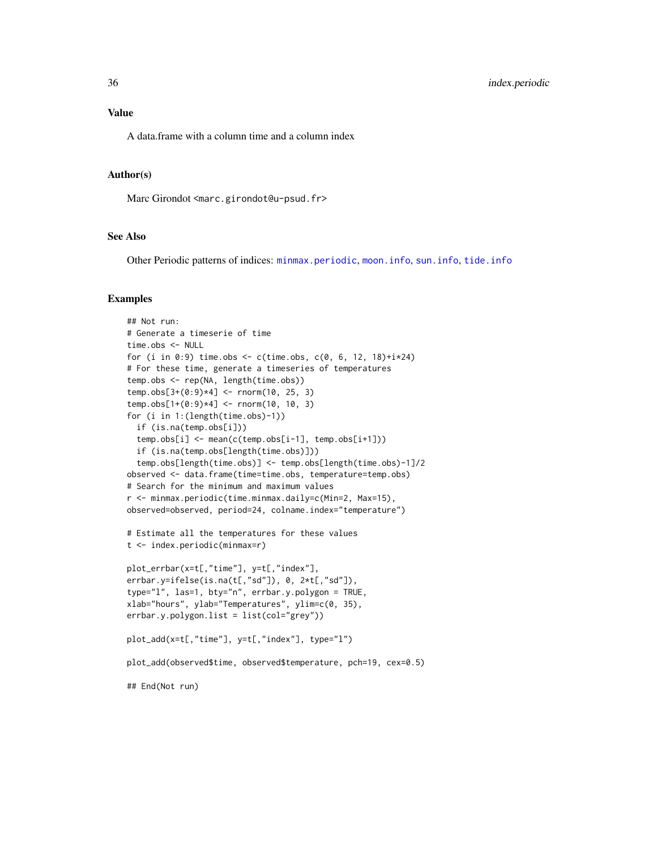# Value

A data.frame with a column time and a column index

# Author(s)

Marc Girondot <marc.girondot@u-psud.fr>

# See Also

Other Periodic patterns of indices: [minmax.periodic](#page-48-1), [moon.info](#page-52-1), [sun.info](#page-78-1), [tide.info](#page-83-1)

```
## Not run:
# Generate a timeserie of time
time.obs <- NULL
for (i in 0:9) time.obs \leq c(time.obs, c(0, 6, 12, 18)+i\neq24)
# For these time, generate a timeseries of temperatures
temp.obs <- rep(NA, length(time.obs))
temp.obs[3+(0:9)*4] <- rnorm(10, 25, 3)
temp.obs[1+(0:9)*4] <- rnorm(10, 10, 3)
for (i in 1:(length(time.obs)-1))
 if (is.na(temp.obs[i]))
 temp.obs[i] <- mean(c(temp.obs[i-1], temp.obs[i+1]))
 if (is.na(temp.obs[length(time.obs)]))
 temp.obs[length(time.obs)] <- temp.obs[length(time.obs)-1]/2
observed <- data.frame(time=time.obs, temperature=temp.obs)
# Search for the minimum and maximum values
r <- minmax.periodic(time.minmax.daily=c(Min=2, Max=15),
observed=observed, period=24, colname.index="temperature")
# Estimate all the temperatures for these values
t <- index.periodic(minmax=r)
plot_errbar(x=t[,"time"], y=t[,"index"],
errbar.y=ifelse(is.na(t[,"sd"]), 0, 2*t[,"sd"]),
type="l", las=1, bty="n", errbar.y.polygon = TRUE,
xlab="hours", ylab="Temperatures", ylim=c(0, 35),
errbar.y.polygon.list = list(col="grey"))
plot_add(x=t[,"time"], y=t[,"index"], type="l")
plot_add(observed$time, observed$temperature, pch=19, cex=0.5)
## End(Not run)
```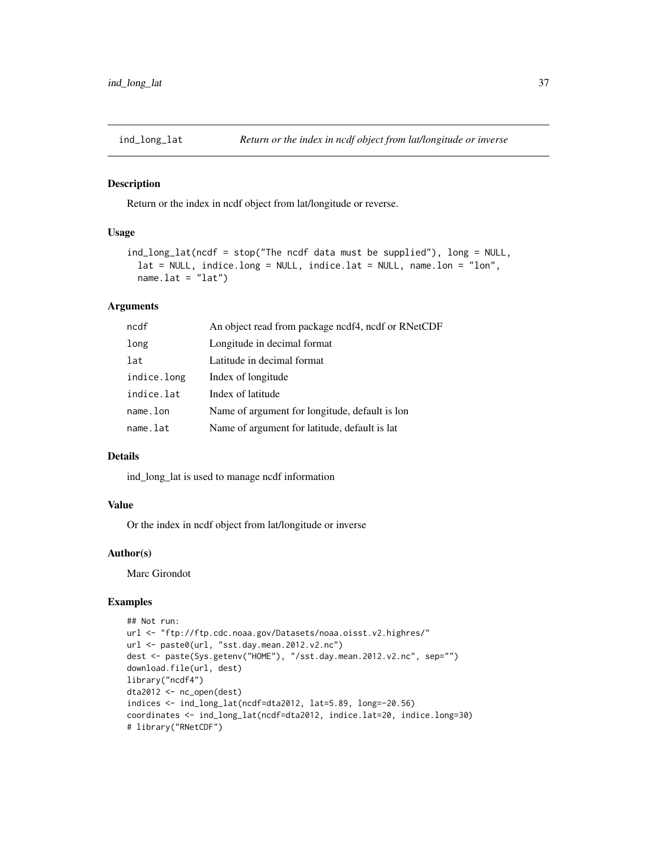Return or the index in ncdf object from lat/longitude or reverse.

#### Usage

```
ind_long_lat(ncdf = stop("The ncdf data must be supplied"), long = NULL,
 lat = NULL, indice.long = NULL, indice.lat = NULL, name.lon = "lon",
 name.lat = "lat")
```
# Arguments

| ncdf        | An object read from package ncdf4, ncdf or RNetCDF |
|-------------|----------------------------------------------------|
| long        | Longitude in decimal format                        |
| lat         | Latitude in decimal format                         |
| indice.long | Index of longitude                                 |
| indice.lat  | Index of latitude                                  |
| name.lon    | Name of argument for longitude, default is lon     |
| name.lat    | Name of argument for latitude, default is lat      |

#### Details

ind\_long\_lat is used to manage ncdf information

# Value

Or the index in ncdf object from lat/longitude or inverse

## Author(s)

Marc Girondot

# Examples

```
## Not run:
url <- "ftp://ftp.cdc.noaa.gov/Datasets/noaa.oisst.v2.highres/"
url <- paste0(url, "sst.day.mean.2012.v2.nc")
dest <- paste(Sys.getenv("HOME"), "/sst.day.mean.2012.v2.nc", sep="")
download.file(url, dest)
library("ncdf4")
dta2012 <- nc_open(dest)
indices <- ind_long_lat(ncdf=dta2012, lat=5.89, long=-20.56)
coordinates <- ind_long_lat(ncdf=dta2012, indice.lat=20, indice.long=30)
# library("RNetCDF")
```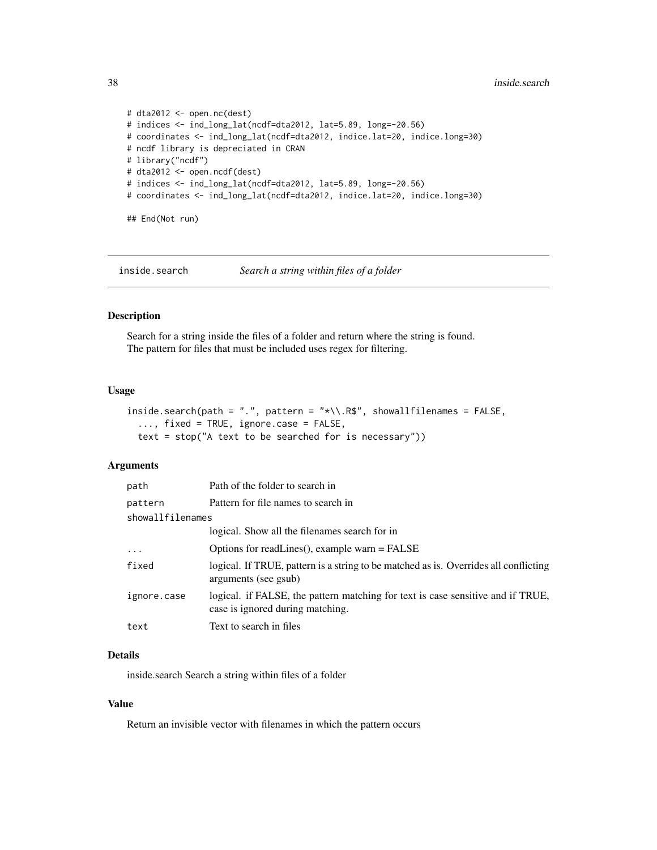```
# dta2012 <- open.nc(dest)
# indices <- ind_long_lat(ncdf=dta2012, lat=5.89, long=-20.56)
# coordinates <- ind_long_lat(ncdf=dta2012, indice.lat=20, indice.long=30)
# ncdf library is depreciated in CRAN
# library("ncdf")
# dta2012 <- open.ncdf(dest)
# indices <- ind_long_lat(ncdf=dta2012, lat=5.89, long=-20.56)
# coordinates <- ind_long_lat(ncdf=dta2012, indice.lat=20, indice.long=30)
## End(Not run)
```
inside.search *Search a string within files of a folder*

#### Description

Search for a string inside the files of a folder and return where the string is found. The pattern for files that must be included uses regex for filtering.

#### Usage

```
inside.search(path = ".", pattern = "*\\.R$", showallfilenames = FALSE,
  ..., fixed = TRUE, ignore.case = FALSE,
  text = stop("A text to be searched for is necessary"))
```
# Arguments

| path             | Path of the folder to search in                                                                                     |
|------------------|---------------------------------------------------------------------------------------------------------------------|
| pattern          | Pattern for file names to search in                                                                                 |
| showallfilenames |                                                                                                                     |
|                  | logical. Show all the filenames search for in                                                                       |
| $\ddots$ .       | Options for readLines(), example warn = FALSE                                                                       |
| fixed            | logical. If TRUE, pattern is a string to be matched as is. Overrides all conflicting<br>arguments (see gsub)        |
| ignore.case      | logical. if FALSE, the pattern matching for text is case sensitive and if TRUE,<br>case is ignored during matching. |
| text             | Text to search in files                                                                                             |
|                  |                                                                                                                     |

## Details

inside.search Search a string within files of a folder

# Value

Return an invisible vector with filenames in which the pattern occurs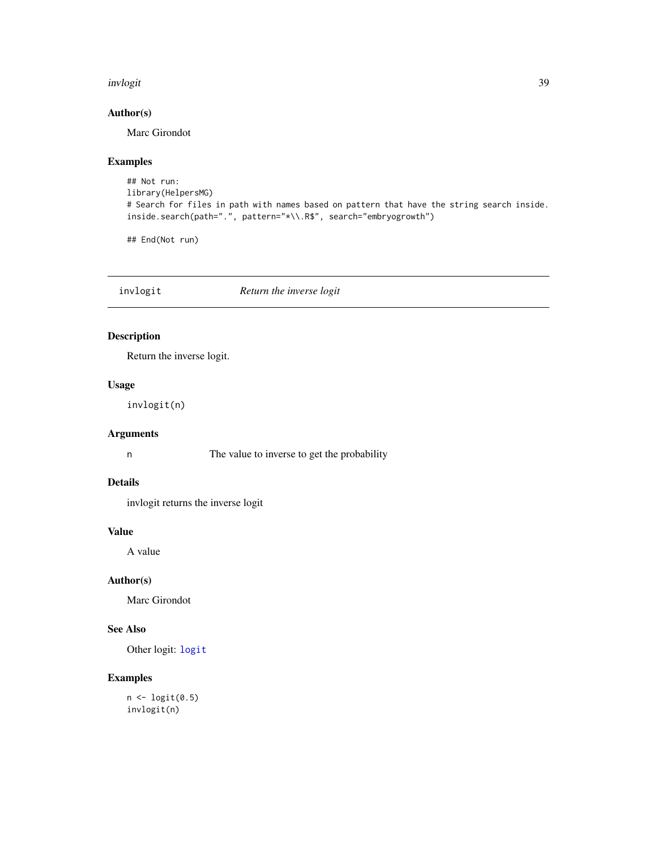#### invlogit 39

# Author(s)

Marc Girondot

# Examples

```
## Not run:
library(HelpersMG)
# Search for files in path with names based on pattern that have the string search inside.
inside.search(path=".", pattern="*\\.R$", search="embryogrowth")
```
## End(Not run)

<span id="page-38-0"></span>invlogit *Return the inverse logit*

# Description

Return the inverse logit.

## Usage

invlogit(n)

# Arguments

n The value to inverse to get the probability

## Details

invlogit returns the inverse logit

# Value

A value

## Author(s)

Marc Girondot

# See Also

Other logit: [logit](#page-42-0)

# Examples

 $n \leftarrow$  logit(0.5) invlogit(n)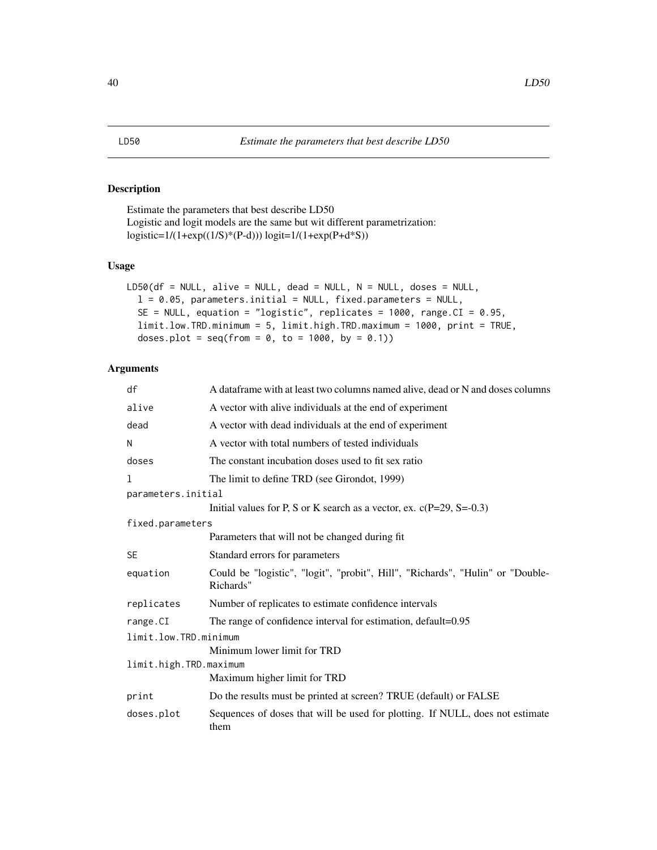<span id="page-39-0"></span>Estimate the parameters that best describe LD50 Logistic and logit models are the same but wit different parametrization:  $logistic=1/(1+exp((1/S)*(P-d))) logit=1/(1+exp(P+d*S))$ 

# Usage

```
LD50(df = NULL, alive = NULL, dead = NULL, N = NULL, doses = NULL,
  l = 0.05, parameters.initial = NULL, fixed.parameters = NULL,
  SE = NULL, equation = "logistic", replicates = 1000, range.CI = 0.95,
  limit.low.TRD.minimum = 5, limit.high.TRD.maximum = 1000, print = TRUE,
  doses.plot = seq(from = 0, to = 1000, by = 0.1)
```
# Arguments

| df                     | A data frame with at least two columns named alive, dead or N and doses columns             |  |
|------------------------|---------------------------------------------------------------------------------------------|--|
| alive                  | A vector with alive individuals at the end of experiment                                    |  |
| dead                   | A vector with dead individuals at the end of experiment                                     |  |
| N                      | A vector with total numbers of tested individuals                                           |  |
| doses                  | The constant incubation doses used to fit sex ratio                                         |  |
| 1                      | The limit to define TRD (see Girondot, 1999)                                                |  |
| parameters.initial     |                                                                                             |  |
|                        | Initial values for P, S or K search as a vector, ex. $c(P=29, S=-0.3)$                      |  |
| fixed.parameters       |                                                                                             |  |
|                        | Parameters that will not be changed during fit                                              |  |
| <b>SE</b>              | Standard errors for parameters                                                              |  |
| equation               | Could be "logistic", "logit", "probit", Hill", "Richards", "Hulin" or "Double-<br>Richards" |  |
| replicates             | Number of replicates to estimate confidence intervals                                       |  |
| range.CI               | The range of confidence interval for estimation, default=0.95                               |  |
| limit.low.TRD.minimum  |                                                                                             |  |
|                        | Minimum lower limit for TRD                                                                 |  |
| limit.high.TRD.maximum |                                                                                             |  |
|                        | Maximum higher limit for TRD                                                                |  |
| print                  | Do the results must be printed at screen? TRUE (default) or FALSE                           |  |
| doses.plot             | Sequences of doses that will be used for plotting. If NULL, does not estimate<br>them       |  |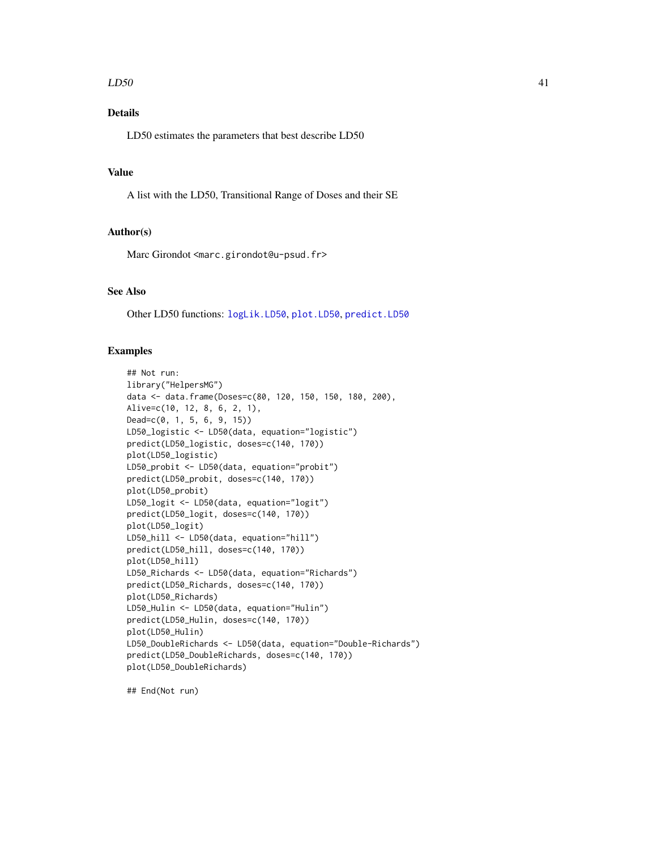#### $LD50$  41

# Details

LD50 estimates the parameters that best describe LD50

# Value

A list with the LD50, Transitional Range of Doses and their SE

## Author(s)

Marc Girondot <marc.girondot@u-psud.fr>

# See Also

Other LD50 functions: [logLik.LD50](#page-43-0), [plot.LD50](#page-57-0), [predict.LD50](#page-63-0)

#### Examples

```
## Not run:
library("HelpersMG")
data <- data.frame(Doses=c(80, 120, 150, 150, 180, 200),
Alive=c(10, 12, 8, 6, 2, 1),
Dead=c(0, 1, 5, 6, 9, 15))
LD50_logistic <- LD50(data, equation="logistic")
predict(LD50_logistic, doses=c(140, 170))
plot(LD50_logistic)
LD50_probit <- LD50(data, equation="probit")
predict(LD50_probit, doses=c(140, 170))
plot(LD50_probit)
LD50_logit <- LD50(data, equation="logit")
predict(LD50_logit, doses=c(140, 170))
plot(LD50_logit)
LD50_hill <- LD50(data, equation="hill")
predict(LD50_hill, doses=c(140, 170))
plot(LD50_hill)
LD50_Richards <- LD50(data, equation="Richards")
predict(LD50_Richards, doses=c(140, 170))
plot(LD50_Richards)
LD50_Hulin <- LD50(data, equation="Hulin")
predict(LD50_Hulin, doses=c(140, 170))
plot(LD50_Hulin)
LD50_DoubleRichards <- LD50(data, equation="Double-Richards")
predict(LD50_DoubleRichards, doses=c(140, 170))
plot(LD50_DoubleRichards)
```
## End(Not run)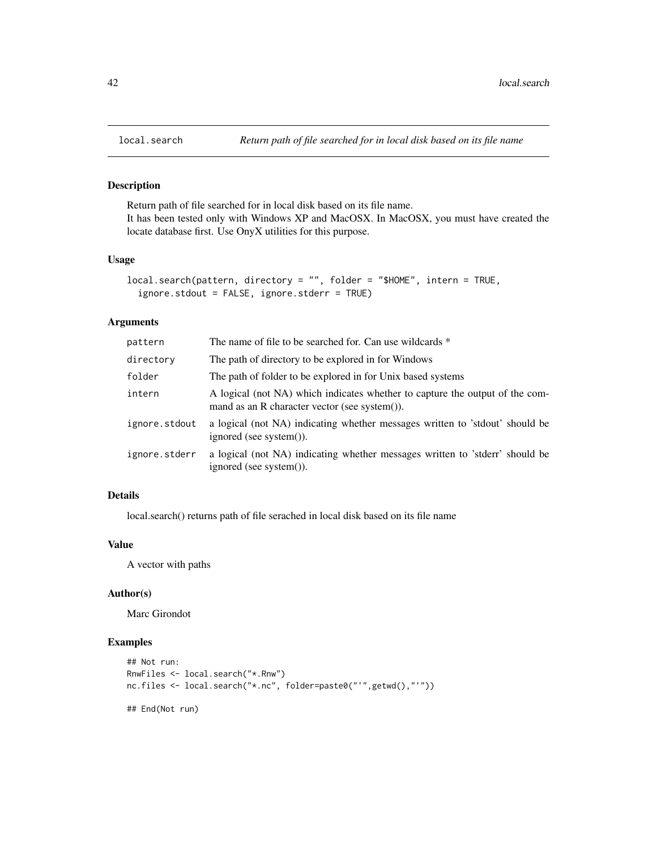Return path of file searched for in local disk based on its file name. It has been tested only with Windows XP and MacOSX. In MacOSX, you must have created the locate database first. Use OnyX utilities for this purpose.

# Usage

```
local.search(pattern, directory = "", folder = "$HOME", intern = TRUE,
  ignore.stdout = FALSE, ignore.stderr = TRUE)
```
#### Arguments

| pattern       | The name of file to be searched for. Can use wildcards *                                                                      |
|---------------|-------------------------------------------------------------------------------------------------------------------------------|
| directory     | The path of directory to be explored in for Windows                                                                           |
| folder        | The path of folder to be explored in for Unix based systems                                                                   |
| intern        | A logical (not NA) which indicates whether to capture the output of the com-<br>mand as an R character vector (see system()). |
| ignore.stdout | a logical (not NA) indicating whether messages written to 'stdout' should be<br>ignored (see system()).                       |
| ignore.stderr | a logical (not NA) indicating whether messages written to 'stderr' should be<br>ignored (see system()).                       |

# Details

local.search() returns path of file serached in local disk based on its file name

# Value

A vector with paths

#### Author(s)

Marc Girondot

# Examples

```
## Not run:
RnwFiles <- local.search("*.Rnw")
nc.files <- local.search("*.nc", folder=paste0("'",getwd(),"'"))
```
## End(Not run)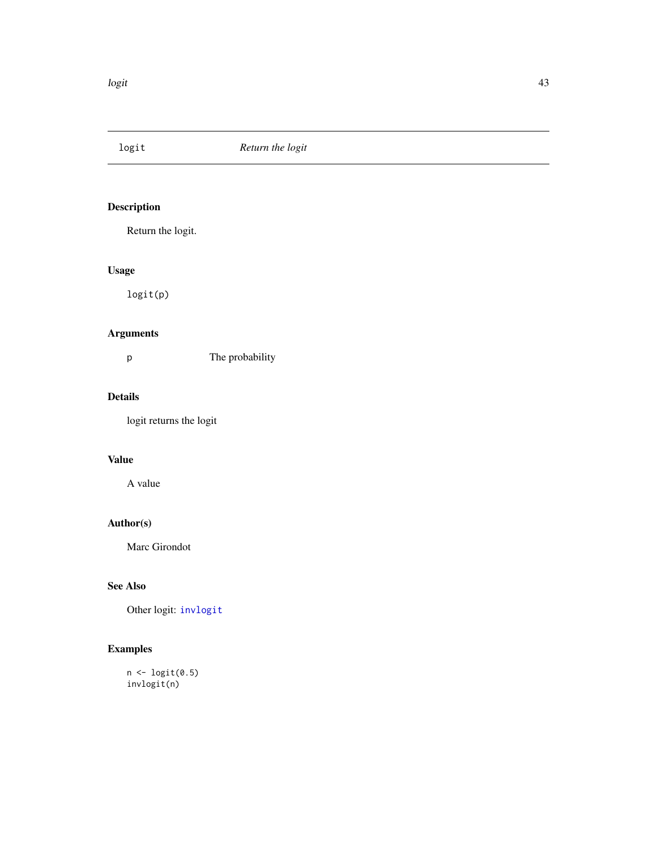<span id="page-42-0"></span>

Return the logit.

# Usage

logit(p)

# Arguments

p The probability

# Details

logit returns the logit

# Value

A value

# Author(s)

Marc Girondot

# See Also

Other logit: [invlogit](#page-38-0)

# Examples

n <- logit(0.5) invlogit(n)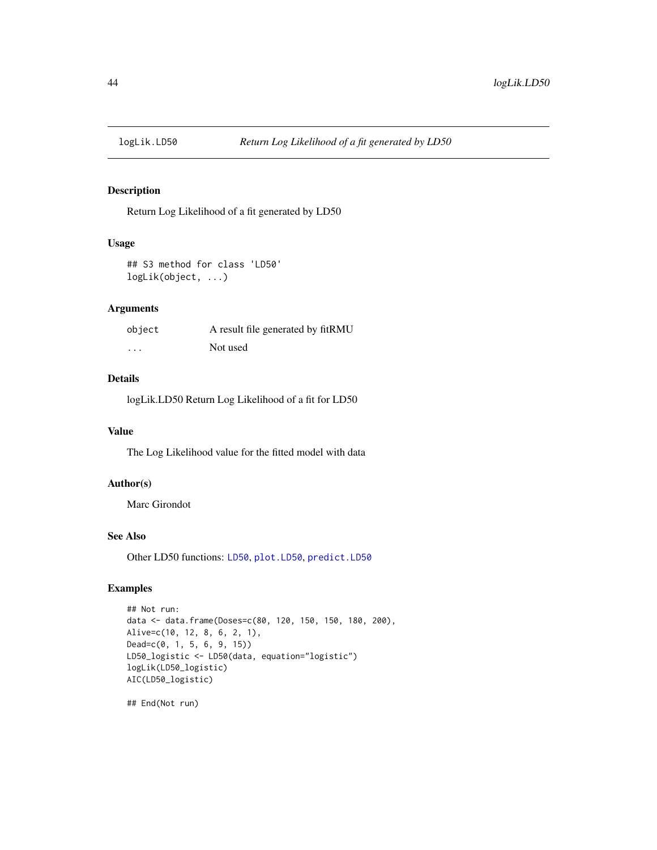<span id="page-43-0"></span>

Return Log Likelihood of a fit generated by LD50

# Usage

```
## S3 method for class 'LD50'
logLik(object, ...)
```
# Arguments

| object   | A result file generated by fitRMU |
|----------|-----------------------------------|
| $\cdots$ | Not used                          |

# Details

logLik.LD50 Return Log Likelihood of a fit for LD50

#### Value

The Log Likelihood value for the fitted model with data

# Author(s)

Marc Girondot

#### See Also

Other LD50 functions: [LD50](#page-39-0), [plot.LD50](#page-57-0), [predict.LD50](#page-63-0)

## Examples

```
## Not run:
data <- data.frame(Doses=c(80, 120, 150, 150, 180, 200),
Alive=c(10, 12, 8, 6, 2, 1),
Dead=c(0, 1, 5, 6, 9, 15))
LD50_logistic <- LD50(data, equation="logistic")
logLik(LD50_logistic)
AIC(LD50_logistic)
```
## End(Not run)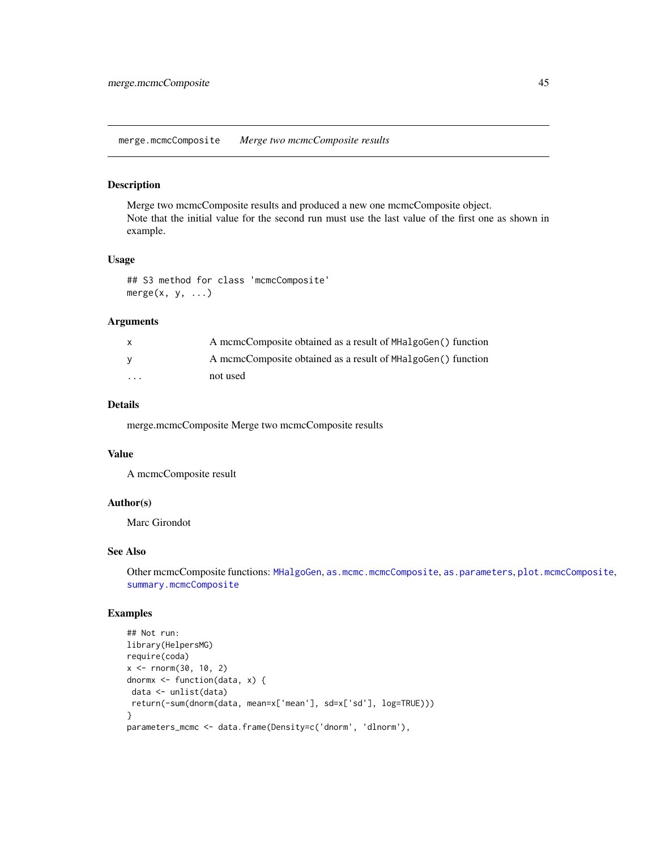<span id="page-44-0"></span>merge.mcmcComposite *Merge two mcmcComposite results*

## Description

Merge two mcmcComposite results and produced a new one mcmcComposite object. Note that the initial value for the second run must use the last value of the first one as shown in example.

## Usage

## S3 method for class 'mcmcComposite'  $merge(x, y, ...)$ 

#### Arguments

|                         | A mcmcComposite obtained as a result of MHalgoGen() function |
|-------------------------|--------------------------------------------------------------|
|                         | A mcmcComposite obtained as a result of MHalgoGen() function |
| $\cdot$ $\cdot$ $\cdot$ | not used                                                     |

#### Details

merge.mcmcComposite Merge two mcmcComposite results

## Value

A mcmcComposite result

## Author(s)

Marc Girondot

#### See Also

Other mcmcComposite functions: [MHalgoGen](#page-45-0), [as.mcmc.mcmcComposite](#page-4-0), [as.parameters](#page-6-0), [plot.mcmcComposite](#page-59-0), [summary.mcmcComposite](#page-76-0)

# Examples

```
## Not run:
library(HelpersMG)
require(coda)
x <- rnorm(30, 10, 2)
dnormx <- function(data, x) {
data <- unlist(data)
return(-sum(dnorm(data, mean=x['mean'], sd=x['sd'], log=TRUE)))
}
parameters_mcmc <- data.frame(Density=c('dnorm', 'dlnorm'),
```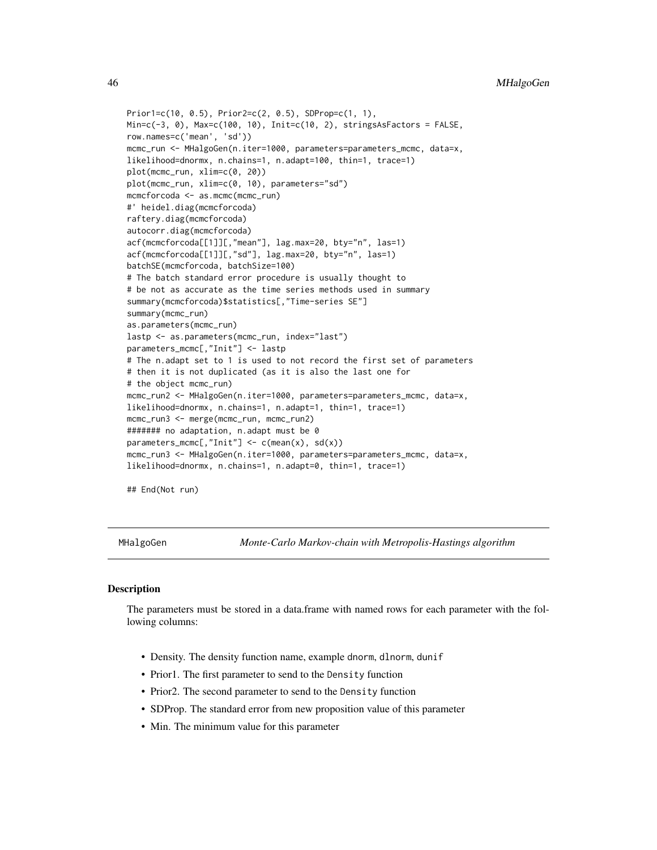```
Prior1=c(10, 0.5), Prior2=c(2, 0.5), SDProp=c(1, 1),
Min=c(-3, 0), Max=c(100, 10), Init=c(10, 2), stringsAsFactors = FALSE,
row.names=c('mean', 'sd'))
mcmc_run <- MHalgoGen(n.iter=1000, parameters=parameters_mcmc, data=x,
likelihood=dnormx, n.chains=1, n.adapt=100, thin=1, trace=1)
plot(mcmc_run, xlim=c(0, 20))
plot(mcmc_run, xlim=c(0, 10), parameters="sd")
mcmcforcoda <- as.mcmc(mcmc_run)
#' heidel.diag(mcmcforcoda)
raftery.diag(mcmcforcoda)
autocorr.diag(mcmcforcoda)
acf(mcmcforcoda[[1]][,"mean"], lag.max=20, bty="n", las=1)
acf(mcmcforcoda[[1]][,"sd"], lag.max=20, bty="n", las=1)
batchSE(mcmcforcoda, batchSize=100)
# The batch standard error procedure is usually thought to
# be not as accurate as the time series methods used in summary
summary(mcmcforcoda)$statistics[,"Time-series SE"]
summary(mcmc_run)
as.parameters(mcmc_run)
lastp <- as.parameters(mcmc_run, index="last")
parameters_mcmc[,"Init"] <- lastp
# The n.adapt set to 1 is used to not record the first set of parameters
# then it is not duplicated (as it is also the last one for
# the object mcmc_run)
mcmc_run2 <- MHalgoGen(n.iter=1000, parameters=parameters_mcmc, data=x,
likelihood=dnormx, n.chains=1, n.adapt=1, thin=1, trace=1)
mcmc_run3 <- merge(mcmc_run, mcmc_run2)
####### no adaptation, n.adapt must be 0
parameters_mcmc[,"Init"] <- c(mean(x), sd(x))
mcmc_run3 <- MHalgoGen(n.iter=1000, parameters=parameters_mcmc, data=x,
likelihood=dnormx, n.chains=1, n.adapt=0, thin=1, trace=1)
```
## End(Not run)

<span id="page-45-0"></span>MHalgoGen *Monte-Carlo Markov-chain with Metropolis-Hastings algorithm*

## Description

The parameters must be stored in a data.frame with named rows for each parameter with the following columns:

- Density. The density function name, example dnorm, dlnorm, dunif
- Prior1. The first parameter to send to the Density function
- Prior2. The second parameter to send to the Density function
- SDProp. The standard error from new proposition value of this parameter
- Min. The minimum value for this parameter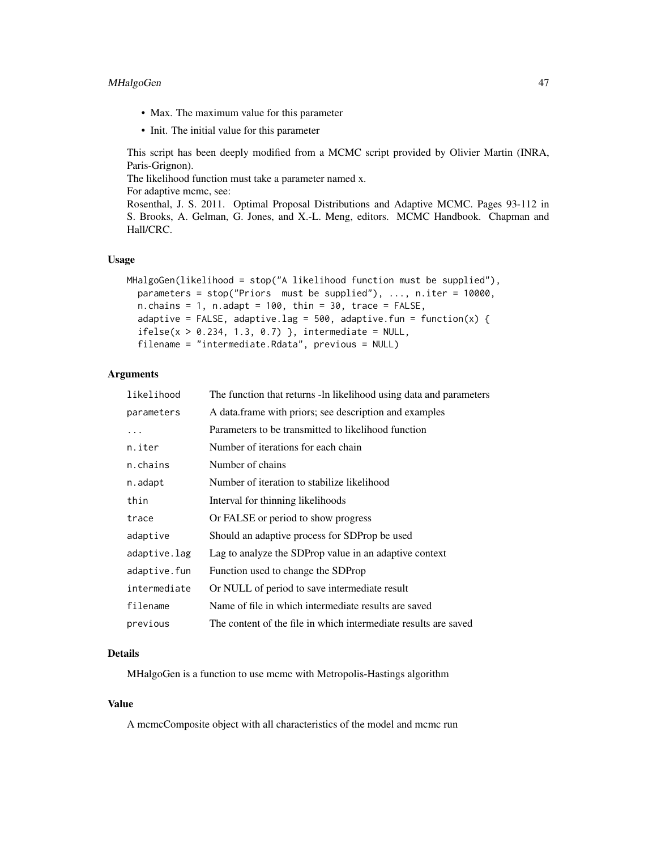# MHalgoGen 47

- Max. The maximum value for this parameter
- Init. The initial value for this parameter

This script has been deeply modified from a MCMC script provided by Olivier Martin (INRA, Paris-Grignon).

The likelihood function must take a parameter named x.

For adaptive mcmc, see:

Rosenthal, J. S. 2011. Optimal Proposal Distributions and Adaptive MCMC. Pages 93-112 in S. Brooks, A. Gelman, G. Jones, and X.-L. Meng, editors. MCMC Handbook. Chapman and Hall/CRC.

## Usage

```
MHalgoGen(likelihood = stop("A likelihood function must be supplied"),
 parameters = stop("Priors must be supplied"), ..., n.iter = 10000,
  n. chains = 1, n. adapt = 100, thin = 30, trace = FALSE,
  adaptive = FALSE, adaptive.lag = 500, adaptive.fun = function(x) {
  ifelse(x > 0.234, 1.3, 0.7), intermediate = NULL,
  filename = "intermediate.Rdata", previous = NULL)
```
## Arguments

| likelihood   | The function that returns -ln likelihood using data and parameters |
|--------------|--------------------------------------------------------------------|
| parameters   | A data frame with priors; see description and examples             |
| .            | Parameters to be transmitted to likelihood function                |
| n.iter       | Number of iterations for each chain                                |
| n.chains     | Number of chains                                                   |
| n.adapt      | Number of iteration to stabilize likelihood                        |
| thin         | Interval for thinning likelihoods                                  |
| trace        | Or FALSE or period to show progress                                |
| adaptive     | Should an adaptive process for SDProp be used                      |
| adaptive.lag | Lag to analyze the SDProp value in an adaptive context             |
| adaptive.fun | Function used to change the SDProp                                 |
| intermediate | Or NULL of period to save intermediate result                      |
| filename     | Name of file in which intermediate results are saved               |
| previous     | The content of the file in which intermediate results are saved    |

#### Details

MHalgoGen is a function to use mcmc with Metropolis-Hastings algorithm

# Value

A mcmcComposite object with all characteristics of the model and mcmc run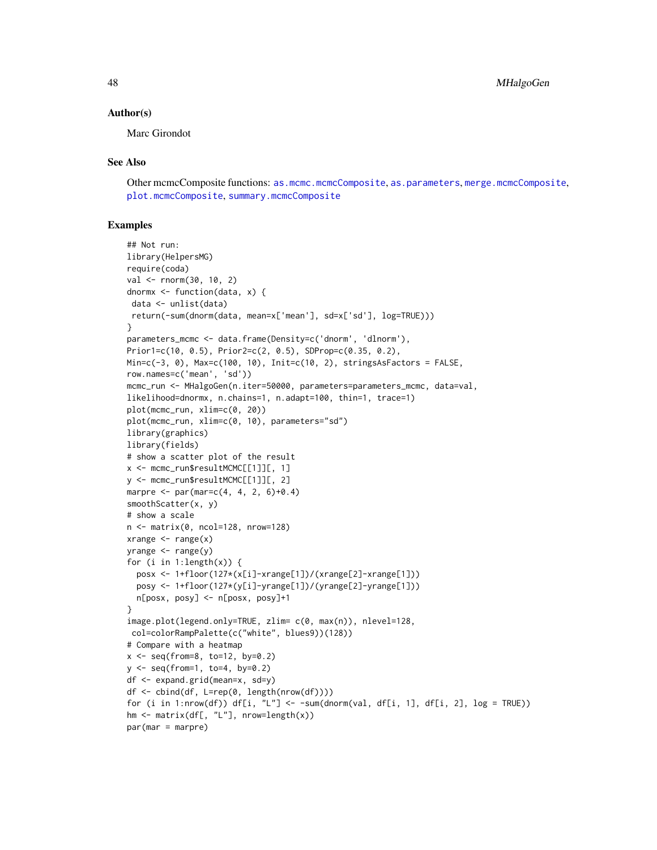#### Author(s)

Marc Girondot

## See Also

Other mcmcComposite functions: [as.mcmc.mcmcComposite](#page-4-0), [as.parameters](#page-6-0), [merge.mcmcComposite](#page-44-0), [plot.mcmcComposite](#page-59-0), [summary.mcmcComposite](#page-76-0)

## Examples

```
## Not run:
library(HelpersMG)
require(coda)
val <- rnorm(30, 10, 2)
dnormx <- function(data, x) {
data <- unlist(data)
return(-sum(dnorm(data, mean=x['mean'], sd=x['sd'], log=TRUE)))
}
parameters_mcmc <- data.frame(Density=c('dnorm', 'dlnorm'),
Prior1=c(10, 0.5), Prior2=c(2, 0.5), SDProp=c(0.35, 0.2),
Min=c(-3, 0), Max=c(100, 10), Init=c(10, 2), stringsAsFactors = FALSE,
row.names=c('mean', 'sd'))
mcmc_run <- MHalgoGen(n.iter=50000, parameters=parameters_mcmc, data=val,
likelihood=dnormx, n.chains=1, n.adapt=100, thin=1, trace=1)
plot(mcmc_run, xlim=c(0, 20))
plot(mcmc_run, xlim=c(0, 10), parameters="sd")
library(graphics)
library(fields)
# show a scatter plot of the result
x <- mcmc_run$resultMCMC[[1]][, 1]
y <- mcmc_run$resultMCMC[[1]][, 2]
marpre \leq par(mar=c(4, 4, 2, 6)+0.4)
smoothScatter(x, y)
# show a scale
n <- matrix(0, ncol=128, nrow=128)
xrange \left\langle -\right\ranglerange(x)yrange <- range(y)
for (i in 1:length(x)) {
  posx <- 1+floor(127*(x[i]-xrange[1])/(xrange[2]-xrange[1]))
  posy <- 1+floor(127*(y[i]-yrange[1])/(yrange[2]-yrange[1]))
 n[posx, posy] <- n[posx, posy]+1
}
image.plot(legend.only=TRUE, zlim= c(0, max(n)), nlevel=128,
col=colorRampPalette(c("white", blues9))(128))
# Compare with a heatmap
x <- seq(from=8, to=12, by=0.2)
y <- seq(from=1, to=4, by=0.2)
df <- expand.grid(mean=x, sd=y)
df <- cbind(df, L=rep(0, length(nrow(df))))
for (i in 1:nrow(df)) df[i, "L"] <- -sum(dnorm(val, df[i, 1], df[i, 2], log = TRUE))
hm <- matrix(df[, "L"], nrow=length(x))
par(mar = marpre)
```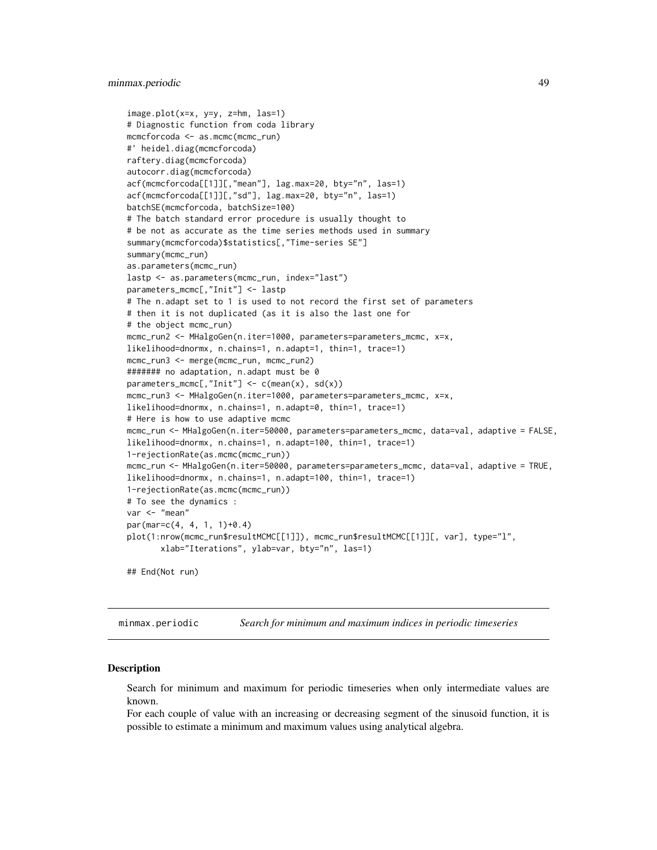## minmax.periodic 49

```
image.plot(x=x, y=y, z=hm, las=1)
# Diagnostic function from coda library
mcmcforcoda <- as.mcmc(mcmc_run)
#' heidel.diag(mcmcforcoda)
raftery.diag(mcmcforcoda)
autocorr.diag(mcmcforcoda)
acf(mcmcforcoda[[1]][,"mean"], lag.max=20, bty="n", las=1)
acf(mcmcforcoda[[1]][,"sd"], lag.max=20, bty="n", las=1)
batchSE(mcmcforcoda, batchSize=100)
# The batch standard error procedure is usually thought to
# be not as accurate as the time series methods used in summary
summary(mcmcforcoda)$statistics[,"Time-series SE"]
summary(mcmc_run)
as.parameters(mcmc_run)
lastp <- as.parameters(mcmc_run, index="last")
parameters_mcmc[,"Init"] <- lastp
# The n.adapt set to 1 is used to not record the first set of parameters
# then it is not duplicated (as it is also the last one for
# the object mcmc_run)
mcmc_run2 <- MHalgoGen(n.iter=1000, parameters=parameters_mcmc, x=x,
likelihood=dnormx, n.chains=1, n.adapt=1, thin=1, trace=1)
mcmc_run3 <- merge(mcmc_run, mcmc_run2)
####### no adaptation, n.adapt must be 0
parameters_mcmc[,"Init"] <- c(mean(x), sd(x))
mcmc_run3 <- MHalgoGen(n.iter=1000, parameters=parameters_mcmc, x=x,
likelihood=dnormx, n.chains=1, n.adapt=0, thin=1, trace=1)
# Here is how to use adaptive mcmc
mcmc_run <- MHalgoGen(n.iter=50000, parameters=parameters_mcmc, data=val, adaptive = FALSE,
likelihood=dnormx, n.chains=1, n.adapt=100, thin=1, trace=1)
1-rejectionRate(as.mcmc(mcmc_run))
mcmc_run <- MHalgoGen(n.iter=50000, parameters=parameters_mcmc, data=val, adaptive = TRUE,
likelihood=dnormx, n.chains=1, n.adapt=100, thin=1, trace=1)
1-rejectionRate(as.mcmc(mcmc_run))
# To see the dynamics :
var <- "mean"
par(mar=c(4, 4, 1, 1)+0.4)
plot(1:nrow(mcmc_run$resultMCMC[[1]]), mcmc_run$resultMCMC[[1]][, var], type="l",
      xlab="Iterations", ylab=var, bty="n", las=1)
## End(Not run)
```
<span id="page-48-0"></span>minmax.periodic *Search for minimum and maximum indices in periodic timeseries*

#### Description

Search for minimum and maximum for periodic timeseries when only intermediate values are known.

For each couple of value with an increasing or decreasing segment of the sinusoid function, it is possible to estimate a minimum and maximum values using analytical algebra.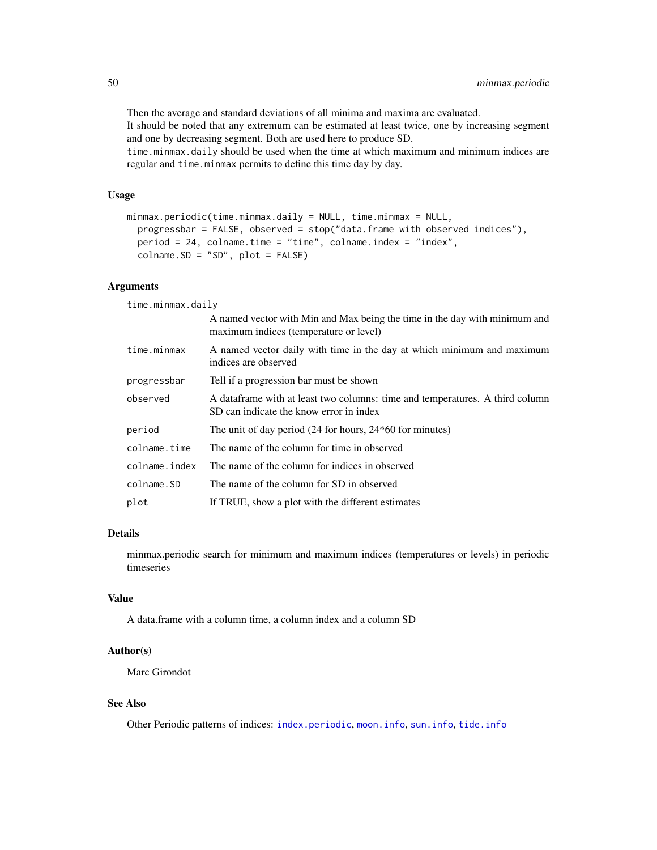Then the average and standard deviations of all minima and maxima are evaluated. It should be noted that any extremum can be estimated at least twice, one by increasing segment and one by decreasing segment. Both are used here to produce SD.

time.minmax.daily should be used when the time at which maximum and minimum indices are regular and time.minmax permits to define this time day by day.

## Usage

```
minmax.periodic(time.minmax.daily = NULL, time.minmax = NULL,
 progressbar = FALSE, observed = stop("data.frame with observed indices"),
 period = 24, colname.time = "time", colname.index = "index",
  colname.SD = "SD", plot = FALSE)
```
#### Arguments

time.minmax.daily

|               | A named vector with Min and Max being the time in the day with minimum and<br>maximum indices (temperature or level)     |
|---------------|--------------------------------------------------------------------------------------------------------------------------|
| time.minmax   | A named vector daily with time in the day at which minimum and maximum<br>indices are observed                           |
| progressbar   | Tell if a progression bar must be shown                                                                                  |
| observed      | A data frame with at least two columns: time and temperatures. A third column<br>SD can indicate the know error in index |
| period        | The unit of day period $(24$ for hours, $24*60$ for minutes)                                                             |
| colname.time  | The name of the column for time in observed                                                                              |
| colname.index | The name of the column for indices in observed                                                                           |
| colname.SD    | The name of the column for SD in observed                                                                                |
| plot          | If TRUE, show a plot with the different estimates                                                                        |

## Details

minmax.periodic search for minimum and maximum indices (temperatures or levels) in periodic timeseries

## Value

A data.frame with a column time, a column index and a column SD

#### Author(s)

Marc Girondot

## See Also

Other Periodic patterns of indices: [index.periodic](#page-34-0), [moon.info](#page-52-0), [sun.info](#page-78-0), [tide.info](#page-83-0)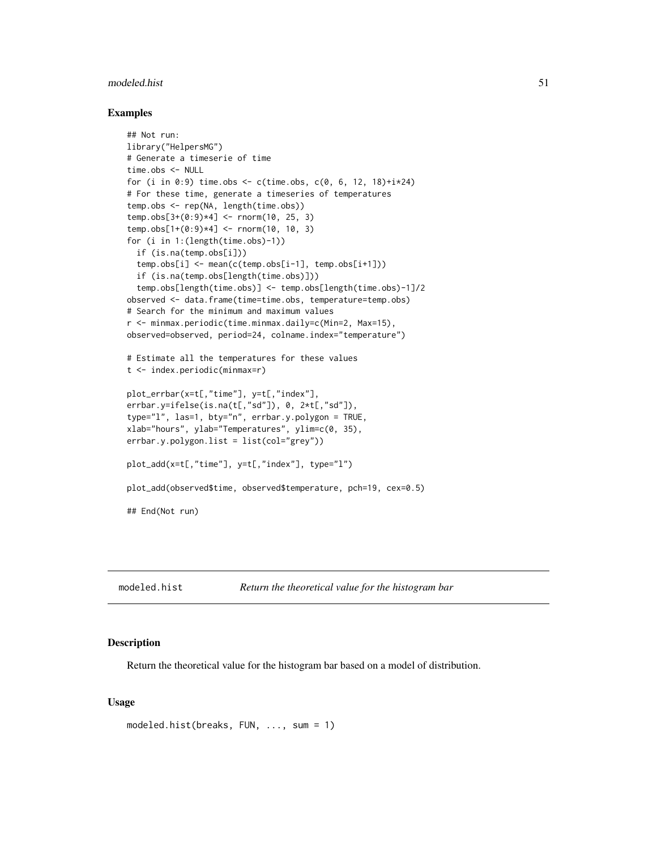#### modeled.hist 51

#### Examples

```
## Not run:
library("HelpersMG")
# Generate a timeserie of time
time.obs <- NULL
for (i in 0:9) time.obs <- c(time.obs, c(0, 6, 12, 18)+i*24)
# For these time, generate a timeseries of temperatures
temp.obs <- rep(NA, length(time.obs))
temp.obs[3+(0:9)*4] < -rnorm(10, 25, 3)temp.obs[1+(0:9)*4] <- rnorm(10, 10, 3)for (i in 1:(length(time.obs)-1))
 if (is.na(temp.obs[i]))
 temp.obs[i] <- mean(c(temp.obs[i-1], temp.obs[i+1]))
 if (is.na(temp.obs[length(time.obs)]))
 temp.obs[length(time.obs)] <- temp.obs[length(time.obs)-1]/2
observed <- data.frame(time=time.obs, temperature=temp.obs)
# Search for the minimum and maximum values
r <- minmax.periodic(time.minmax.daily=c(Min=2, Max=15),
observed=observed, period=24, colname.index="temperature")
# Estimate all the temperatures for these values
t <- index.periodic(minmax=r)
plot_errbar(x=t[,"time"], y=t[,"index"],
errbar.y=ifelse(is.na(t[,"sd"]), 0, 2*t[,"sd"]),
type="l", las=1, bty="n", errbar.y.polygon = TRUE,
xlab="hours", ylab="Temperatures", ylim=c(0, 35),
errbar.y.polygon.list = list(col="grey"))
plot_add(x=t[,"time"], y=t[,"index"], type="l")
plot_add(observed$time, observed$temperature, pch=19, cex=0.5)
## End(Not run)
```
modeled.hist *Return the theoretical value for the histogram bar*

#### Description

Return the theoretical value for the histogram bar based on a model of distribution.

```
modeled.hist(breaks, FUN, ..., sum = 1)
```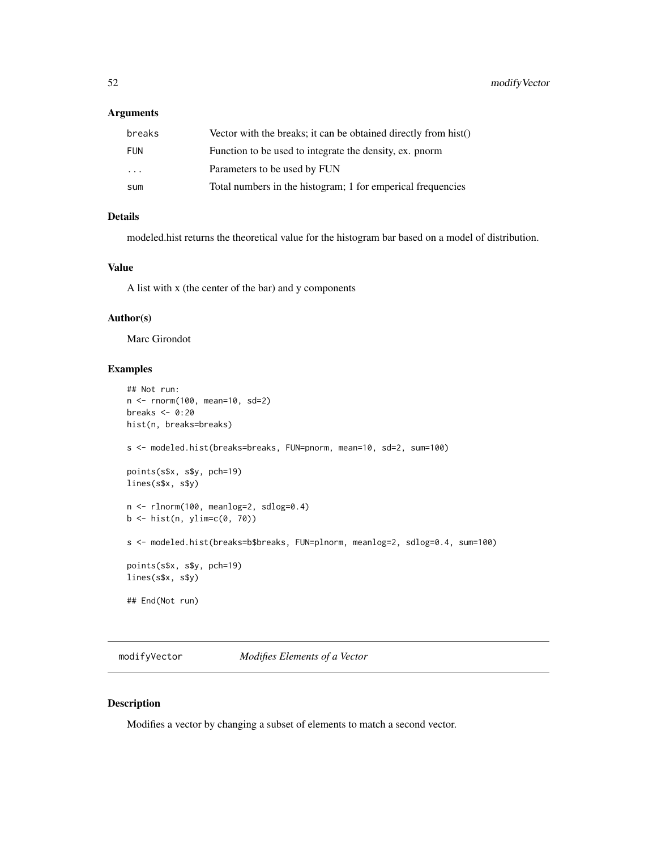# Arguments

| breaks                  | Vector with the breaks; it can be obtained directly from hist() |
|-------------------------|-----------------------------------------------------------------|
| <b>FUN</b>              | Function to be used to integrate the density, ex. pnorm         |
| $\cdot$ $\cdot$ $\cdot$ | Parameters to be used by FUN                                    |
| sum                     | Total numbers in the histogram; 1 for emperical frequencies     |

# Details

modeled.hist returns the theoretical value for the histogram bar based on a model of distribution.

## Value

A list with x (the center of the bar) and y components

## Author(s)

Marc Girondot

## Examples

```
## Not run:
n <- rnorm(100, mean=10, sd=2)
breaks <- 0:20
hist(n, breaks=breaks)
s <- modeled.hist(breaks=breaks, FUN=pnorm, mean=10, sd=2, sum=100)
points(s$x, s$y, pch=19)
lines(s$x, s$y)
n <- rlnorm(100, meanlog=2, sdlog=0.4)
b \le - hist(n, ylim=c(0, 70))
s <- modeled.hist(breaks=b$breaks, FUN=plnorm, meanlog=2, sdlog=0.4, sum=100)
points(s$x, s$y, pch=19)
lines(s$x, s$y)
## End(Not run)
```
modifyVector *Modifies Elements of a Vector*

# Description

Modifies a vector by changing a subset of elements to match a second vector.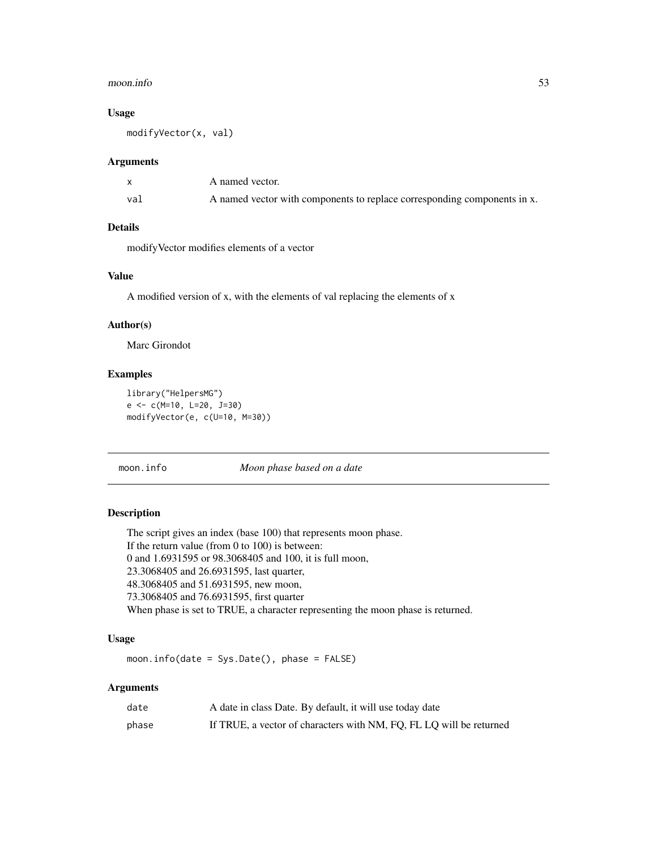#### moon.info 53

## Usage

modifyVector(x, val)

#### Arguments

|     | A named vector.                                                          |
|-----|--------------------------------------------------------------------------|
| va] | A named vector with components to replace corresponding components in x. |

## Details

modifyVector modifies elements of a vector

## Value

A modified version of x, with the elements of val replacing the elements of x

# Author(s)

Marc Girondot

## Examples

```
library("HelpersMG")
e <- c(M=10, L=20, J=30)
modifyVector(e, c(U=10, M=30))
```
#### <span id="page-52-0"></span>moon.info *Moon phase based on a date*

# Description

The script gives an index (base 100) that represents moon phase. If the return value (from 0 to 100) is between: 0 and 1.6931595 or 98.3068405 and 100, it is full moon, 23.3068405 and 26.6931595, last quarter, 48.3068405 and 51.6931595, new moon, 73.3068405 and 76.6931595, first quarter When phase is set to TRUE, a character representing the moon phase is returned.

# Usage

moon.info(date = Sys.Date(), phase = FALSE)

## Arguments

| date  | A date in class Date. By default, it will use today date            |
|-------|---------------------------------------------------------------------|
| phase | If TRUE, a vector of characters with NM, FQ, FL LQ will be returned |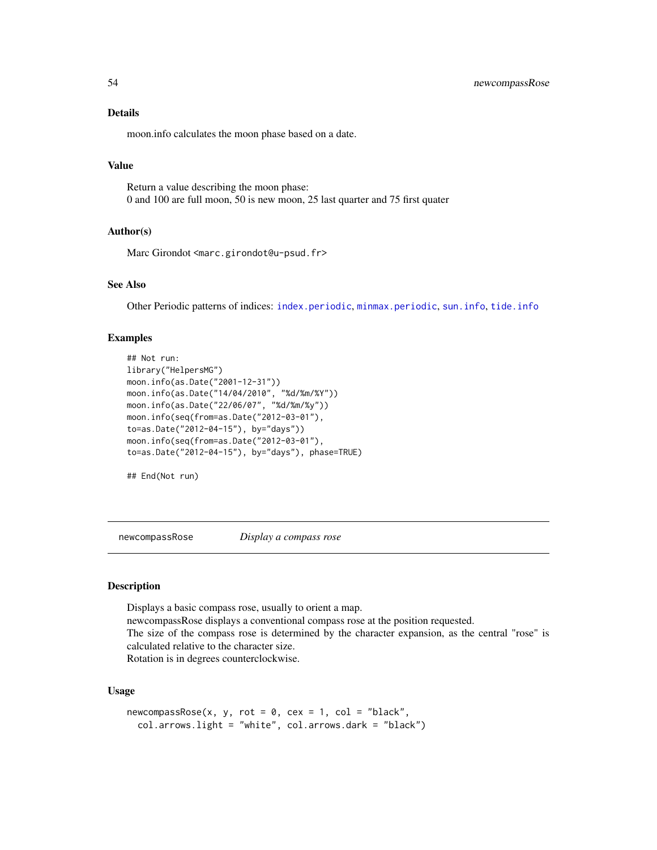#### Details

moon.info calculates the moon phase based on a date.

## Value

Return a value describing the moon phase: 0 and 100 are full moon, 50 is new moon, 25 last quarter and 75 first quater

#### Author(s)

Marc Girondot <marc.girondot@u-psud.fr>

## See Also

Other Periodic patterns of indices: [index.periodic](#page-34-0), [minmax.periodic](#page-48-0), [sun.info](#page-78-0), [tide.info](#page-83-0)

#### Examples

```
## Not run:
library("HelpersMG")
moon.info(as.Date("2001-12-31"))
moon.info(as.Date("14/04/2010", "%d/%m/%Y"))
moon.info(as.Date("22/06/07", "%d/%m/%y"))
moon.info(seq(from=as.Date("2012-03-01"),
to=as.Date("2012-04-15"), by="days"))
moon.info(seq(from=as.Date("2012-03-01"),
to=as.Date("2012-04-15"), by="days"), phase=TRUE)
```
## End(Not run)

newcompassRose *Display a compass rose*

#### Description

Displays a basic compass rose, usually to orient a map. newcompassRose displays a conventional compass rose at the position requested. The size of the compass rose is determined by the character expansion, as the central "rose" is calculated relative to the character size. Rotation is in degrees counterclockwise.

```
newcompassRose(x, y, rot = 0, cex = 1, col = "black",col.arrows.light = "white", col.arrows.dark = "black")
```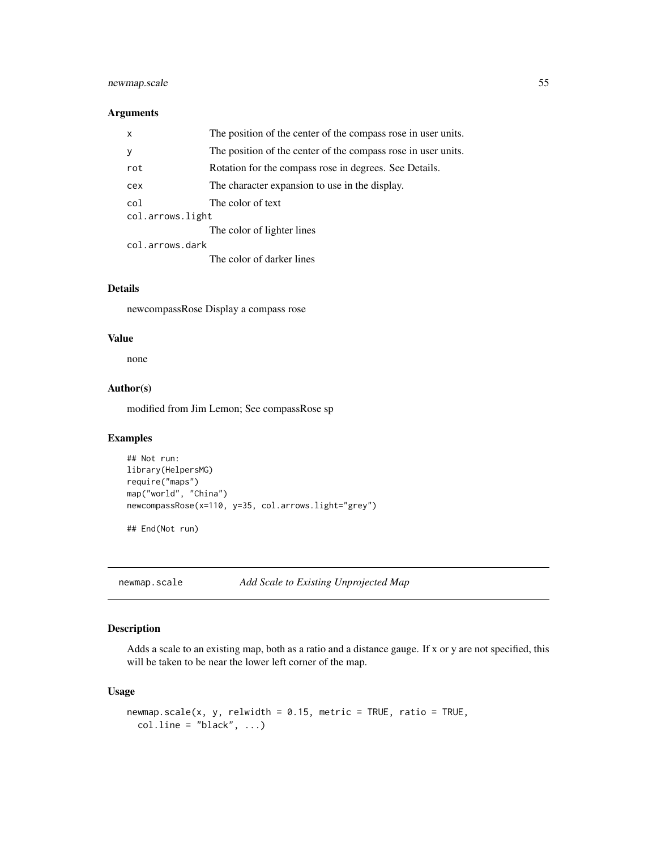# newmap.scale 55

## Arguments

| $\mathsf{x}$     | The position of the center of the compass rose in user units. |  |
|------------------|---------------------------------------------------------------|--|
| y                | The position of the center of the compass rose in user units. |  |
| rot              | Rotation for the compass rose in degrees. See Details.        |  |
| cex              | The character expansion to use in the display.                |  |
| col              | The color of text                                             |  |
| col.arrows.light |                                                               |  |
|                  | The color of lighter lines                                    |  |
| col.arrows.dark  |                                                               |  |
|                  |                                                               |  |

The color of darker lines

## Details

newcompassRose Display a compass rose

## Value

none

# Author(s)

modified from Jim Lemon; See compassRose sp

# Examples

```
## Not run:
library(HelpersMG)
require("maps")
map("world", "China")
newcompassRose(x=110, y=35, col.arrows.light="grey")
```
## End(Not run)

newmap.scale *Add Scale to Existing Unprojected Map*

## Description

Adds a scale to an existing map, both as a ratio and a distance gauge. If x or y are not specified, this will be taken to be near the lower left corner of the map.

```
newmap.scale(x, y, relwidth = 0.15, metric = TRUE, ratio = TRUE,coluine = "black", ...)
```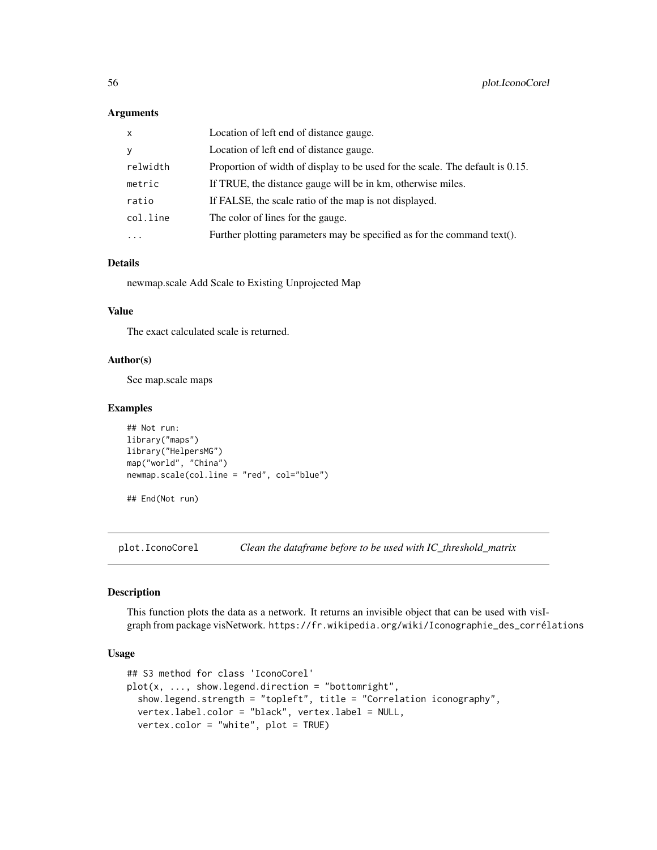#### Arguments

| $\mathsf{x}$ | Location of left end of distance gauge.                                       |
|--------------|-------------------------------------------------------------------------------|
| y            | Location of left end of distance gauge.                                       |
| relwidth     | Proportion of width of display to be used for the scale. The default is 0.15. |
| metric       | If TRUE, the distance gauge will be in km, otherwise miles.                   |
| ratio        | If FALSE, the scale ratio of the map is not displayed.                        |
| col.line     | The color of lines for the gauge.                                             |
| $\cdots$     | Further plotting parameters may be specified as for the command text().       |

#### Details

newmap.scale Add Scale to Existing Unprojected Map

#### Value

The exact calculated scale is returned.

# Author(s)

See map.scale maps

## Examples

```
## Not run:
library("maps")
library("HelpersMG")
map("world", "China")
newmap.scale(col.line = "red", col="blue")
```
## End(Not run)

plot.IconoCorel *Clean the dataframe before to be used with IC\_threshold\_matrix*

#### Description

This function plots the data as a network. It returns an invisible object that can be used with visIgraph from package visNetwork. https://fr.wikipedia.org/wiki/Iconographie\_des\_corrélations

```
## S3 method for class 'IconoCorel'
plot(x, ..., show.lengthed).show.legend.strength = "topleft", title = "Correlation iconography",
 vertex.label.color = "black", vertex.label = NULL,
 vertex.color = "white", plot = TRUE)
```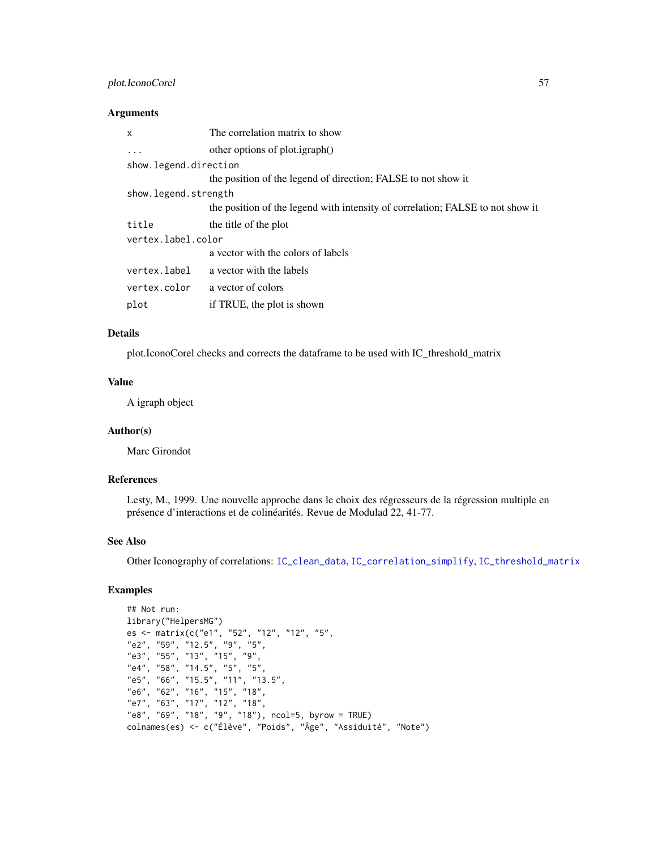# plot.IconoCorel 57

## Arguments

| x                     | The correlation matrix to show                                                 |
|-----------------------|--------------------------------------------------------------------------------|
|                       | other options of plot.igraph()                                                 |
| show.legend.direction |                                                                                |
|                       | the position of the legend of direction; FALSE to not show it                  |
| show.legend.strength  |                                                                                |
|                       | the position of the legend with intensity of correlation; FALSE to not show it |
| title                 | the title of the plot                                                          |
| vertex.label.color    |                                                                                |
|                       | a vector with the colors of labels                                             |
| vertex.label          | a vector with the labels                                                       |
| vertex.color          | a vector of colors                                                             |
| plot                  | if TRUE, the plot is shown                                                     |
|                       |                                                                                |

#### Details

plot.IconoCorel checks and corrects the dataframe to be used with IC\_threshold\_matrix

#### Value

A igraph object

# Author(s)

Marc Girondot

# References

Lesty, M., 1999. Une nouvelle approche dans le choix des régresseurs de la régression multiple en présence d'interactions et de colinéarités. Revue de Modulad 22, 41-77.

## See Also

Other Iconography of correlations: [IC\\_clean\\_data](#page-29-0), [IC\\_correlation\\_simplify](#page-30-0), [IC\\_threshold\\_matrix](#page-32-0)

# Examples

```
## Not run:
library("HelpersMG")
es <- matrix(c("e1", "52", "12", "12", "5",
"e2", "59", "12.5", "9", "5",
"e3", "55", "13", "15", "9",
"e4", "58", "14.5", "5", "5",
"e5", "66", "15.5", "11", "13.5",
"e6", "62", "16", "15", "18",
"e7", "63", "17", "12", "18",
"e8", "69", "18", "9", "18"), ncol=5, byrow = TRUE)
colnames(es) <- c("Élève", "Poids", "Âge", "Assiduité", "Note")
```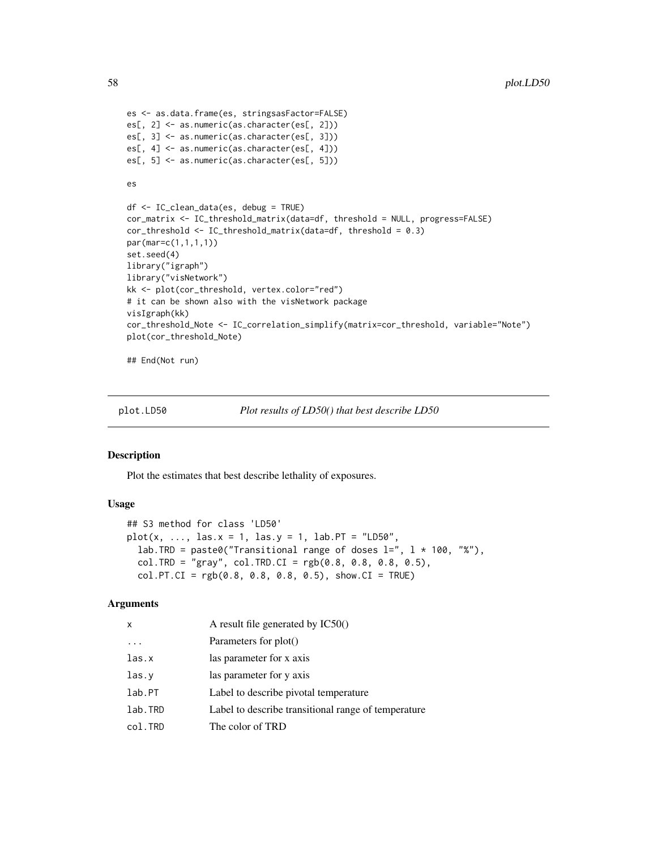```
es <- as.data.frame(es, stringsasFactor=FALSE)
es[, 2] <- as.numeric(as.character(es[, 2]))
es[, 3] <- as.numeric(as.character(es[, 3]))
es[, 4] <- as.numeric(as.character(es[, 4]))
es[, 5] <- as.numeric(as.character(es[, 5]))
es
df <- IC_clean_data(es, debug = TRUE)
cor_matrix <- IC_threshold_matrix(data=df, threshold = NULL, progress=FALSE)
cor_threshold <- IC_threshold_matrix(data=df, threshold = 0.3)
par(mar=c(1,1,1,1))
set.seed(4)
library("igraph")
library("visNetwork")
kk <- plot(cor_threshold, vertex.color="red")
# it can be shown also with the visNetwork package
visIgraph(kk)
cor_threshold_Note <- IC_correlation_simplify(matrix=cor_threshold, variable="Note")
plot(cor_threshold_Note)
```
## End(Not run)

<span id="page-57-0"></span>

plot.LD50 *Plot results of LD50() that best describe LD50*

#### Description

Plot the estimates that best describe lethality of exposures.

#### Usage

```
## S3 method for class 'LD50'
plot(x, ..., \text{las.}x = 1, \text{las.}y = 1, \text{lab.}PT = "LDS0",lab.TRD = paste0("Transitional range of doses l = ", l * 100, "%"),
  col.TRD = "gray", col.TRD.CI = rgb(0.8, 0.8, 0.8, 0.5),col.PT.CI = rgb(0.8, 0.8, 0.8, 0.5), show.CI = TRUE)
```
#### Arguments

| x       | A result file generated by IC50()                   |
|---------|-----------------------------------------------------|
|         | Parameters for plot()                               |
| las.x   | las parameter for x axis                            |
| las.y   | las parameter for y axis                            |
| lab.PT  | Label to describe pivotal temperature               |
| lab.TRD | Label to describe transitional range of temperature |
| col.TRD | The color of TRD                                    |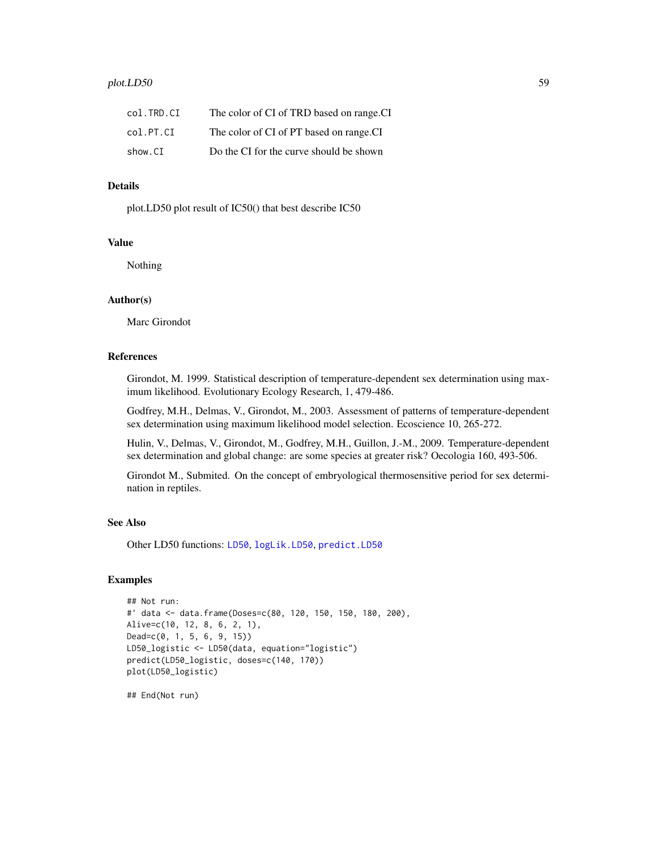| col.TRD.CI | The color of CI of TRD based on range.CI |
|------------|------------------------------------------|
| col.PT.CI  | The color of CI of PT based on range.CI  |
| show.CI    | Do the CI for the curve should be shown  |

## Details

plot.LD50 plot result of IC50() that best describe IC50

# Value

Nothing

## Author(s)

Marc Girondot

#### References

Girondot, M. 1999. Statistical description of temperature-dependent sex determination using maximum likelihood. Evolutionary Ecology Research, 1, 479-486.

Godfrey, M.H., Delmas, V., Girondot, M., 2003. Assessment of patterns of temperature-dependent sex determination using maximum likelihood model selection. Ecoscience 10, 265-272.

Hulin, V., Delmas, V., Girondot, M., Godfrey, M.H., Guillon, J.-M., 2009. Temperature-dependent sex determination and global change: are some species at greater risk? Oecologia 160, 493-506.

Girondot M., Submited. On the concept of embryological thermosensitive period for sex determination in reptiles.

#### See Also

Other LD50 functions: [LD50](#page-39-0), [logLik.LD50](#page-43-0), [predict.LD50](#page-63-0)

## Examples

```
## Not run:
#' data <- data.frame(Doses=c(80, 120, 150, 150, 180, 200),
Alive=c(10, 12, 8, 6, 2, 1),
Dead=c(0, 1, 5, 6, 9, 15))
LD50_logistic <- LD50(data, equation="logistic")
predict(LD50_logistic, doses=c(140, 170))
plot(LD50_logistic)
```
## End(Not run)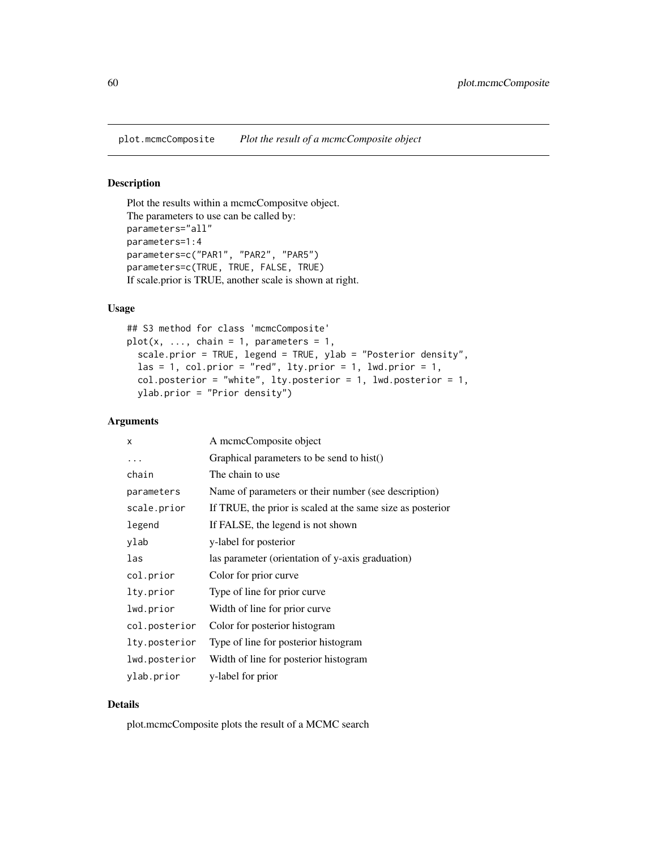```
Plot the results within a mcmcCompositve object.
The parameters to use can be called by:
parameters="all"
parameters=1:4
parameters=c("PAR1", "PAR2", "PAR5")
parameters=c(TRUE, TRUE, FALSE, TRUE)
If scale.prior is TRUE, another scale is shown at right.
```
## Usage

```
## S3 method for class 'mcmcComposite'
plot(x, ..., chain = 1, parameters = 1,scale.prior = TRUE, legend = TRUE, ylab = "Posterior density",
 las = 1, col.prior = "red", lty.prior = 1, lwd.prior = 1,
  col.posterior = "white", lty.posterior = 1, lwd.posterior = 1,
 ylab.prior = "Prior density")
```
# Arguments

| X             | A memeComposite object                                     |
|---------------|------------------------------------------------------------|
| .             | Graphical parameters to be send to hist()                  |
| chain         | The chain to use                                           |
| parameters    | Name of parameters or their number (see description)       |
| scale.prior   | If TRUE, the prior is scaled at the same size as posterior |
| legend        | If FALSE, the legend is not shown                          |
| ylab          | y-label for posterior                                      |
| las           | las parameter (orientation of y-axis graduation)           |
| col.prior     | Color for prior curve                                      |
| lty.prior     | Type of line for prior curve                               |
| lwd.prior     | Width of line for prior curve                              |
| col.posterior | Color for posterior histogram                              |
| lty.posterior | Type of line for posterior histogram                       |
| lwd.posterior | Width of line for posterior histogram                      |
| ylab.prior    | y-label for prior                                          |

## Details

plot.mcmcComposite plots the result of a MCMC search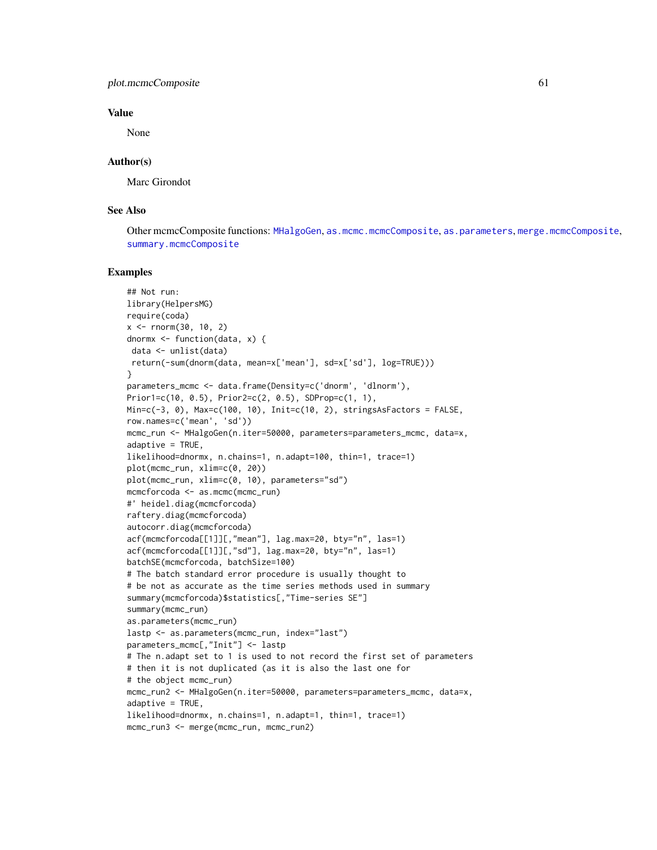#### plot.mcmcComposite 61

## Value

None

## Author(s)

Marc Girondot

## See Also

Other mcmcComposite functions: [MHalgoGen](#page-45-0), [as.mcmc.mcmcComposite](#page-4-0), [as.parameters](#page-6-0), [merge.mcmcComposite](#page-44-0), [summary.mcmcComposite](#page-76-0)

## Examples

```
## Not run:
library(HelpersMG)
require(coda)
x < - rnorm(30, 10, 2)dnormx <- function(data, x) {
 data <- unlist(data)
return(-sum(dnorm(data, mean=x['mean'], sd=x['sd'], log=TRUE)))
}
parameters_mcmc <- data.frame(Density=c('dnorm', 'dlnorm'),
Prior1=c(10, 0.5), Prior2=c(2, 0.5), SDProp=c(1, 1),
Min=c(-3, 0), Max=c(100, 10), Init=c(10, 2), stringsAsFactors = FALSE,
row.names=c('mean', 'sd'))
mcmc_run <- MHalgoGen(n.iter=50000, parameters=parameters_mcmc, data=x,
adaptive = TRUE,likelihood=dnormx, n.chains=1, n.adapt=100, thin=1, trace=1)
plot(mcmc_run, xlim=c(0, 20))
plot(mcmc_run, xlim=c(0, 10), parameters="sd")
mcmcforcoda <- as.mcmc(mcmc_run)
#' heidel.diag(mcmcforcoda)
raftery.diag(mcmcforcoda)
autocorr.diag(mcmcforcoda)
acf(mcmcforcoda[[1]][,"mean"], lag.max=20, bty="n", las=1)
acf(mcmcforcoda[[1]][,"sd"], lag.max=20, bty="n", las=1)
batchSE(mcmcforcoda, batchSize=100)
# The batch standard error procedure is usually thought to
# be not as accurate as the time series methods used in summary
summary(mcmcforcoda)$statistics[,"Time-series SE"]
summary(mcmc_run)
as.parameters(mcmc_run)
lastp <- as.parameters(mcmc_run, index="last")
parameters_mcmc[,"Init"] <- lastp
# The n.adapt set to 1 is used to not record the first set of parameters
# then it is not duplicated (as it is also the last one for
# the object mcmc_run)
mcmc_run2 <- MHalgoGen(n.iter=50000, parameters=parameters_mcmc, data=x,
adaptive = TRUE,likelihood=dnormx, n.chains=1, n.adapt=1, thin=1, trace=1)
mcmc_run3 <- merge(mcmc_run, mcmc_run2)
```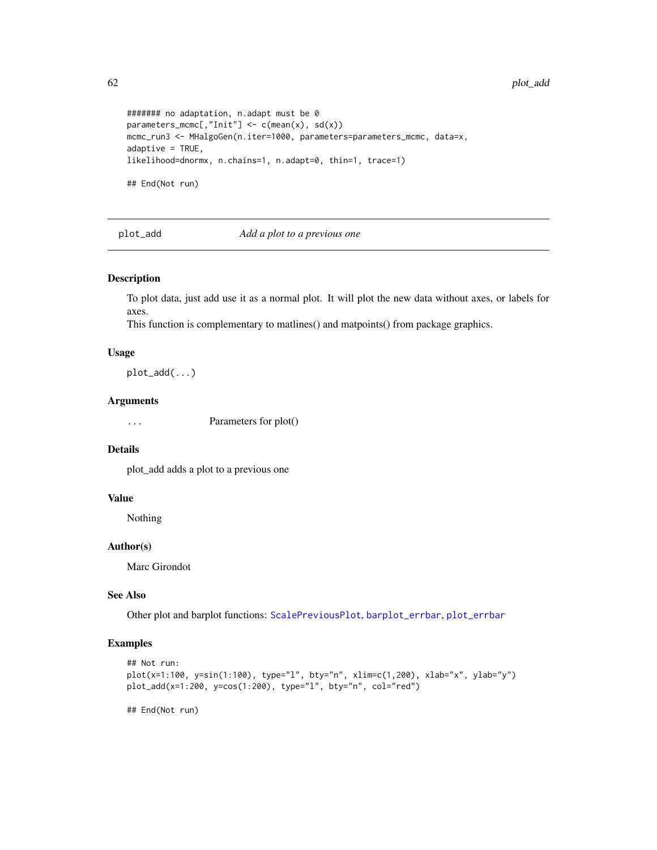```
####### no adaptation, n.adapt must be 0
parameters_mcmc[,"Init"] \leq c(mean(x), sd(x))
mcmc_run3 <- MHalgoGen(n.iter=1000, parameters=parameters_mcmc, data=x,
adaptive = TRUE,likelihood=dnormx, n.chains=1, n.adapt=0, thin=1, trace=1)
## End(Not run)
```
<span id="page-61-0"></span>plot\_add *Add a plot to a previous one*

## Description

To plot data, just add use it as a normal plot. It will plot the new data without axes, or labels for axes.

This function is complementary to matlines() and matpoints() from package graphics.

#### Usage

plot\_add(...)

#### Arguments

... Parameters for plot()

## Details

plot\_add adds a plot to a previous one

#### Value

Nothing

## Author(s)

Marc Girondot

# See Also

Other plot and barplot functions: [ScalePreviousPlot](#page-70-0), [barplot\\_errbar](#page-8-0), [plot\\_errbar](#page-62-0)

# Examples

```
## Not run:
plot(x=1:100, y=sin(1:100), type="l", bty="n", xlim=c(1,200), xlab="x", ylab="y")
plot_add(x=1:200, y=cos(1:200), type="l", bty="n", col="red")
```
## End(Not run)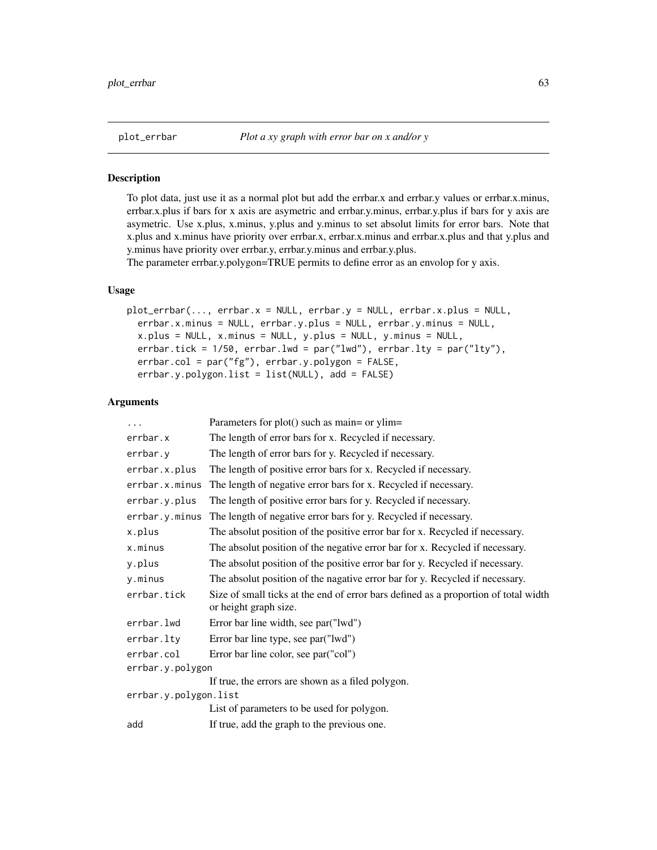<span id="page-62-0"></span>

To plot data, just use it as a normal plot but add the errbar.x and errbar.y values or errbar.x.minus, errbar.x.plus if bars for x axis are asymetric and errbar.y.minus, errbar.y.plus if bars for y axis are asymetric. Use x.plus, x.minus, y.plus and y.minus to set absolut limits for error bars. Note that x.plus and x.minus have priority over errbar.x, errbar.x.minus and errbar.x.plus and that y.plus and y.minus have priority over errbar.y, errbar.y.minus and errbar.y.plus.

The parameter errbar.y.polygon=TRUE permits to define error as an envolop for y axis.

## Usage

```
plot_errbar(..., errbar.x = NULL, errbar.y = NULL, errbar.x.plus = NULL,
 errbar.x.minus = NULL, errbar.y.plus = NULL, errbar.y.minus = NULL,
 x.plus = NULL, x.minus = NULL, y.plus = NULL, y.minus = NULL,
 errbar.tick = 1/50, errbar.lwd = par("lwd"), errbar.lty = par("lty"),
 errbar.col = par("fg"), errbar.y.polygon = FALSE,
 errbar.y.polygon.list = list(NULL), add = FALSE)
```
#### Arguments

| $\cdots$              | Parameters for plot() such as main= or ylim=                                                                 |  |  |
|-----------------------|--------------------------------------------------------------------------------------------------------------|--|--|
| errbar.x              | The length of error bars for x. Recycled if necessary.                                                       |  |  |
| errbar.y              | The length of error bars for y. Recycled if necessary.                                                       |  |  |
| errbar.x.plus         | The length of positive error bars for x. Recycled if necessary.                                              |  |  |
| errbar.x.minus        | The length of negative error bars for x. Recycled if necessary.                                              |  |  |
| errbar.y.plus         | The length of positive error bars for y. Recycled if necessary.                                              |  |  |
| errbar.y.minus        | The length of negative error bars for y. Recycled if necessary.                                              |  |  |
| x.plus                | The absolut position of the positive error bar for x. Recycled if necessary.                                 |  |  |
| x.minus               | The absolut position of the negative error bar for x. Recycled if necessary.                                 |  |  |
| y.plus                | The absolut position of the positive error bar for y. Recycled if necessary.                                 |  |  |
| y.minus               | The absolut position of the nagative error bar for y. Recycled if necessary.                                 |  |  |
| errbar.tick           | Size of small ticks at the end of error bars defined as a proportion of total width<br>or height graph size. |  |  |
| errbar.lwd            | Error bar line width, see par("lwd")                                                                         |  |  |
| errbar.lty            | Error bar line type, see par ("lwd")                                                                         |  |  |
| errbar.col            | Error bar line color, see par("col")                                                                         |  |  |
| errbar.y.polygon      |                                                                                                              |  |  |
|                       | If true, the errors are shown as a filed polygon.                                                            |  |  |
| errbar.y.polygon.list |                                                                                                              |  |  |
|                       | List of parameters to be used for polygon.                                                                   |  |  |
| add                   | If true, add the graph to the previous one.                                                                  |  |  |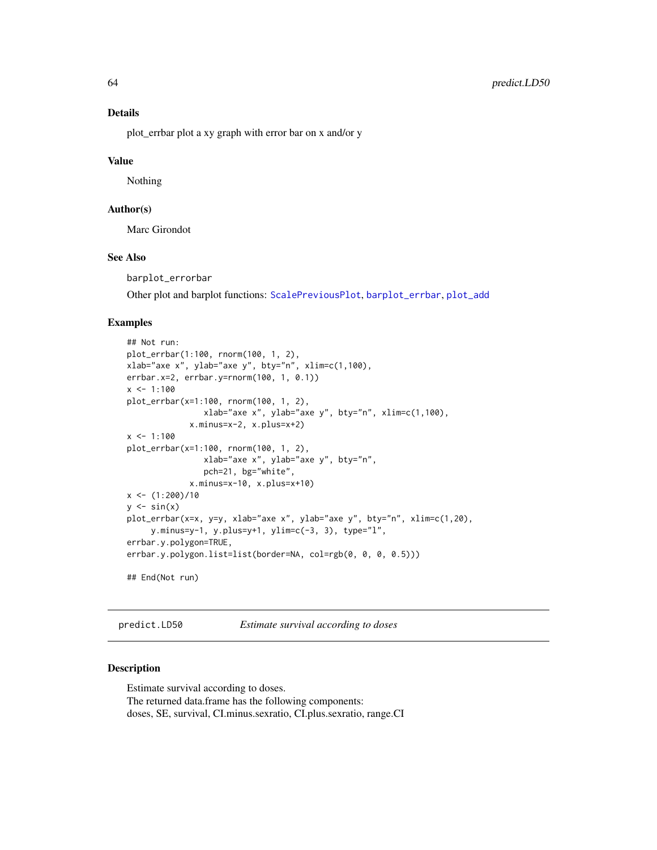# Details

plot\_errbar plot a xy graph with error bar on x and/or y

#### Value

Nothing

# Author(s)

Marc Girondot

## See Also

barplot\_errorbar

Other plot and barplot functions: [ScalePreviousPlot](#page-70-0), [barplot\\_errbar](#page-8-0), [plot\\_add](#page-61-0)

## Examples

```
## Not run:
plot_errbar(1:100, rnorm(100, 1, 2),
xlab="axe x", ylab="axe y", bty="n", xlim=c(1,100),
errbar.x=2, errbar.y=rnorm(100, 1, 0.1))
x \le -1:100plot_errbar(x=1:100, rnorm(100, 1, 2),
                xlab="axe x", ylab="axe y", bty="n", xlim=c(1,100),
             x.minus=x-2, x.plus=x+2)
x < -1:100plot_errbar(x=1:100, rnorm(100, 1, 2),
                xlab="axe x", ylab="axe y", bty="n",
                pch=21, bg="white",
             x.minus=x-10, x.plus=x+10)
x \leftarrow (1:200)/10y \leftarrow \sin(x)plot_errbar(x=x, y=y, xlab="axe x", ylab="axe y", bty="n", xlim=c(1,20),
     y.minus=y-1, y.plus=y+1, ylim=c(-3, 3), type="l",
errbar.y.polygon=TRUE,
errbar.y.polygon.list=list(border=NA, col=rgb(0, 0, 0, 0.5)))
## End(Not run)
```
<span id="page-63-0"></span>predict.LD50 *Estimate survival according to doses*

#### Description

Estimate survival according to doses. The returned data.frame has the following components: doses, SE, survival, CI.minus.sexratio, CI.plus.sexratio, range.CI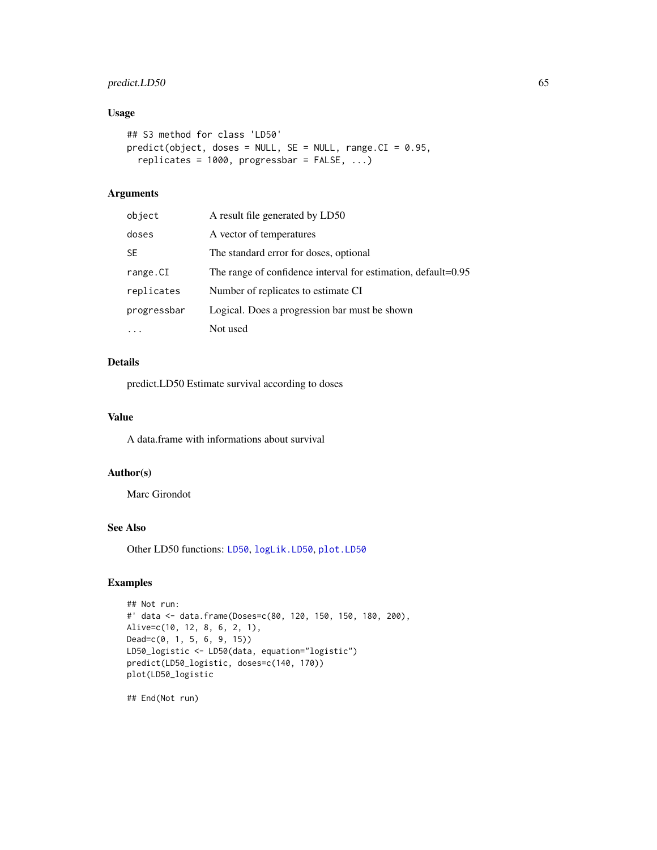# predict.LD50 65

# Usage

```
## S3 method for class 'LD50'
predict(object, does = NULL, SE = NULL, range.CI = 0.95,replicates = 1000, progressbar = FALSE, ...)
```
# Arguments

| object      | A result file generated by LD50                               |
|-------------|---------------------------------------------------------------|
| doses       | A vector of temperatures                                      |
| SE          | The standard error for doses, optional                        |
| range.CI    | The range of confidence interval for estimation, default=0.95 |
| replicates  | Number of replicates to estimate CI                           |
| progressbar | Logical. Does a progression bar must be shown                 |
| .           | Not used                                                      |

# Details

predict.LD50 Estimate survival according to doses

## Value

A data.frame with informations about survival

## Author(s)

Marc Girondot

# See Also

Other LD50 functions: [LD50](#page-39-0), [logLik.LD50](#page-43-0), [plot.LD50](#page-57-0)

# Examples

```
## Not run:
#' data <- data.frame(Doses=c(80, 120, 150, 150, 180, 200),
Alive=c(10, 12, 8, 6, 2, 1),
Dead=c(0, 1, 5, 6, 9, 15))
LD50_logistic <- LD50(data, equation="logistic")
predict(LD50_logistic, doses=c(140, 170))
plot(LD50_logistic
```
## End(Not run)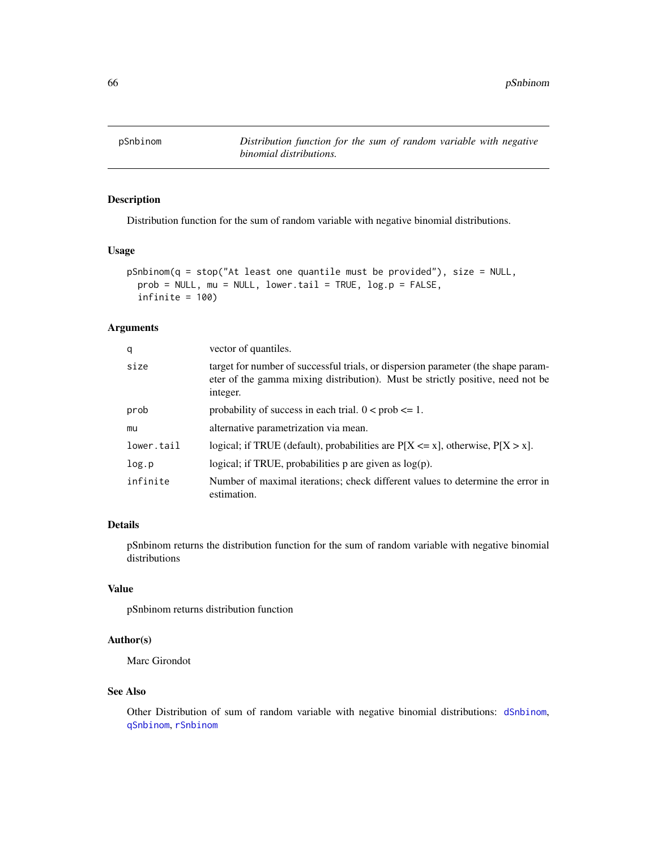<span id="page-65-0"></span>

Distribution function for the sum of random variable with negative binomial distributions.

#### Usage

```
pSnbinom(q = stop("At least one quantile must be provided"), size = NULL,
 prob = NULL, mu = NULL, lower.tail = TRUE, log.p = FALSE,
  infinite = 100
```
#### Arguments

| q          | vector of quantiles.                                                                                                                                                            |  |  |  |
|------------|---------------------------------------------------------------------------------------------------------------------------------------------------------------------------------|--|--|--|
| size       | target for number of successful trials, or dispersion parameter (the shape param-<br>eter of the gamma mixing distribution). Must be strictly positive, need not be<br>integer. |  |  |  |
| prob       | probability of success in each trial. $0 < \text{prob} \leq 1$ .                                                                                                                |  |  |  |
| mu         | alternative parametrization via mean.                                                                                                                                           |  |  |  |
| lower.tail | logical; if TRUE (default), probabilities are $P[X \le x]$ , otherwise, $P[X > x]$ .                                                                                            |  |  |  |
| log.p      | logical; if TRUE, probabilities $p$ are given as $log(p)$ .                                                                                                                     |  |  |  |
| infinite   | Number of maximal iterations; check different values to determine the error in<br>estimation.                                                                                   |  |  |  |

# Details

pSnbinom returns the distribution function for the sum of random variable with negative binomial distributions

#### Value

pSnbinom returns distribution function

#### Author(s)

Marc Girondot

## See Also

Other Distribution of sum of random variable with negative binomial distributions: [dSnbinom](#page-22-0), [qSnbinom](#page-66-0), [rSnbinom](#page-69-0)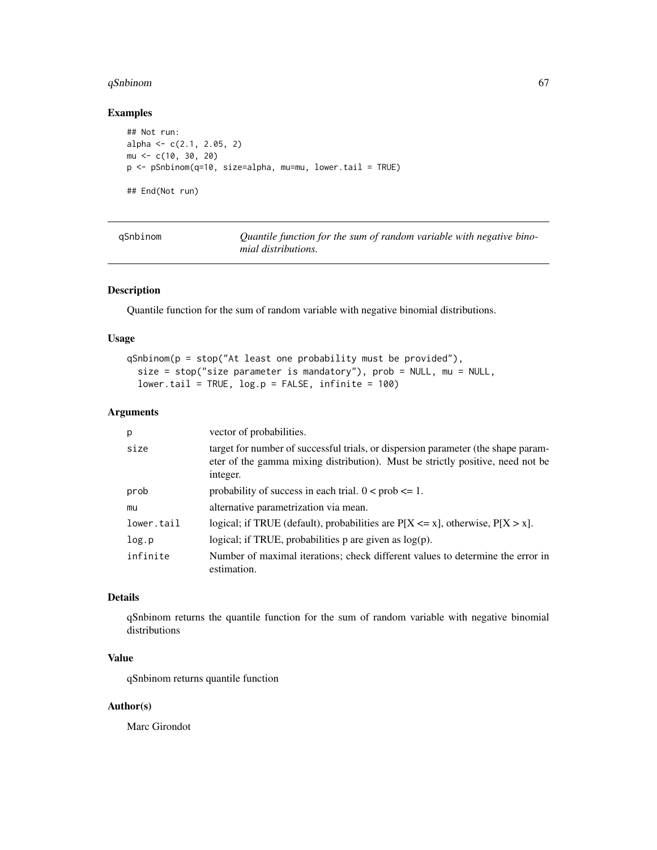# qSnbinom 67

# Examples

```
## Not run:
alpha <- c(2.1, 2.05, 2)
mu <- c(10, 30, 20)
p <- pSnbinom(q=10, size=alpha, mu=mu, lower.tail = TRUE)
## End(Not run)
```
<span id="page-66-0"></span>

Quantile function for the sum of random variable with negative bino*mial distributions.*

# Description

Quantile function for the sum of random variable with negative binomial distributions.

#### Usage

```
qSnbinom(p = stop("At least one probability must be provided"),
  size = stop("size parameter is mandatory"), prob = NULL, mu = NULL,
 lower.tail = TRUE, log.p = FALSE, infinite = 100)
```
# Arguments

| p          | vector of probabilities.                                                                                                                                                        |
|------------|---------------------------------------------------------------------------------------------------------------------------------------------------------------------------------|
| size       | target for number of successful trials, or dispersion parameter (the shape param-<br>eter of the gamma mixing distribution). Must be strictly positive, need not be<br>integer. |
| prob       | probability of success in each trial. $0 < \text{prob} \leq 1$ .                                                                                                                |
| mu         | alternative parametrization via mean.                                                                                                                                           |
| lower.tail | logical; if TRUE (default), probabilities are $P[X \le x]$ , otherwise, $P[X > x]$ .                                                                                            |
| log.p      | logical; if TRUE, probabilities $p$ are given as $log(p)$ .                                                                                                                     |
| infinite   | Number of maximal iterations; check different values to determine the error in<br>estimation.                                                                                   |

# Details

qSnbinom returns the quantile function for the sum of random variable with negative binomial distributions

# Value

qSnbinom returns quantile function

#### Author(s)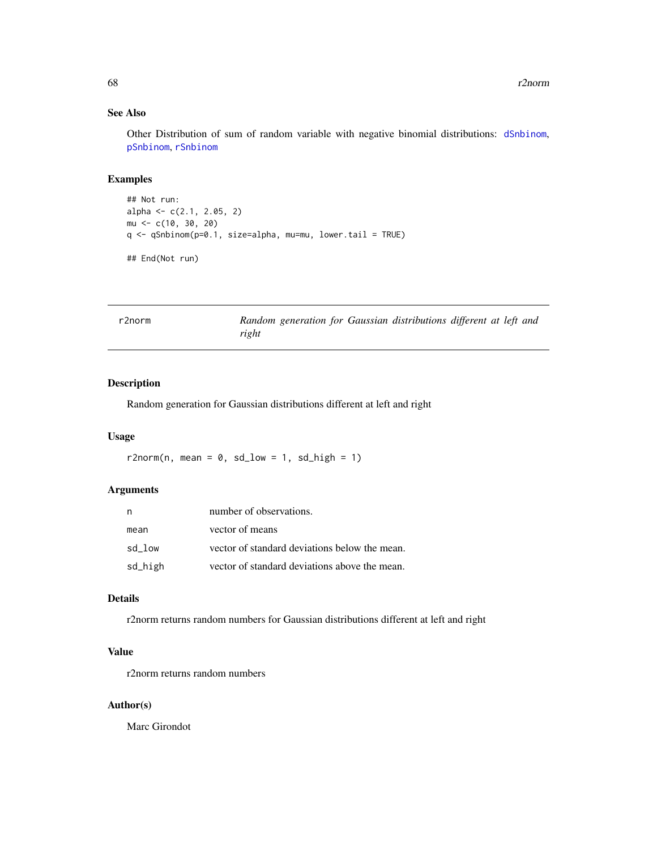## See Also

Other Distribution of sum of random variable with negative binomial distributions: [dSnbinom](#page-22-0), [pSnbinom](#page-65-0), [rSnbinom](#page-69-0)

## Examples

```
## Not run:
alpha <- c(2.1, 2.05, 2)
mu <- c(10, 30, 20)
q <- qSnbinom(p=0.1, size=alpha, mu=mu, lower.tail = TRUE)
## End(Not run)
```

| r2norm |       |  | Random generation for Gaussian distributions different at left and |  |  |
|--------|-------|--|--------------------------------------------------------------------|--|--|
|        | right |  |                                                                    |  |  |

# Description

Random generation for Gaussian distributions different at left and right

## Usage

r2norm(n, mean =  $0$ , sd\_low = 1, sd\_high = 1)

# Arguments

| n       | number of observations.                       |
|---------|-----------------------------------------------|
| mean    | vector of means                               |
| sd low  | vector of standard deviations below the mean. |
| sd_high | vector of standard deviations above the mean. |

## Details

r2norm returns random numbers for Gaussian distributions different at left and right

# Value

r2norm returns random numbers

## Author(s)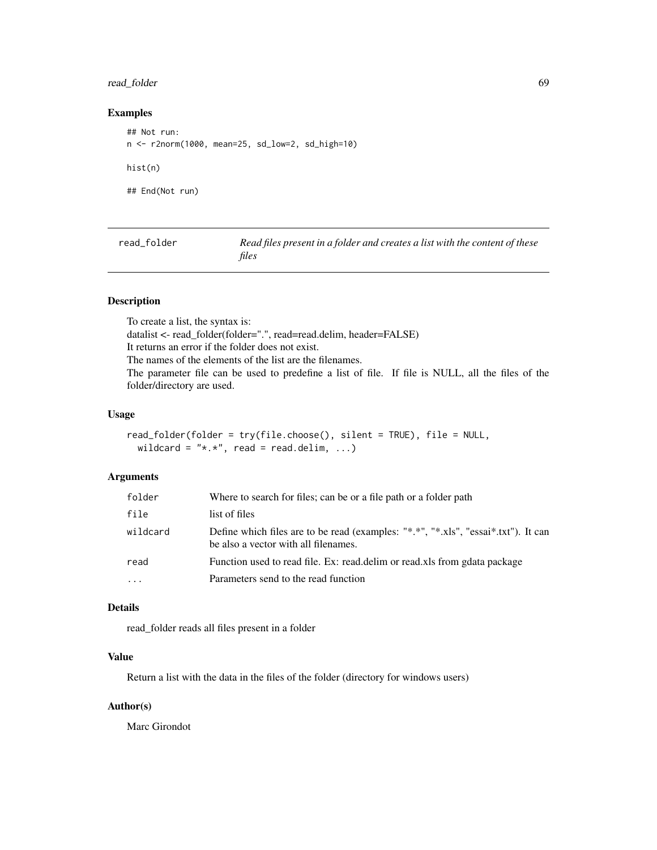## read\_folder 69

# Examples

## Not run: n <- r2norm(1000, mean=25, sd\_low=2, sd\_high=10) hist(n) ## End(Not run)

read\_folder *Read files present in a folder and creates a list with the content of these files*

# Description

To create a list, the syntax is: datalist <- read\_folder(folder=".", read=read.delim, header=FALSE) It returns an error if the folder does not exist. The names of the elements of the list are the filenames. The parameter file can be used to predefine a list of file. If file is NULL, all the files of the folder/directory are used.

# Usage

```
read_folder(folder = try(file.choose(), silent = TRUE), file = NULL,
  wildcard = "*, *", read = read.delim, ...)
```
# Arguments

| folder   | Where to search for files; can be or a file path or a folder path                                                          |
|----------|----------------------------------------------------------------------------------------------------------------------------|
| file     | list of files                                                                                                              |
| wildcard | Define which files are to be read (examples: "*.*", "*.xls", "essai*.txt"). It can<br>be also a vector with all filenames. |
| read     | Function used to read file. Ex: read.delim or read.xls from gdata package                                                  |
| .        | Parameters send to the read function                                                                                       |
|          |                                                                                                                            |

## Details

read\_folder reads all files present in a folder

#### Value

Return a list with the data in the files of the folder (directory for windows users)

#### Author(s)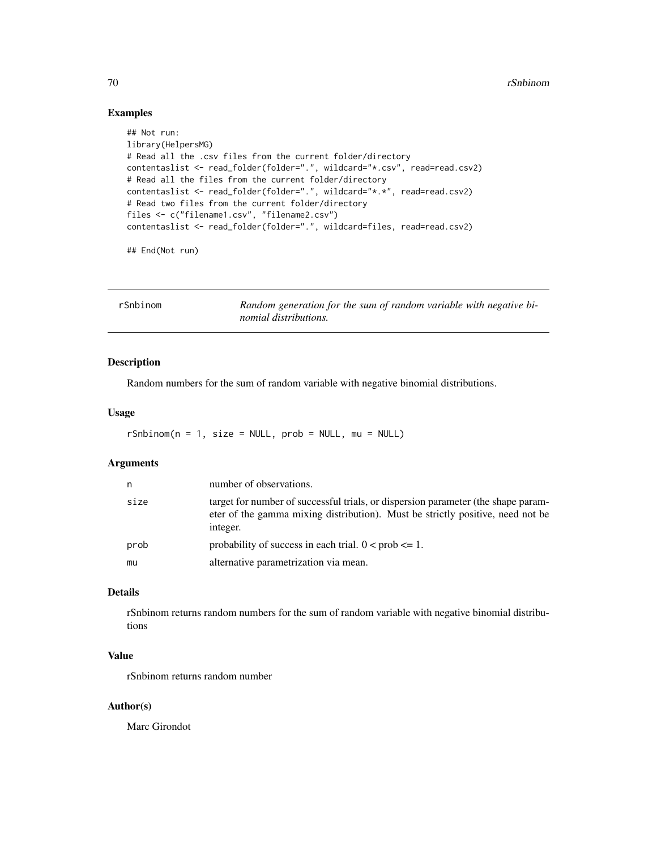# Examples

```
## Not run:
library(HelpersMG)
# Read all the .csv files from the current folder/directory
contentaslist <- read_folder(folder=".", wildcard="*.csv", read=read.csv2)
# Read all the files from the current folder/directory
contentaslist <- read_folder(folder=".", wildcard="*.*", read=read.csv2)
# Read two files from the current folder/directory
files <- c("filename1.csv", "filename2.csv")
contentaslist <- read_folder(folder=".", wildcard=files, read=read.csv2)
```
## End(Not run)

<span id="page-69-0"></span>

| rSnbinom | Random generation for the sum of random variable with negative bi- |
|----------|--------------------------------------------------------------------|
|          | nomial distributions.                                              |

#### Description

Random numbers for the sum of random variable with negative binomial distributions.

# Usage

 $rShbinom(n = 1, size = NULL, prob = NULL, mu = NULL)$ 

## Arguments

| n    | number of observations.                                                                                                                                                         |
|------|---------------------------------------------------------------------------------------------------------------------------------------------------------------------------------|
| size | target for number of successful trials, or dispersion parameter (the shape param-<br>eter of the gamma mixing distribution). Must be strictly positive, need not be<br>integer. |
| prob | probability of success in each trial. $0 < prob \le 1$ .                                                                                                                        |
| mu   | alternative parametrization via mean.                                                                                                                                           |

## Details

rSnbinom returns random numbers for the sum of random variable with negative binomial distributions

# Value

rSnbinom returns random number

## Author(s)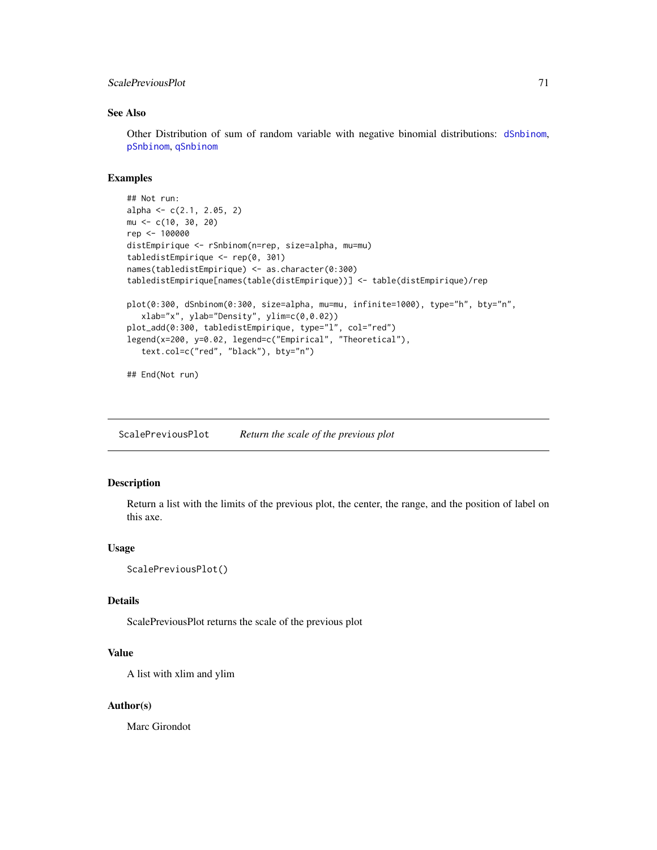## ScalePreviousPlot 71

## See Also

Other Distribution of sum of random variable with negative binomial distributions: [dSnbinom](#page-22-0), [pSnbinom](#page-65-0), [qSnbinom](#page-66-0)

## Examples

```
## Not run:
alpha <- c(2.1, 2.05, 2)
mu <- c(10, 30, 20)
rep <- 100000
distEmpirique <- rSnbinom(n=rep, size=alpha, mu=mu)
tabledistEmpirique <- rep(0, 301)
names(tabledistEmpirique) <- as.character(0:300)
tabledistEmpirique[names(table(distEmpirique))] <- table(distEmpirique)/rep
plot(0:300, dSnbinom(0:300, size=alpha, mu=mu, infinite=1000), type="h", bty="n",
  xlab="x", ylab="Density", ylim=c(0,0.02))
plot_add(0:300, tabledistEmpirique, type="l", col="red")
legend(x=200, y=0.02, legend=c("Empirical", "Theoretical"),
   text.col=c("red", "black"), bty="n")
## End(Not run)
```
<span id="page-70-0"></span>ScalePreviousPlot *Return the scale of the previous plot*

# Description

Return a list with the limits of the previous plot, the center, the range, and the position of label on this axe.

#### Usage

```
ScalePreviousPlot()
```
# Details

ScalePreviousPlot returns the scale of the previous plot

## Value

A list with xlim and ylim

#### Author(s)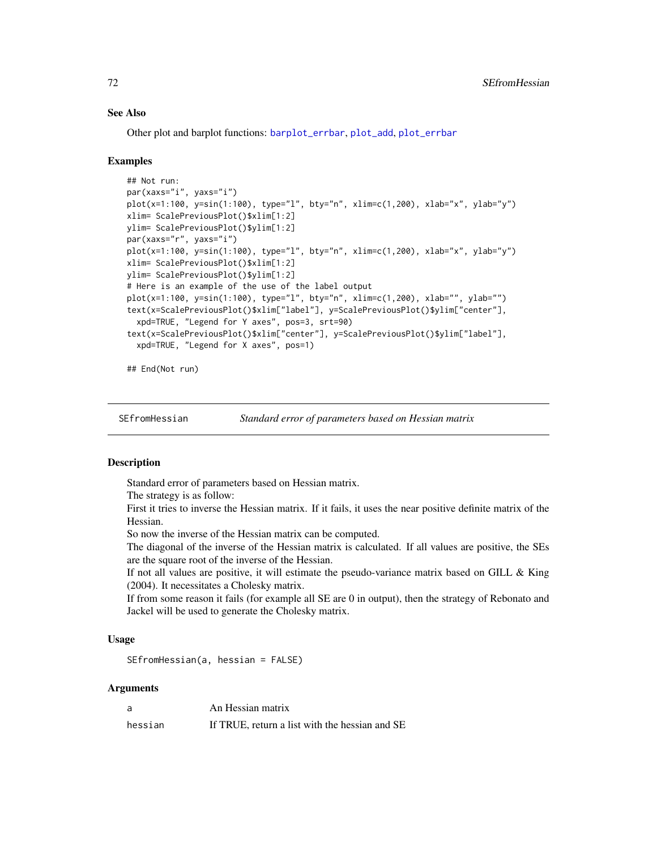## See Also

Other plot and barplot functions: [barplot\\_errbar](#page-8-0), [plot\\_add](#page-61-0), [plot\\_errbar](#page-62-0)

#### Examples

```
## Not run:
par(xaxs="i", yaxs="i")
plot(x=1:100, y=sin(1:100), type="l", bty="n", xlim=c(1,200), xlab="x", ylab="y")
xlim= ScalePreviousPlot()$xlim[1:2]
ylim= ScalePreviousPlot()$ylim[1:2]
par(xaxs="r", yaxs="i")
plot(x=1:100, y=sin(1:100), type="l", bty="n", xlim=c(1,200), xlab="x", ylab="y")
xlim= ScalePreviousPlot()$xlim[1:2]
ylim= ScalePreviousPlot()$ylim[1:2]
# Here is an example of the use of the label output
plot(x=1:100, y=sin(1:100), type="l", bty="n", xlim=c(1,200), xlab="", ylab="")
text(x=ScalePreviousPlot()$xlim["label"], y=ScalePreviousPlot()$ylim["center"],
  xpd=TRUE, "Legend for Y axes", pos=3, srt=90)
text(x=ScalePreviousPlot()$xlim["center"], y=ScalePreviousPlot()$ylim["label"],
  xpd=TRUE, "Legend for X axes", pos=1)
```
## End(Not run)

SEfromHessian *Standard error of parameters based on Hessian matrix*

#### **Description**

Standard error of parameters based on Hessian matrix.

The strategy is as follow:

First it tries to inverse the Hessian matrix. If it fails, it uses the near positive definite matrix of the Hessian.

So now the inverse of the Hessian matrix can be computed.

The diagonal of the inverse of the Hessian matrix is calculated. If all values are positive, the SEs are the square root of the inverse of the Hessian.

If not all values are positive, it will estimate the pseudo-variance matrix based on GILL & King (2004). It necessitates a Cholesky matrix.

If from some reason it fails (for example all SE are 0 in output), then the strategy of Rebonato and Jackel will be used to generate the Cholesky matrix.

## Usage

```
SEfromHessian(a, hessian = FALSE)
```
## Arguments

| a       | An Hessian matrix                              |
|---------|------------------------------------------------|
| hessian | If TRUE, return a list with the hessian and SE |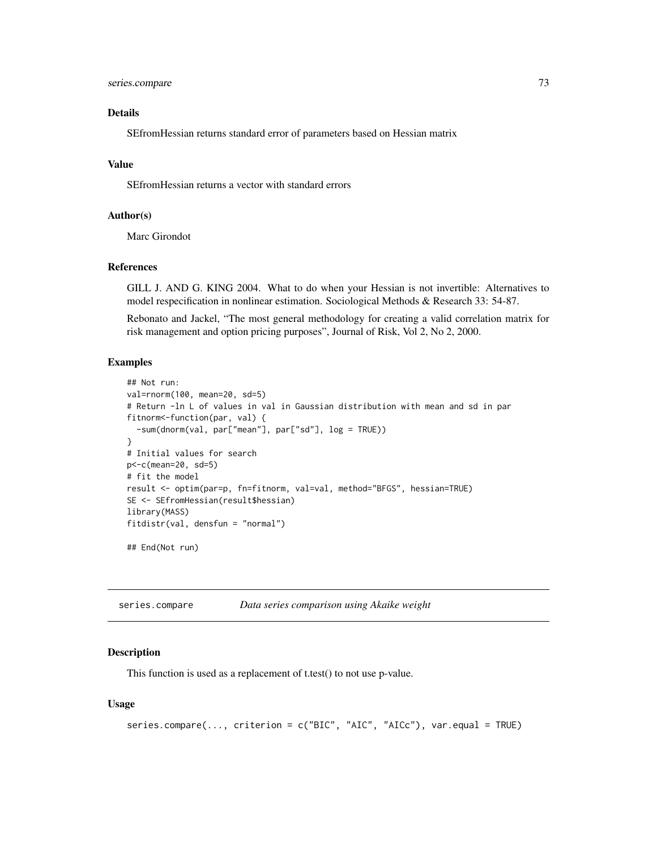# <span id="page-72-0"></span>series.compare 73

# Details

SEfromHessian returns standard error of parameters based on Hessian matrix

#### Value

SEfromHessian returns a vector with standard errors

#### Author(s)

Marc Girondot

## References

GILL J. AND G. KING 2004. What to do when your Hessian is not invertible: Alternatives to model respecification in nonlinear estimation. Sociological Methods & Research 33: 54-87.

Rebonato and Jackel, "The most general methodology for creating a valid correlation matrix for risk management and option pricing purposes", Journal of Risk, Vol 2, No 2, 2000.

#### Examples

```
## Not run:
val=rnorm(100, mean=20, sd=5)
# Return -ln L of values in val in Gaussian distribution with mean and sd in par
fitnorm<-function(par, val) {
  -sum(dnorm(val, par["mean"], par["sd"], log = TRUE))
}
# Initial values for search
p<-c(mean=20, sd=5)
# fit the model
result <- optim(par=p, fn=fitnorm, val=val, method="BFGS", hessian=TRUE)
SE <- SEfromHessian(result$hessian)
library(MASS)
fitdistr(val, densfun = "normal")
## End(Not run)
```

| series.compare | Data series comparison using Akaike weight |  |  |
|----------------|--------------------------------------------|--|--|
|                |                                            |  |  |

#### Description

This function is used as a replacement of t.test() to not use p-value.

#### Usage

```
series.compare(..., criterion = c("BIC", "AIC", "AICc"), var.equal = TRUE)
```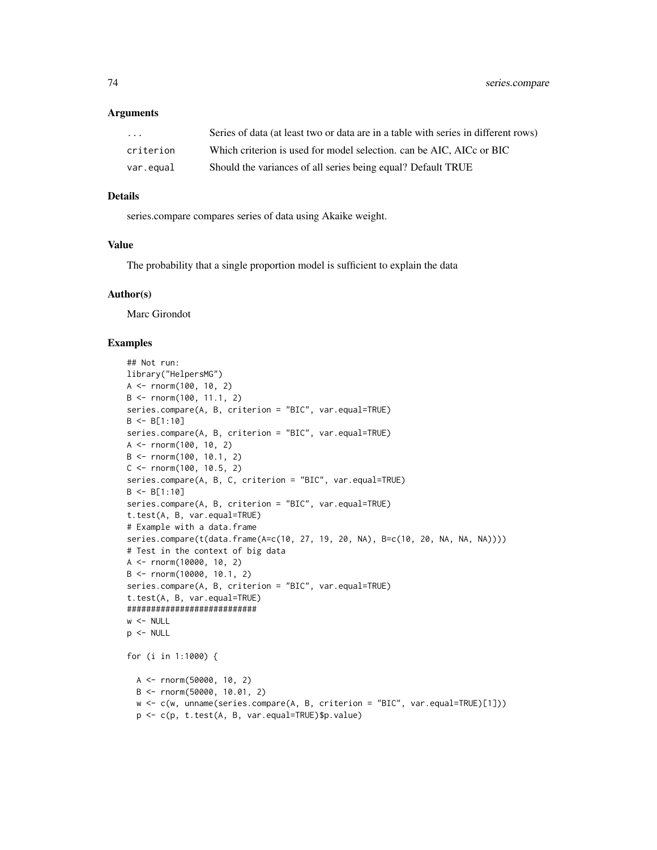#### Arguments

| .         | Series of data (at least two or data are in a table with series in different rows) |
|-----------|------------------------------------------------------------------------------------|
| criterion | Which criterion is used for model selection, can be AIC, AICc or BIC               |
| var.equal | Should the variances of all series being equal? Default TRUE                       |

## Details

series.compare compares series of data using Akaike weight.

#### Value

The probability that a single proportion model is sufficient to explain the data

#### Author(s)

Marc Girondot

## Examples

```
## Not run:
library("HelpersMG")
A <- rnorm(100, 10, 2)
B <- rnorm(100, 11.1, 2)
series.compare(A, B, criterion = "BIC", var.equal=TRUE)
B \le B[1:10]series.compare(A, B, criterion = "BIC", var.equal=TRUE)
A \leq -rnorm(100, 10, 2)B \le - rnorm(100, 10.1, 2)
C \le - rnorm(100, 10.5, 2)series.compare(A, B, C, criterion = "BIC", var.equal=TRUE)
B \leftarrow B[1:10]series.compare(A, B, criterion = "BIC", var.equal=TRUE)
t.test(A, B, var.equal=TRUE)
# Example with a data.frame
series.compare(t(data.frame(A=c(10, 27, 19, 20, NA), B=c(10, 20, NA, NA, NA))))
# Test in the context of big data
A <- rnorm(10000, 10, 2)
B <- rnorm(10000, 10.1, 2)
series.compare(A, B, criterion = "BIC", var.equal=TRUE)
t.test(A, B, var.equal=TRUE)
###########################
w < - NULL
p <- NULL
for (i in 1:1000) {
  A <- rnorm(50000, 10, 2)
  B <- rnorm(50000, 10.01, 2)
  w <- c(w, unname(series.compare(A, B, criterion = "BIC", var.equal=TRUE)[1]))
  p <- c(p, t.test(A, B, var.equal=TRUE)$p.value)
```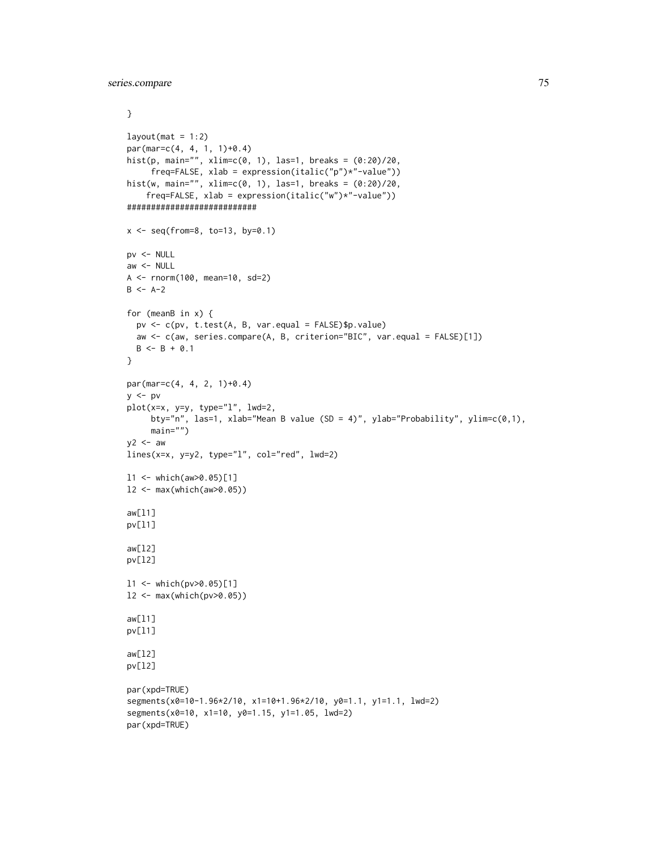```
}
layout(mat = 1:2)
par(max=c(4, 4, 1, 1)+0.4)hist(p, main="", xlim=c(0, 1), las=1, breaks = (0:20)/20,
     freq=FALSE, xlab = expression(italic("p")*"-value"))
hist(w, main="", xlim=c(0, 1), las=1, breaks = (0:20)/20,
    freq=FALSE, xlab = expression(italic("w")*"-value"))
###########################
x \leq - seq(from=8, to=13, by=0.1)
pv <- NULL
aw < - NULL
A <- rnorm(100, mean=10, sd=2)
B \le -A-2for (meanB in x) {
 pv <- c(pv, t.test(A, B, var.equal = FALSE)$p.value)
 aw <- c(aw, series.compare(A, B, criterion="BIC", var.equal = FALSE)[1])
 B \le -B + 0.1}
par(mar=c(4, 4, 2, 1)+0.4)
y \le -pplot(x=x, y=y, type="l", lwd=2,
     bty="n", las=1, xlab="Mean B value (SD = 4)", ylab="Probability", ylim=c(0,1),
     main="")
y2 < - aw
lines(x=x, y=y2, type="l", col="red", lwd=2)
l1 <- which(aw>0.05)[1]
l2 <- max(which(aw>0.05))
aw[l1]
pv[l1]
aw[l2]
pv[l2]
l1 <- which(pv>0.05)[1]
l2 <- max(which(pv>0.05))
aw[l1]
pv[l1]
aw[l2]
pv[l2]
par(xpd=TRUE)
segments(x0=10-1.96*2/10, x1=10+1.96*2/10, y0=1.1, y1=1.1, lwd=2)
segments(x0=10, x1=10, y0=1.15, y1=1.05, lwd=2)
par(xpd=TRUE)
```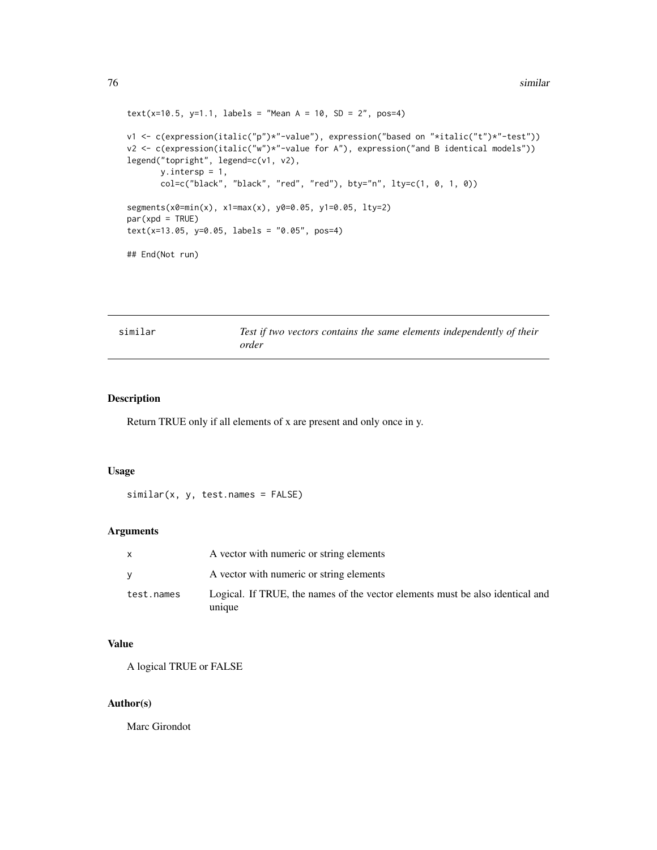```
text(x=10.5, y=1.1, labels = "Mean A = 10, SD = 2", pos=4)v1 <- c(expression(italic("p")*"-value"), expression("based on "*italic("t")*"-test"))
v2 <- c(expression(italic("w")*"-value for A"), expression("and B identical models"))
legend("topright", legend=c(v1, v2),
      y.intersp = 1,
       col=c("black", "black", "red", "red"), bty="n", lty=c(1, 0, 1, 0))
segments(x0=min(x), x1=max(x), y0=0.05, y1=0.05, lty=2)
par(xpd = TRUE)text(x=13.05, y=0.05, labels = "0.05", pos=4)
## End(Not run)
```

| similar | Test if two vectors contains the same elements independently of their |
|---------|-----------------------------------------------------------------------|
|         | order                                                                 |

#### Description

Return TRUE only if all elements of x are present and only once in y.

#### Usage

```
similar(x, y, test.names = FALSE)
```
# Arguments

|            | A vector with numeric or string elements                                                |
|------------|-----------------------------------------------------------------------------------------|
|            | A vector with numeric or string elements                                                |
| test.names | Logical. If TRUE, the names of the vector elements must be also identical and<br>unique |

# Value

A logical TRUE or FALSE

# Author(s)

Marc Girondot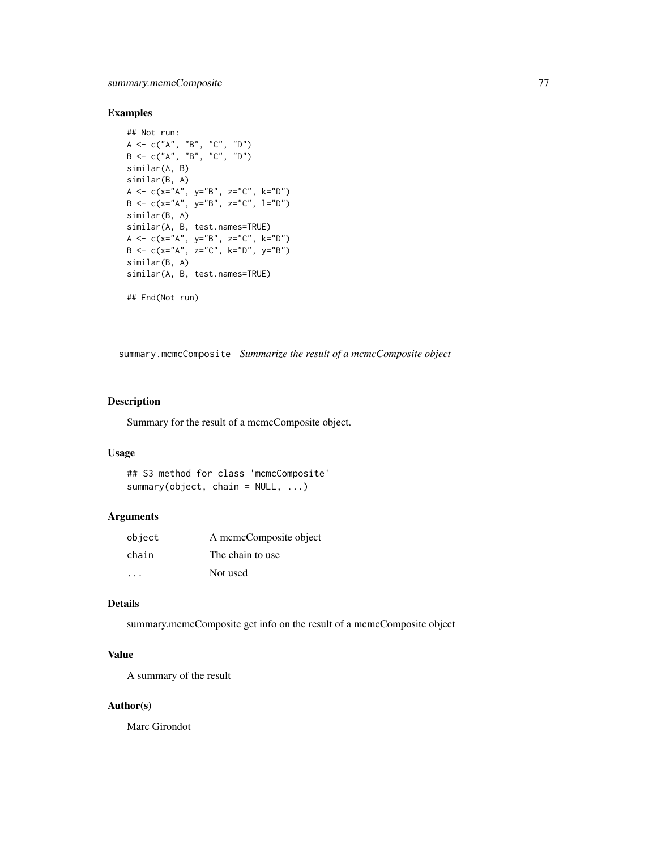# <span id="page-76-0"></span>Examples

```
## Not run:
A \leq \leq \in \left(\right. \left\langle \right. A \right\langle \right. \left. \right. \left\langle \right. \left. \right. \left. \right. \left\langle \right. \left. \right. \left. \right. \left. \right. \left. \right. \left. \right. \left. \right. \left. \right. \left. \right. \left. \right. \left. \right. \left. \right. \left. \right. \left. \right. \left. \rightB <- c("A", "B", "C", "D")
similar(A, B)
similar(B, A)
A <- c(x="A", y="B", z="C", k="D")B \le -c(x="A", y="B", z="C", l="D")similar(B, A)
similar(A, B, test.names=TRUE)
A <- c(x="A", y="B", z="C", k="D")
B \leq -c(x="A", z="C", k="D", y="B")similar(B, A)
similar(A, B, test.names=TRUE)
## End(Not run)
```
summary.mcmcComposite *Summarize the result of a mcmcComposite object*

# Description

Summary for the result of a mcmcComposite object.

#### Usage

```
## S3 method for class 'mcmcComposite'
summary(object, chain = NULL, ...)
```
## Arguments

| object | A memeComposite object |
|--------|------------------------|
| chain  | The chain to use.      |
| .      | Not used               |

#### Details

summary.mcmcComposite get info on the result of a mcmcComposite object

# Value

A summary of the result

#### Author(s)

Marc Girondot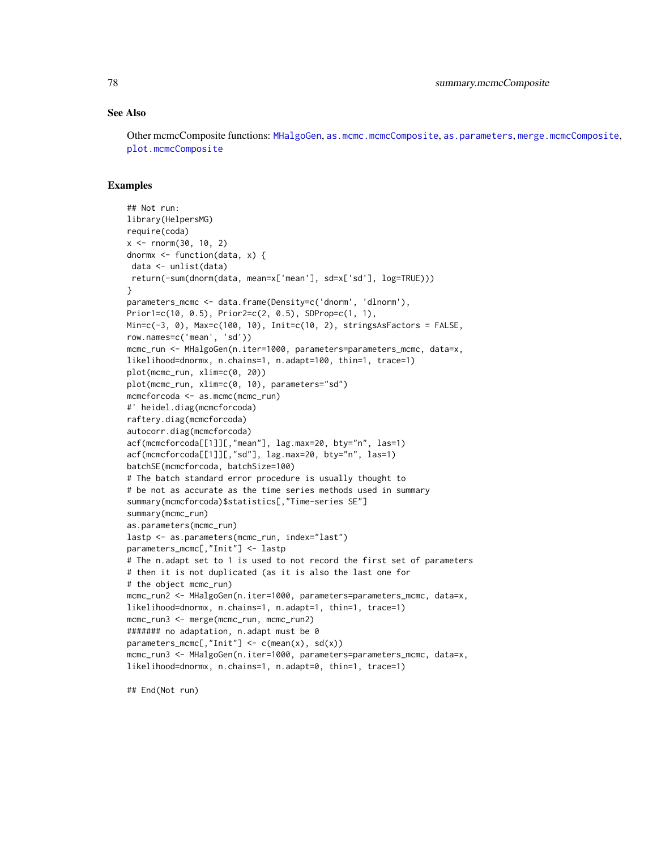#### <span id="page-77-0"></span>See Also

Other mcmcComposite functions: [MHalgoGen](#page-45-0), [as.mcmc.mcmcComposite](#page-4-0), [as.parameters](#page-6-0), [merge.mcmcComposite](#page-44-0), [plot.mcmcComposite](#page-59-0)

#### Examples

```
## Not run:
library(HelpersMG)
require(coda)
x <- rnorm(30, 10, 2)
dnormx <- function(data, x) {
data <- unlist(data)
return(-sum(dnorm(data, mean=x['mean'], sd=x['sd'], log=TRUE)))
}
parameters_mcmc <- data.frame(Density=c('dnorm', 'dlnorm'),
Prior1=c(10, 0.5), Prior2=c(2, 0.5), SDProp=c(1, 1),
Min=c(-3, 0), Max=c(100, 10), Init=c(10, 2), stringsAsFactors = FALSE,
row.names=c('mean', 'sd'))
mcmc_run <- MHalgoGen(n.iter=1000, parameters=parameters_mcmc, data=x,
likelihood=dnormx, n.chains=1, n.adapt=100, thin=1, trace=1)
plot(mcmc_run, xlim=c(0, 20))
plot(mcmc_run, xlim=c(0, 10), parameters="sd")
mcmcforcoda <- as.mcmc(mcmc_run)
#' heidel.diag(mcmcforcoda)
raftery.diag(mcmcforcoda)
autocorr.diag(mcmcforcoda)
acf(mcmcforcoda[[1]][,"mean"], lag.max=20, bty="n", las=1)
acf(mcmcforcoda[[1]][,"sd"], lag.max=20, bty="n", las=1)
batchSE(mcmcforcoda, batchSize=100)
# The batch standard error procedure is usually thought to
# be not as accurate as the time series methods used in summary
summary(mcmcforcoda)$statistics[,"Time-series SE"]
summary(mcmc_run)
as.parameters(mcmc_run)
lastp <- as.parameters(mcmc_run, index="last")
parameters_mcmc[,"Init"] <- lastp
# The n.adapt set to 1 is used to not record the first set of parameters
# then it is not duplicated (as it is also the last one for
# the object mcmc_run)
mcmc_run2 <- MHalgoGen(n.iter=1000, parameters=parameters_mcmc, data=x,
likelihood=dnormx, n.chains=1, n.adapt=1, thin=1, trace=1)
mcmc_run3 <- merge(mcmc_run, mcmc_run2)
####### no adaptation, n.adapt must be 0
parameters_mcmc[,"Init"] \leq c(mean(x), sd(x))
mcmc_run3 <- MHalgoGen(n.iter=1000, parameters=parameters_mcmc, data=x,
likelihood=dnormx, n.chains=1, n.adapt=0, thin=1, trace=1)
```
## End(Not run)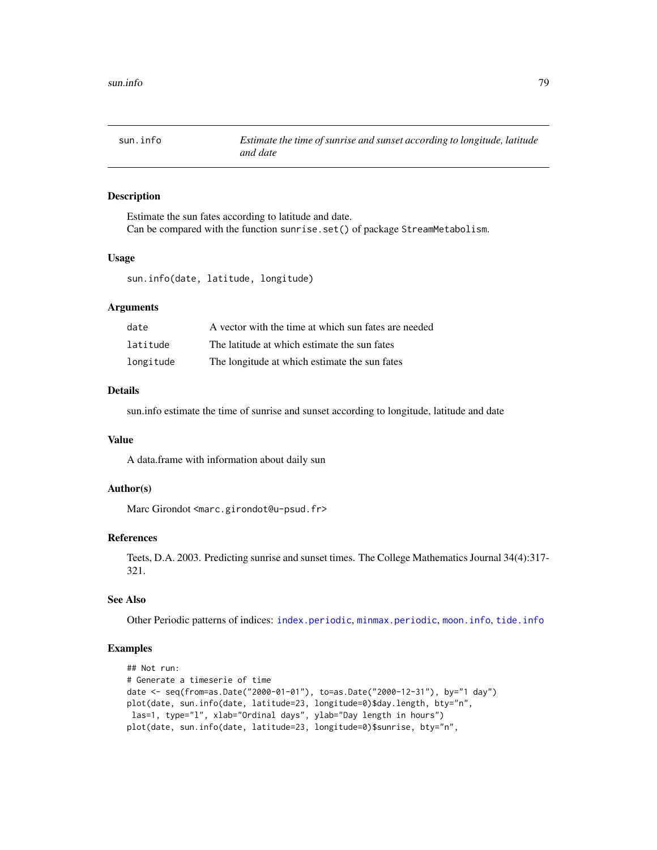<span id="page-78-1"></span><span id="page-78-0"></span>sun.info *Estimate the time of sunrise and sunset according to longitude, latitude and date*

# Description

Estimate the sun fates according to latitude and date. Can be compared with the function sunrise.set() of package StreamMetabolism.

#### Usage

sun.info(date, latitude, longitude)

## Arguments

| date      | A vector with the time at which sun fates are needed |
|-----------|------------------------------------------------------|
| latitude  | The latitude at which estimate the sun fates         |
| longitude | The longitude at which estimate the sun fates        |

#### Details

sun.info estimate the time of sunrise and sunset according to longitude, latitude and date

# Value

A data.frame with information about daily sun

## Author(s)

Marc Girondot <marc.girondot@u-psud.fr>

#### References

Teets, D.A. 2003. Predicting sunrise and sunset times. The College Mathematics Journal 34(4):317- 321.

# See Also

Other Periodic patterns of indices: [index.periodic](#page-34-0), [minmax.periodic](#page-48-0), [moon.info](#page-52-0), [tide.info](#page-83-0)

#### Examples

```
## Not run:
# Generate a timeserie of time
date <- seq(from=as.Date("2000-01-01"), to=as.Date("2000-12-31"), by="1 day")
plot(date, sun.info(date, latitude=23, longitude=0)$day.length, bty="n",
las=1, type="l", xlab="Ordinal days", ylab="Day length in hours")
plot(date, sun.info(date, latitude=23, longitude=0)$sunrise, bty="n",
```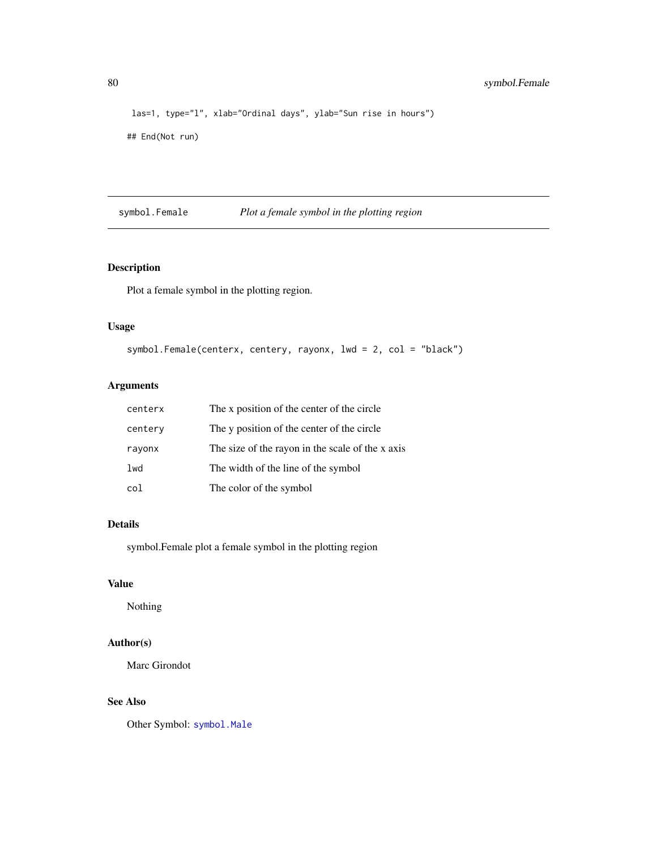```
las=1, type="l", xlab="Ordinal days", ylab="Sun rise in hours")
## End(Not run)
```
<span id="page-79-0"></span>symbol.Female *Plot a female symbol in the plotting region*

# Description

Plot a female symbol in the plotting region.

## Usage

```
symbol.Female(centerx, centery, rayonx, lwd = 2, col = "black")
```
# Arguments

| centerx | The x position of the center of the circle       |
|---------|--------------------------------------------------|
| centery | The y position of the center of the circle       |
| rayonx  | The size of the rayon in the scale of the x axis |
| lwd     | The width of the line of the symbol              |
| col     | The color of the symbol                          |

## Details

symbol.Female plot a female symbol in the plotting region

## Value

Nothing

# Author(s)

Marc Girondot

# See Also

Other Symbol: [symbol.Male](#page-80-0)

<span id="page-79-1"></span>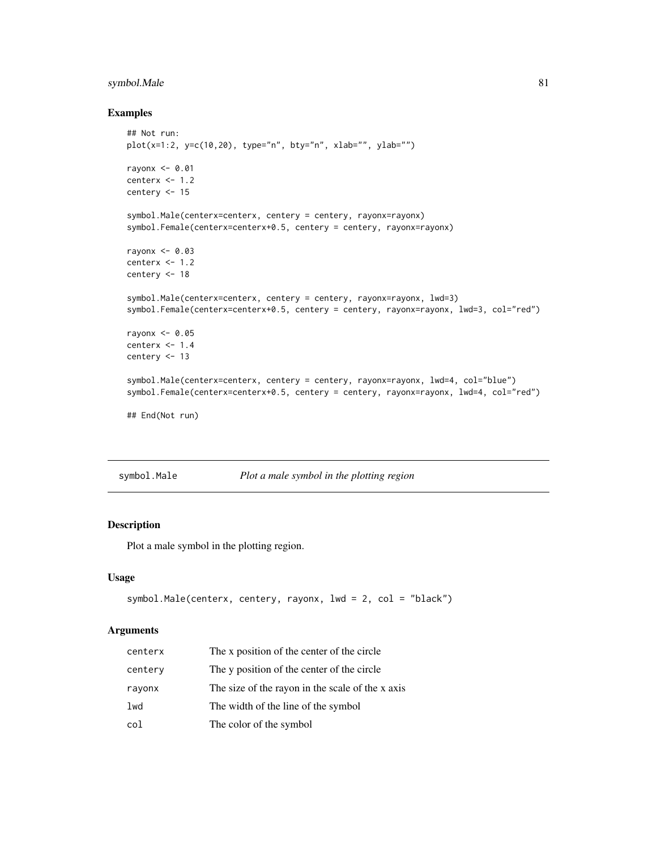# <span id="page-80-1"></span>symbol.Male 81

#### Examples

```
## Not run:
plot(x=1:2, y=c(10,20), type="n", bty="n", xlab="", ylab="")
rayonx <- 0.01
centerx <- 1.2
centery <- 15
symbol.Male(centerx=centerx, centery = centery, rayonx=rayonx)
symbol.Female(centerx=centerx+0.5, centery = centery, rayonx=rayonx)
rayonx <- 0.03
centerx <- 1.2
centery <- 18
symbol.Male(centerx=centerx, centery = centery, rayonx=rayonx, lwd=3)
symbol.Female(centerx=centerx+0.5, centery = centery, rayonx=rayonx, lwd=3, col="red")
rayonx <-0.05centerx <- 1.4
centery <- 13
symbol.Male(centerx=centerx, centery = centery, rayonx=rayonx, lwd=4, col="blue")
symbol.Female(centerx=centerx+0.5, centery = centery, rayonx=rayonx, lwd=4, col="red")
## End(Not run)
```
<span id="page-80-0"></span>symbol.Male *Plot a male symbol in the plotting region*

# Description

Plot a male symbol in the plotting region.

## Usage

```
symbol.Male(centerx, centery, rayonx, lwd = 2, col = "black")
```
#### Arguments

| centerx | The x position of the center of the circle       |
|---------|--------------------------------------------------|
| centery | The y position of the center of the circle       |
| rayonx  | The size of the rayon in the scale of the x axis |
| lwd     | The width of the line of the symbol              |
| col     | The color of the symbol                          |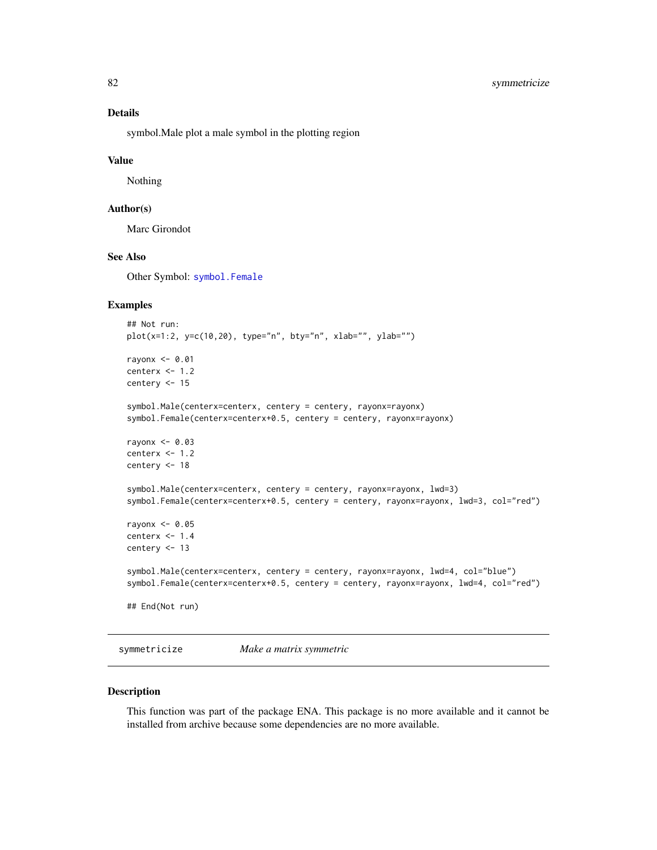# <span id="page-81-0"></span>Details

symbol.Male plot a male symbol in the plotting region

#### Value

Nothing

# Author(s)

Marc Girondot

# See Also

Other Symbol: [symbol.Female](#page-79-0)

## Examples

```
## Not run:
plot(x=1:2, y=c(10,20), type="n", bty="n", xlab="", ylab="")
rayonx <-0.01centerx <- 1.2
centery <- 15
symbol.Male(centerx=centerx, centery = centery, rayonx=rayonx)
symbol.Female(centerx=centerx+0.5, centery = centery, rayonx=rayonx)
rayonx <-0.03centerx <-1.2centery <- 18
symbol.Male(centerx=centerx, centery = centery, rayonx=rayonx, lwd=3)
symbol.Female(centerx=centerx+0.5, centery = centery, rayonx=rayonx, lwd=3, col="red")
rayonx <-0.05centerx <- 1.4
centery <- 13
symbol.Male(centerx=centerx, centery = centery, rayonx=rayonx, lwd=4, col="blue")
symbol.Female(centerx=centerx+0.5, centery = centery, rayonx=rayonx, lwd=4, col="red")
## End(Not run)
```
symmetricize *Make a matrix symmetric*

# Description

This function was part of the package ENA. This package is no more available and it cannot be installed from archive because some dependencies are no more available.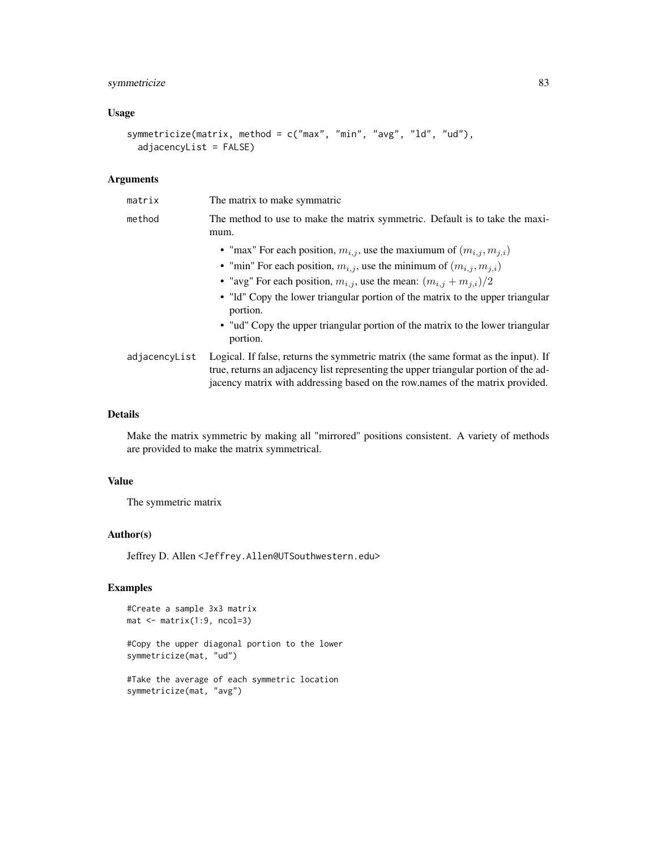# symmetricize 83

# Usage

```
symmetricize(matrix, method = c("max", "min", "avg", "ld", "ud"),
 adjacencyList = FALSE)
```
# Arguments

| matrix        | The matrix to make symmatric                                                                                                                                                                                                                                |
|---------------|-------------------------------------------------------------------------------------------------------------------------------------------------------------------------------------------------------------------------------------------------------------|
| method        | The method to use to make the matrix symmetric. Default is to take the maxi-<br>mum.                                                                                                                                                                        |
|               | • "max" For each position, $m_{i,j}$ , use the maxiumum of $(m_{i,j}, m_{j,i})$                                                                                                                                                                             |
|               | • "min" For each position, $m_{i,j}$ , use the minimum of $(m_{i,j}, m_{j,i})$                                                                                                                                                                              |
|               | • "avg" For each position, $m_{i,j}$ , use the mean: $(m_{i,j} + m_{j,i})/2$                                                                                                                                                                                |
|               | • "Id" Copy the lower triangular portion of the matrix to the upper triangular<br>portion.                                                                                                                                                                  |
|               | • "ud" Copy the upper triangular portion of the matrix to the lower triangular<br>portion.                                                                                                                                                                  |
| adjacencyList | Logical. If false, returns the symmetric matrix (the same format as the input). If<br>true, returns an adjacency list representing the upper triangular portion of the ad-<br>jacency matrix with addressing based on the row.names of the matrix provided. |

# Details

Make the matrix symmetric by making all "mirrored" positions consistent. A variety of methods are provided to make the matrix symmetrical.

## Value

The symmetric matrix

# Author(s)

Jeffrey D. Allen <Jeffrey.Allen@UTSouthwestern.edu>

# Examples

```
#Create a sample 3x3 matrix
mat <- matrix(1:9, ncol=3)
```
#Copy the upper diagonal portion to the lower symmetricize(mat, "ud")

```
#Take the average of each symmetric location
symmetricize(mat, "avg")
```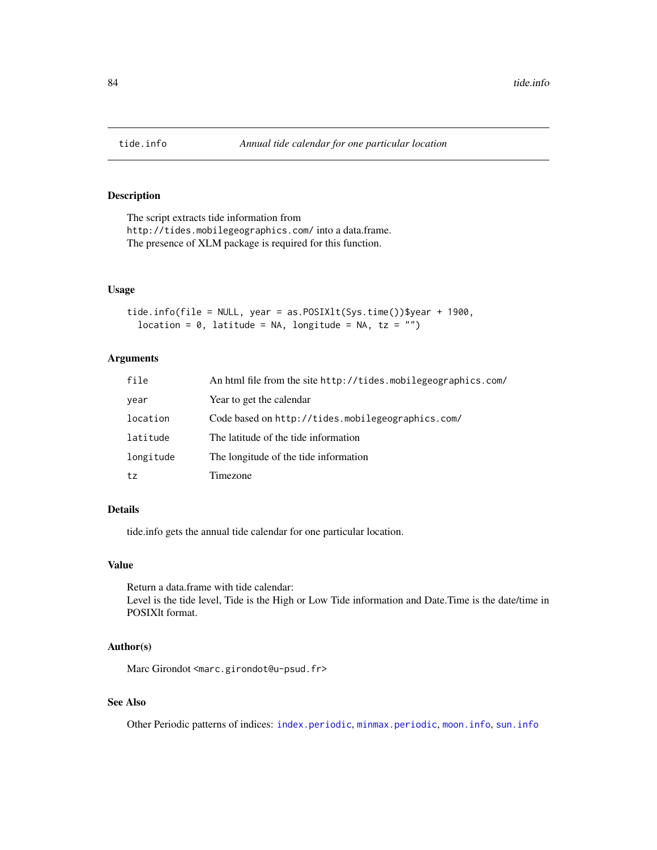<span id="page-83-1"></span><span id="page-83-0"></span>

# Description

The script extracts tide information from http://tides.mobilegeographics.com/ into a data.frame. The presence of XLM package is required for this function.

## Usage

```
tide.info(file = NULL, year = as.POSIXlt(Sys.time())$year + 1900,
  location = 0, latitude = NA, longitude = NA, tz = "")
```
#### Arguments

| file      | An html file from the site http://tides.mobilegeographics.com/ |
|-----------|----------------------------------------------------------------|
| year      | Year to get the calendar                                       |
| location  | Code based on http://tides.mobilegeographics.com/              |
| latitude  | The latitude of the tide information                           |
| longitude | The longitude of the tide information                          |
| tz        | Timezone                                                       |

# Details

tide.info gets the annual tide calendar for one particular location.

#### Value

Return a data.frame with tide calendar: Level is the tide level, Tide is the High or Low Tide information and Date.Time is the date/time in POSIXlt format.

## Author(s)

Marc Girondot <marc.girondot@u-psud.fr>

# See Also

Other Periodic patterns of indices: [index.periodic](#page-34-0), [minmax.periodic](#page-48-0), [moon.info](#page-52-0), [sun.info](#page-78-0)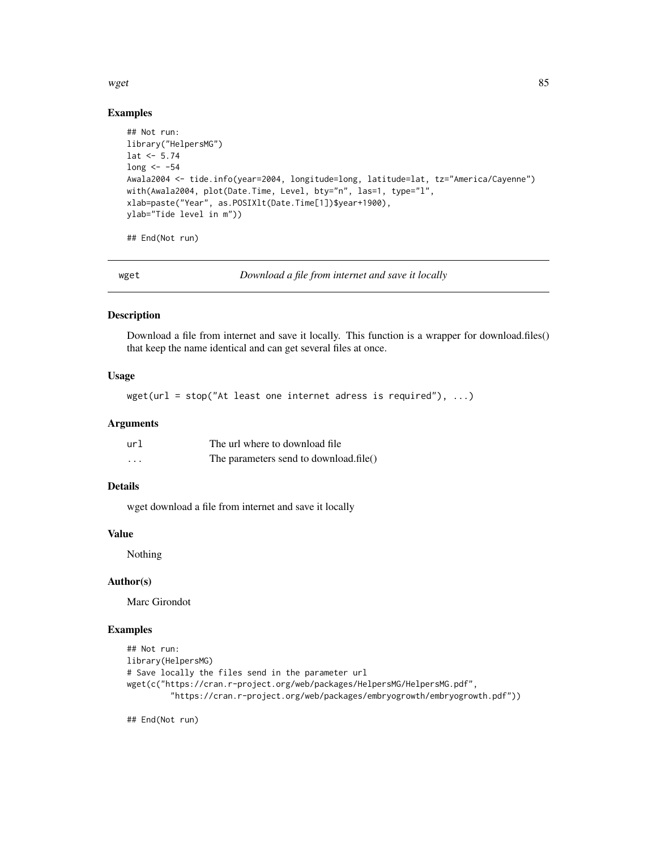#### <span id="page-84-0"></span> $wget$  85

## Examples

```
## Not run:
library("HelpersMG")
lat < -5.74long <- -54
Awala2004 <- tide.info(year=2004, longitude=long, latitude=lat, tz="America/Cayenne")
with(Awala2004, plot(Date.Time, Level, bty="n", las=1, type="l",
xlab=paste("Year", as.POSIXlt(Date.Time[1])$year+1900),
ylab="Tide level in m"))
```
## End(Not run)

wget *Download a file from internet and save it locally*

#### Description

Download a file from internet and save it locally. This function is a wrapper for download.files() that keep the name identical and can get several files at once.

## Usage

 $wget(url = stop("At least one internet address is required"), ...)$ 

## Arguments

| url      | The url where to download file.        |
|----------|----------------------------------------|
| $\cdots$ | The parameters send to download.file() |

# Details

wget download a file from internet and save it locally

#### Value

Nothing

#### Author(s)

Marc Girondot

#### Examples

```
## Not run:
library(HelpersMG)
# Save locally the files send in the parameter url
wget(c("https://cran.r-project.org/web/packages/HelpersMG/HelpersMG.pdf",
         "https://cran.r-project.org/web/packages/embryogrowth/embryogrowth.pdf"))
```
## End(Not run)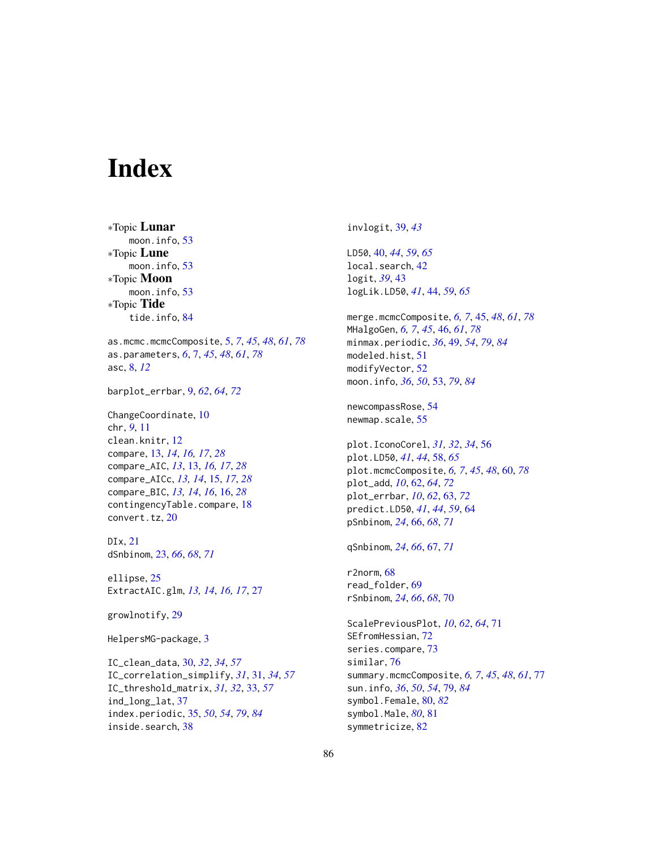# Index

∗Topic Lunar moon.info, [53](#page-52-1) ∗Topic Lune moon.info, [53](#page-52-1) ∗Topic Moon moon.info, [53](#page-52-1) ∗Topic Tide tide.info, [84](#page-83-1) as.mcmc.mcmcComposite, [5,](#page-4-1) *[7](#page-6-1)*, *[45](#page-44-1)*, *[48](#page-47-0)*, *[61](#page-60-0)*, *[78](#page-77-0)* as.parameters, *[6](#page-5-0)*, [7,](#page-6-1) *[45](#page-44-1)*, *[48](#page-47-0)*, *[61](#page-60-0)*, *[78](#page-77-0)* asc, [8,](#page-7-0) *[12](#page-11-0)* barplot\_errbar, [9,](#page-8-0) *[62](#page-61-0)*, *[64](#page-63-0)*, *[72](#page-71-0)* ChangeCoordinate, [10](#page-9-0) chr, *[9](#page-8-0)*, [11](#page-10-0) clean.knitr, [12](#page-11-0) compare, [13,](#page-12-0) *[14](#page-13-0)*, *[16,](#page-15-0) [17](#page-16-0)*, *[28](#page-27-0)* compare\_AIC, *[13](#page-12-0)*, [13,](#page-12-0) *[16,](#page-15-0) [17](#page-16-0)*, *[28](#page-27-0)* compare\_AICc, *[13,](#page-12-0) [14](#page-13-0)*, [15,](#page-14-0) *[17](#page-16-0)*, *[28](#page-27-0)* compare\_BIC, *[13,](#page-12-0) [14](#page-13-0)*, *[16](#page-15-0)*, [16,](#page-15-0) *[28](#page-27-0)* contingencyTable.compare, [18](#page-17-0) convert.tz, [20](#page-19-0) DIx, [21](#page-20-0) dSnbinom, [23,](#page-22-0) *[66](#page-65-0)*, *[68](#page-67-0)*, *[71](#page-70-0)* ellipse, [25](#page-24-0) ExtractAIC.glm, *[13,](#page-12-0) [14](#page-13-0)*, *[16,](#page-15-0) [17](#page-16-0)*, [27](#page-26-0) growlnotify, [29](#page-28-0) HelpersMG-package, [3](#page-2-0) IC\_clean\_data, [30,](#page-29-0) *[32](#page-31-0)*, *[34](#page-33-0)*, *[57](#page-56-0)* IC\_correlation\_simplify, *[31](#page-30-0)*, [31,](#page-30-0) *[34](#page-33-0)*, *[57](#page-56-0)*

IC\_threshold\_matrix, *[31,](#page-30-0) [32](#page-31-0)*, [33,](#page-32-0) *[57](#page-56-0)* ind\_long\_lat, [37](#page-36-0) index.periodic, [35,](#page-34-1) *[50](#page-49-0)*, *[54](#page-53-0)*, *[79](#page-78-1)*, *[84](#page-83-1)* inside.search, [38](#page-37-0)

invlogit, [39,](#page-38-0) *[43](#page-42-0)* LD50, [40,](#page-39-0) *[44](#page-43-0)*, *[59](#page-58-0)*, *[65](#page-64-0)* local.search, [42](#page-41-0) logit, *[39](#page-38-0)*, [43](#page-42-0) logLik.LD50, *[41](#page-40-0)*, [44,](#page-43-0) *[59](#page-58-0)*, *[65](#page-64-0)* merge.mcmcComposite, *[6,](#page-5-0) [7](#page-6-1)*, [45,](#page-44-1) *[48](#page-47-0)*, *[61](#page-60-0)*, *[78](#page-77-0)* MHalgoGen, *[6,](#page-5-0) [7](#page-6-1)*, *[45](#page-44-1)*, [46,](#page-45-1) *[61](#page-60-0)*, *[78](#page-77-0)* minmax.periodic, *[36](#page-35-0)*, [49,](#page-48-1) *[54](#page-53-0)*, *[79](#page-78-1)*, *[84](#page-83-1)* modeled.hist, [51](#page-50-0) modifyVector, [52](#page-51-0) moon.info, *[36](#page-35-0)*, *[50](#page-49-0)*, [53,](#page-52-1) *[79](#page-78-1)*, *[84](#page-83-1)* newcompassRose, [54](#page-53-0) newmap.scale, [55](#page-54-0) plot.IconoCorel, *[31,](#page-30-0) [32](#page-31-0)*, *[34](#page-33-0)*, [56](#page-55-0) plot.LD50, *[41](#page-40-0)*, *[44](#page-43-0)*, [58,](#page-57-0) *[65](#page-64-0)* plot.mcmcComposite, *[6,](#page-5-0) [7](#page-6-1)*, *[45](#page-44-1)*, *[48](#page-47-0)*, [60,](#page-59-1) *[78](#page-77-0)* plot\_add, *[10](#page-9-0)*, [62,](#page-61-0) *[64](#page-63-0)*, *[72](#page-71-0)* plot\_errbar, *[10](#page-9-0)*, *[62](#page-61-0)*, [63,](#page-62-0) *[72](#page-71-0)* predict.LD50, *[41](#page-40-0)*, *[44](#page-43-0)*, *[59](#page-58-0)*, [64](#page-63-0) pSnbinom, *[24](#page-23-0)*, [66,](#page-65-0) *[68](#page-67-0)*, *[71](#page-70-0)* qSnbinom, *[24](#page-23-0)*, *[66](#page-65-0)*, [67,](#page-66-0) *[71](#page-70-0)* r2norm, [68](#page-67-0) read\_folder, [69](#page-68-0) rSnbinom, *[24](#page-23-0)*, *[66](#page-65-0)*, *[68](#page-67-0)*, [70](#page-69-0) ScalePreviousPlot, *[10](#page-9-0)*, *[62](#page-61-0)*, *[64](#page-63-0)*, [71](#page-70-0) SEfromHessian, [72](#page-71-0) series.compare, [73](#page-72-0) similar, [76](#page-75-0) summary.mcmcComposite, *[6,](#page-5-0) [7](#page-6-1)*, *[45](#page-44-1)*, *[48](#page-47-0)*, *[61](#page-60-0)*, [77](#page-76-0) sun.info, *[36](#page-35-0)*, *[50](#page-49-0)*, *[54](#page-53-0)*, [79,](#page-78-1) *[84](#page-83-1)* symbol.Female, [80,](#page-79-1) *[82](#page-81-0)* symbol.Male, *[80](#page-79-1)*, [81](#page-80-1) symmetricize, [82](#page-81-0)